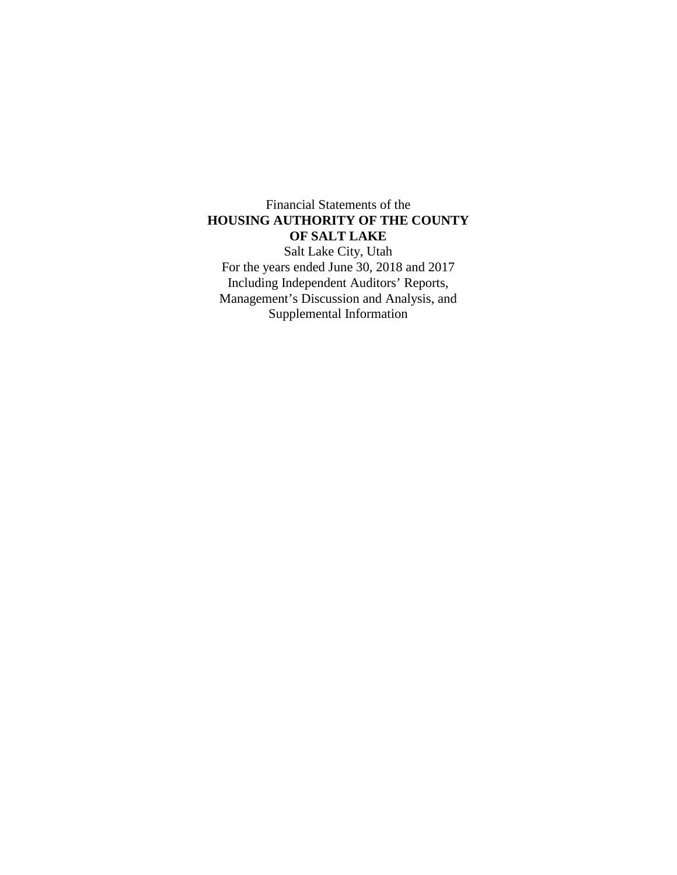# Financial Statements of the **HOUSING AUTHORITY OF THE COUNTY OF SALT LAKE**

Salt Lake City, Utah For the years ended June 30, 2018 and 2017 Including Independent Auditors' Reports, Management's Discussion and Analysis, and Supplemental Information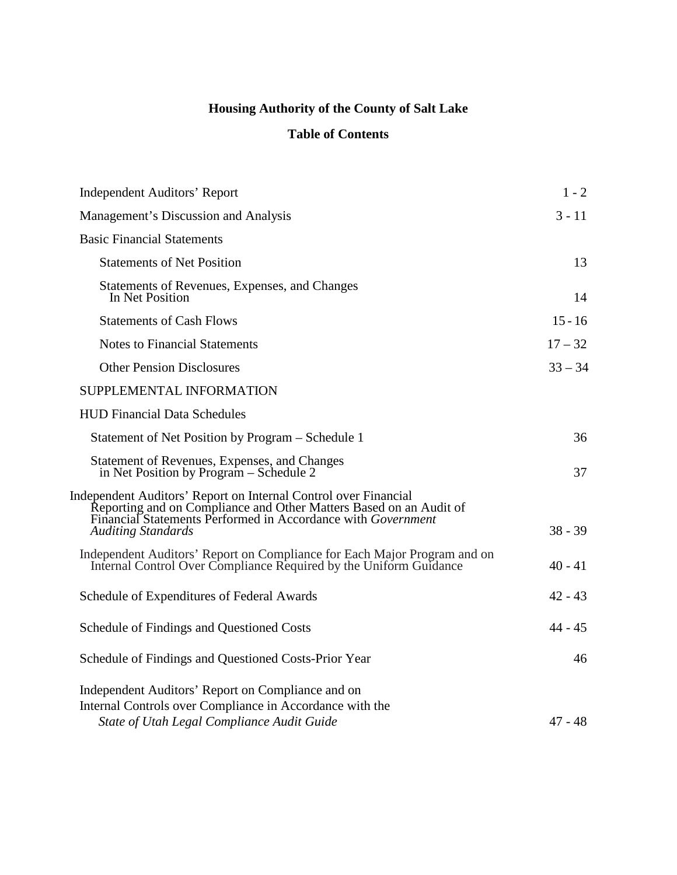# **Housing Authority of the County of Salt Lake**

# **Table of Contents**

| <b>Independent Auditors' Report</b>                                                                                                                                                                                                | $1 - 2$   |
|------------------------------------------------------------------------------------------------------------------------------------------------------------------------------------------------------------------------------------|-----------|
| Management's Discussion and Analysis                                                                                                                                                                                               | $3 - 11$  |
| <b>Basic Financial Statements</b>                                                                                                                                                                                                  |           |
| <b>Statements of Net Position</b>                                                                                                                                                                                                  | 13        |
| Statements of Revenues, Expenses, and Changes<br>In Net Position                                                                                                                                                                   | 14        |
| <b>Statements of Cash Flows</b>                                                                                                                                                                                                    | $15 - 16$ |
| <b>Notes to Financial Statements</b>                                                                                                                                                                                               | $17 - 32$ |
| <b>Other Pension Disclosures</b>                                                                                                                                                                                                   | $33 - 34$ |
| SUPPLEMENTAL INFORMATION                                                                                                                                                                                                           |           |
| <b>HUD Financial Data Schedules</b>                                                                                                                                                                                                |           |
| Statement of Net Position by Program – Schedule 1                                                                                                                                                                                  | 36        |
| Statement of Revenues, Expenses, and Changes<br>in Net Position by Program – Schedule 2                                                                                                                                            | 37        |
| Independent Auditors' Report on Internal Control over Financial<br>Reporting and on Compliance and Other Matters Based on an Audit of<br>Financial Statements Performed in Accordance with Government<br><b>Auditing Standards</b> | $38 - 39$ |
| Independent Auditors' Report on Compliance for Each Major Program and on<br>Internal Control Over Compliance Required by the Uniform Guidance                                                                                      | $40 - 41$ |
| Schedule of Expenditures of Federal Awards                                                                                                                                                                                         | $42 - 43$ |
| Schedule of Findings and Questioned Costs                                                                                                                                                                                          | $44 - 45$ |
| Schedule of Findings and Questioned Costs-Prior Year                                                                                                                                                                               | 46        |
| Independent Auditors' Report on Compliance and on                                                                                                                                                                                  |           |
| Internal Controls over Compliance in Accordance with the<br>State of Utah Legal Compliance Audit Guide                                                                                                                             | $47 - 48$ |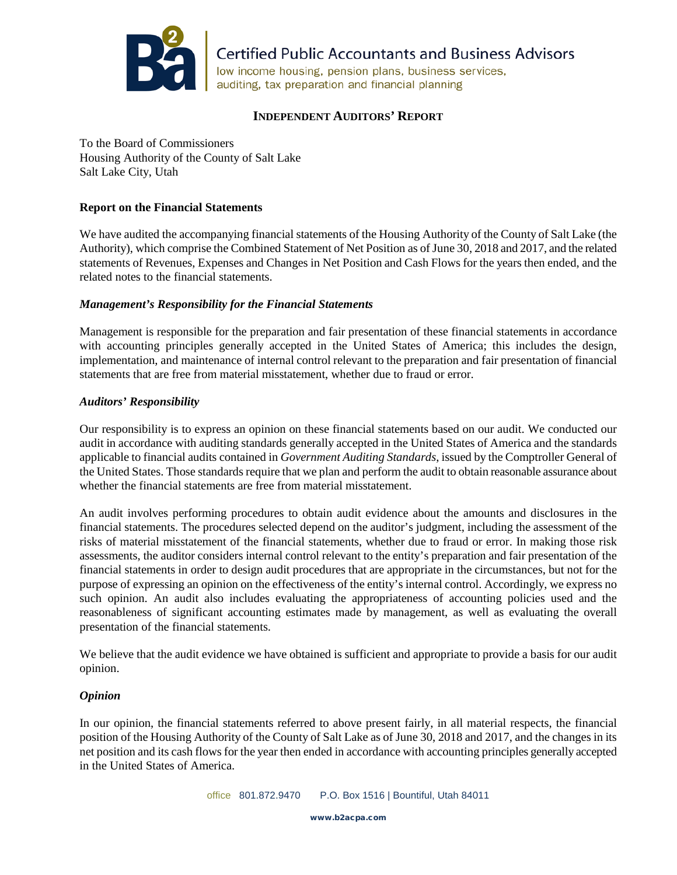

**Certified Public Accountants and Business Advisors** low income housing, pension plans, business services,

auditing, tax preparation and financial planning

#### **INDEPENDENT AUDITORS' REPORT**

To the Board of Commissioners Housing Authority of the County of Salt Lake Salt Lake City, Utah

#### **Report on the Financial Statements**

We have audited the accompanying financial statements of the Housing Authority of the County of Salt Lake (the Authority), which comprise the Combined Statement of Net Position as of June 30, 2018 and 2017, and the related statements of Revenues, Expenses and Changes in Net Position and Cash Flows for the years then ended, and the related notes to the financial statements.

#### *Management's Responsibility for the Financial Statements*

Management is responsible for the preparation and fair presentation of these financial statements in accordance with accounting principles generally accepted in the United States of America; this includes the design, implementation, and maintenance of internal control relevant to the preparation and fair presentation of financial statements that are free from material misstatement, whether due to fraud or error.

#### *Auditors' Responsibility*

Our responsibility is to express an opinion on these financial statements based on our audit. We conducted our audit in accordance with auditing standards generally accepted in the United States of America and the standards applicable to financial audits contained in *Government Auditing Standards*, issued by the Comptroller General of the United States. Those standards require that we plan and perform the audit to obtain reasonable assurance about whether the financial statements are free from material misstatement.

An audit involves performing procedures to obtain audit evidence about the amounts and disclosures in the financial statements. The procedures selected depend on the auditor's judgment, including the assessment of the risks of material misstatement of the financial statements, whether due to fraud or error. In making those risk assessments, the auditor considers internal control relevant to the entity's preparation and fair presentation of the financial statements in order to design audit procedures that are appropriate in the circumstances, but not for the purpose of expressing an opinion on the effectiveness of the entity's internal control. Accordingly, we express no such opinion. An audit also includes evaluating the appropriateness of accounting policies used and the reasonableness of significant accounting estimates made by management, as well as evaluating the overall presentation of the financial statements.

We believe that the audit evidence we have obtained is sufficient and appropriate to provide a basis for our audit opinion.

#### *Opinion*

In our opinion, the financial statements referred to above present fairly, in all material respects, the financial position of the Housing Authority of the County of Salt Lake as of June 30, 2018 and 2017, and the changes in its net position and its cash flows for the year then ended in accordance with accounting principles generally accepted in the United States of America.

office 801.872.9470 P.O. Box 1516 | Bountiful, Utah 84011

www.b2acpa.com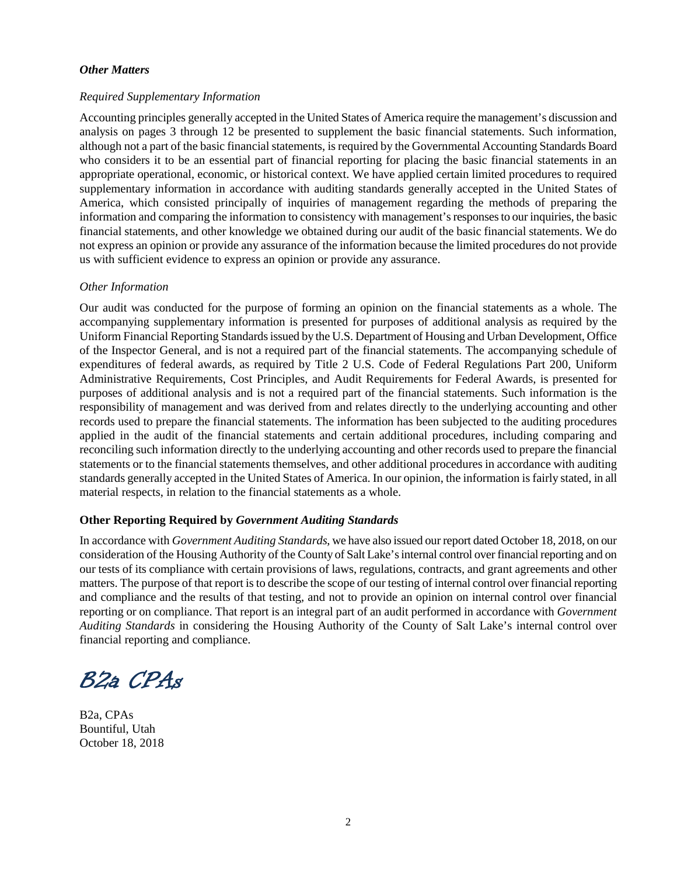#### *Other Matters*

#### *Required Supplementary Information*

Accounting principles generally accepted in the United States of America require the management's discussion and analysis on pages 3 through 12 be presented to supplement the basic financial statements. Such information, although not a part of the basic financial statements, is required by the Governmental Accounting Standards Board who considers it to be an essential part of financial reporting for placing the basic financial statements in an appropriate operational, economic, or historical context. We have applied certain limited procedures to required supplementary information in accordance with auditing standards generally accepted in the United States of America, which consisted principally of inquiries of management regarding the methods of preparing the information and comparing the information to consistency with management's responses to our inquiries, the basic financial statements, and other knowledge we obtained during our audit of the basic financial statements. We do not express an opinion or provide any assurance of the information because the limited procedures do not provide us with sufficient evidence to express an opinion or provide any assurance.

#### *Other Information*

Our audit was conducted for the purpose of forming an opinion on the financial statements as a whole. The accompanying supplementary information is presented for purposes of additional analysis as required by the Uniform Financial Reporting Standards issued by the U.S. Department of Housing and Urban Development, Office of the Inspector General, and is not a required part of the financial statements. The accompanying schedule of expenditures of federal awards, as required by Title 2 U.S. Code of Federal Regulations Part 200, Uniform Administrative Requirements, Cost Principles, and Audit Requirements for Federal Awards, is presented for purposes of additional analysis and is not a required part of the financial statements. Such information is the responsibility of management and was derived from and relates directly to the underlying accounting and other records used to prepare the financial statements. The information has been subjected to the auditing procedures applied in the audit of the financial statements and certain additional procedures, including comparing and reconciling such information directly to the underlying accounting and other records used to prepare the financial statements or to the financial statements themselves, and other additional procedures in accordance with auditing standards generally accepted in the United States of America. In our opinion, the information is fairly stated, in all material respects, in relation to the financial statements as a whole.

#### **Other Reporting Required by** *Government Auditing Standards*

In accordance with *Government Auditing Standards*, we have also issued our report dated October 18, 2018, on our consideration of the Housing Authority of the County of Salt Lake's internal control over financial reporting and on our tests of its compliance with certain provisions of laws, regulations, contracts, and grant agreements and other matters. The purpose of that report is to describe the scope of our testing of internal control over financial reporting and compliance and the results of that testing, and not to provide an opinion on internal control over financial reporting or on compliance. That report is an integral part of an audit performed in accordance with *Government Auditing Standards* in considering the Housing Authority of the County of Salt Lake's internal control over financial reporting and compliance.

B2a CPAs

B2a, CPAs Bountiful, Utah October 18, 2018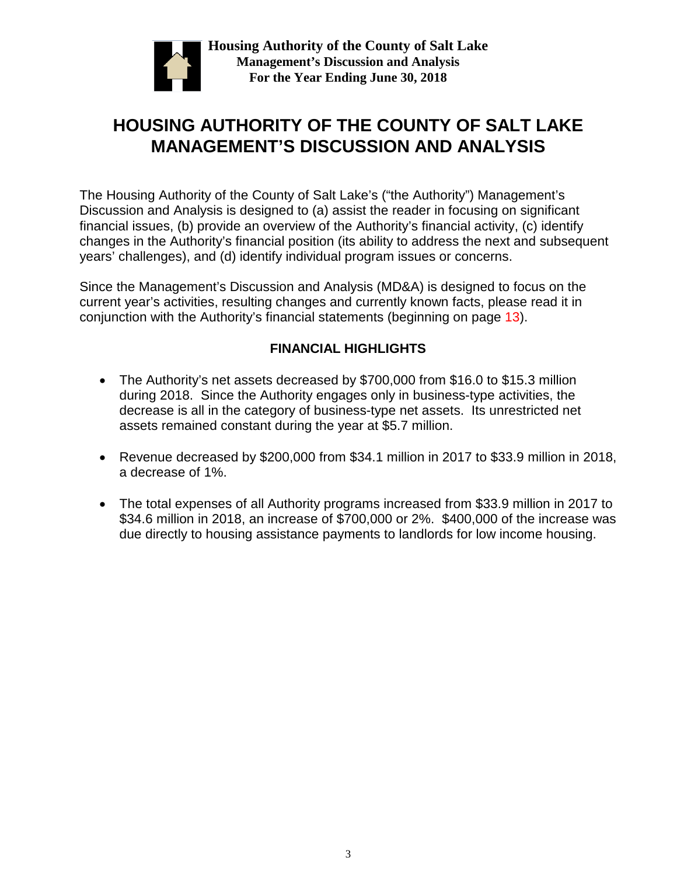

# **HOUSING AUTHORITY OF THE COUNTY OF SALT LAKE MANAGEMENT'S DISCUSSION AND ANALYSIS**

The Housing Authority of the County of Salt Lake's ("the Authority") Management's Discussion and Analysis is designed to (a) assist the reader in focusing on significant financial issues, (b) provide an overview of the Authority's financial activity, (c) identify changes in the Authority's financial position (its ability to address the next and subsequent years' challenges), and (d) identify individual program issues or concerns.

Since the Management's Discussion and Analysis (MD&A) is designed to focus on the current year's activities, resulting changes and currently known facts, please read it in conjunction with the Authority's financial statements (beginning on page 13).

# **FINANCIAL HIGHLIGHTS**

- The Authority's net assets decreased by \$700,000 from \$16.0 to \$15.3 million during 2018. Since the Authority engages only in business-type activities, the decrease is all in the category of business-type net assets. Its unrestricted net assets remained constant during the year at \$5.7 million.
- Revenue decreased by \$200,000 from \$34.1 million in 2017 to \$33.9 million in 2018, a decrease of 1%.
- The total expenses of all Authority programs increased from \$33.9 million in 2017 to \$34.6 million in 2018, an increase of \$700,000 or 2%. \$400,000 of the increase was due directly to housing assistance payments to landlords for low income housing.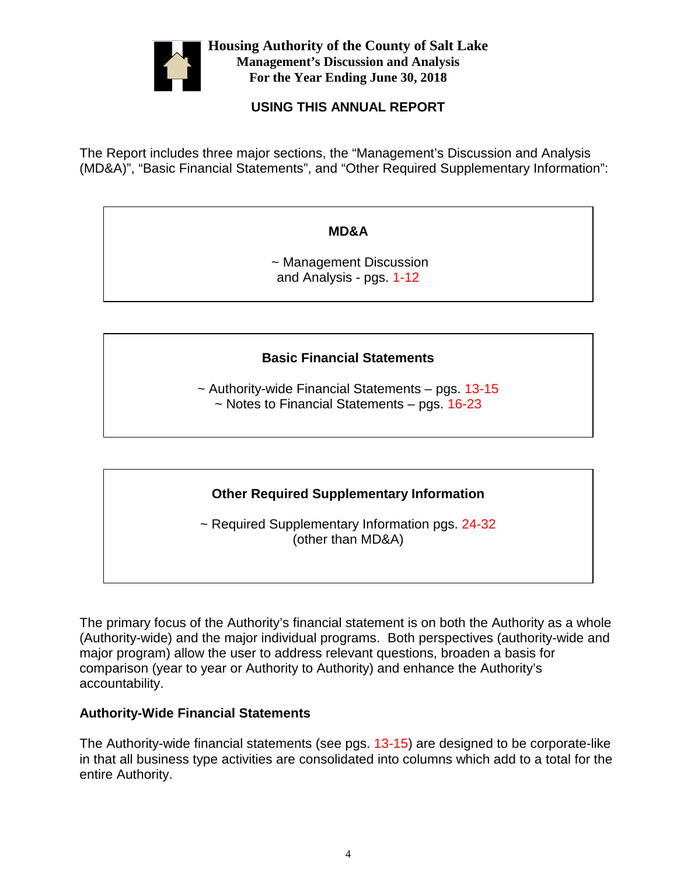

# **USING THIS ANNUAL REPORT**

The Report includes three major sections, the "Management's Discussion and Analysis (MD&A)", "Basic Financial Statements", and "Other Required Supplementary Information":

### **MD&A**

~ Management Discussion and Analysis - pgs. 1-12

### **Basic Financial Statements**

 $\sim$  Authority-wide Financial Statements – pgs. 13-15 ~ Notes to Financial Statements – pgs. 16-23

### **Other Required Supplementary Information**

~ Required Supplementary Information pgs. 24-32 (other than MD&A)

The primary focus of the Authority's financial statement is on both the Authority as a whole (Authority-wide) and the major individual programs. Both perspectives (authority-wide and major program) allow the user to address relevant questions, broaden a basis for comparison (year to year or Authority to Authority) and enhance the Authority's accountability.

### **Authority-Wide Financial Statements**

The Authority-wide financial statements (see pgs. 13-15) are designed to be corporate-like in that all business type activities are consolidated into columns which add to a total for the entire Authority.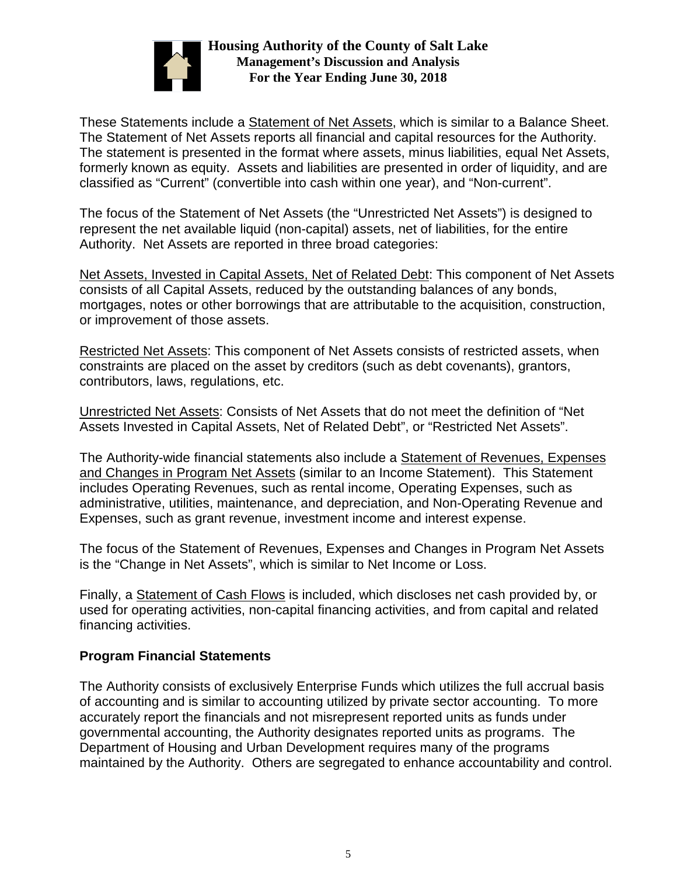

These Statements include a Statement of Net Assets, which is similar to a Balance Sheet. The Statement of Net Assets reports all financial and capital resources for the Authority. The statement is presented in the format where assets, minus liabilities, equal Net Assets, formerly known as equity. Assets and liabilities are presented in order of liquidity, and are classified as "Current" (convertible into cash within one year), and "Non-current".

The focus of the Statement of Net Assets (the "Unrestricted Net Assets") is designed to represent the net available liquid (non-capital) assets, net of liabilities, for the entire Authority. Net Assets are reported in three broad categories:

Net Assets, Invested in Capital Assets, Net of Related Debt: This component of Net Assets consists of all Capital Assets, reduced by the outstanding balances of any bonds, mortgages, notes or other borrowings that are attributable to the acquisition, construction, or improvement of those assets.

Restricted Net Assets: This component of Net Assets consists of restricted assets, when constraints are placed on the asset by creditors (such as debt covenants), grantors, contributors, laws, regulations, etc.

Unrestricted Net Assets: Consists of Net Assets that do not meet the definition of "Net Assets Invested in Capital Assets, Net of Related Debt", or "Restricted Net Assets".

The Authority-wide financial statements also include a Statement of Revenues, Expenses and Changes in Program Net Assets (similar to an Income Statement). This Statement includes Operating Revenues, such as rental income, Operating Expenses, such as administrative, utilities, maintenance, and depreciation, and Non-Operating Revenue and Expenses, such as grant revenue, investment income and interest expense.

The focus of the Statement of Revenues, Expenses and Changes in Program Net Assets is the "Change in Net Assets", which is similar to Net Income or Loss.

Finally, a Statement of Cash Flows is included, which discloses net cash provided by, or used for operating activities, non-capital financing activities, and from capital and related financing activities.

# **Program Financial Statements**

The Authority consists of exclusively Enterprise Funds which utilizes the full accrual basis of accounting and is similar to accounting utilized by private sector accounting. To more accurately report the financials and not misrepresent reported units as funds under governmental accounting, the Authority designates reported units as programs. The Department of Housing and Urban Development requires many of the programs maintained by the Authority. Others are segregated to enhance accountability and control.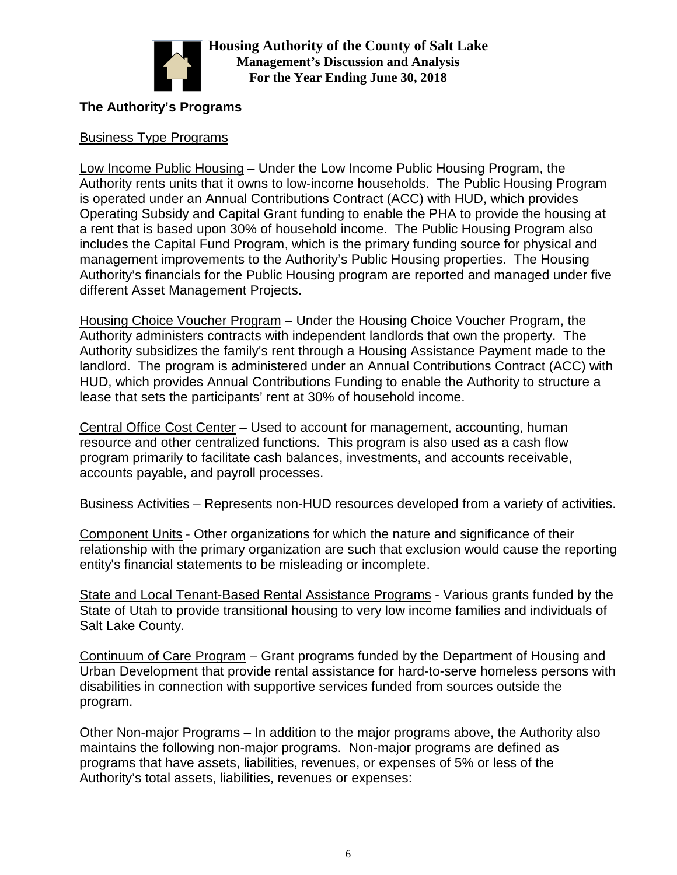

# **The Authority's Programs**

### Business Type Programs

Low Income Public Housing – Under the Low Income Public Housing Program, the Authority rents units that it owns to low-income households. The Public Housing Program is operated under an Annual Contributions Contract (ACC) with HUD, which provides Operating Subsidy and Capital Grant funding to enable the PHA to provide the housing at a rent that is based upon 30% of household income. The Public Housing Program also includes the Capital Fund Program, which is the primary funding source for physical and management improvements to the Authority's Public Housing properties. The Housing Authority's financials for the Public Housing program are reported and managed under five different Asset Management Projects.

Housing Choice Voucher Program – Under the Housing Choice Voucher Program, the Authority administers contracts with independent landlords that own the property. The Authority subsidizes the family's rent through a Housing Assistance Payment made to the landlord. The program is administered under an Annual Contributions Contract (ACC) with HUD, which provides Annual Contributions Funding to enable the Authority to structure a lease that sets the participants' rent at 30% of household income.

Central Office Cost Center – Used to account for management, accounting, human resource and other centralized functions. This program is also used as a cash flow program primarily to facilitate cash balances, investments, and accounts receivable, accounts payable, and payroll processes.

Business Activities – Represents non-HUD resources developed from a variety of activities.

Component Units - Other organizations for which the nature and significance of their relationship with the primary organization are such that exclusion would cause the reporting entity's financial statements to be misleading or incomplete.

State and Local Tenant-Based Rental Assistance Programs - Various grants funded by the State of Utah to provide transitional housing to very low income families and individuals of Salt Lake County.

Continuum of Care Program – Grant programs funded by the Department of Housing and Urban Development that provide rental assistance for hard-to-serve homeless persons with disabilities in connection with supportive services funded from sources outside the program.

Other Non-major Programs – In addition to the major programs above, the Authority also maintains the following non-major programs. Non-major programs are defined as programs that have assets, liabilities, revenues, or expenses of 5% or less of the Authority's total assets, liabilities, revenues or expenses: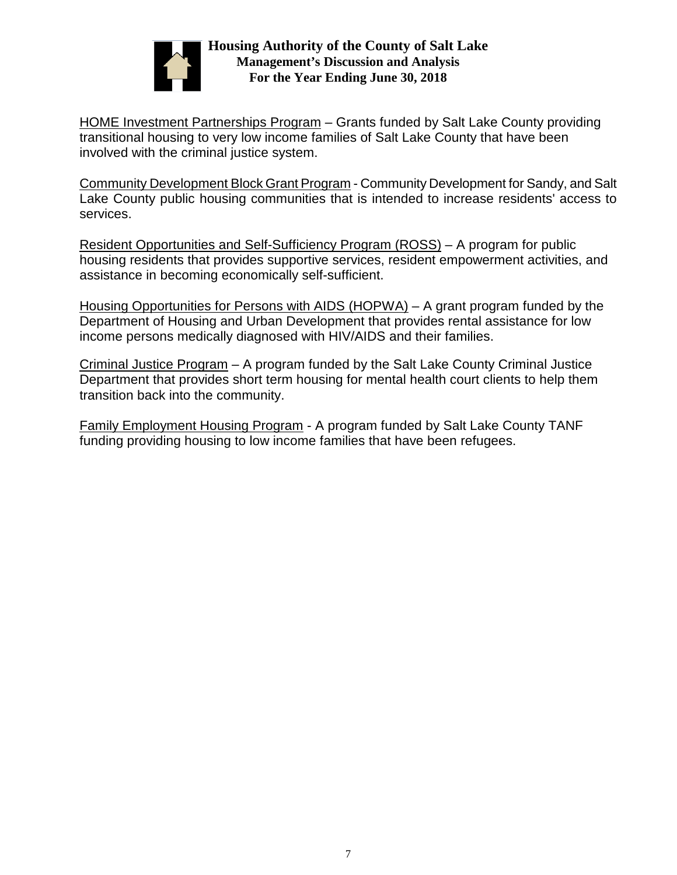

HOME Investment Partnerships Program – Grants funded by Salt Lake County providing transitional housing to very low income families of Salt Lake County that have been involved with the criminal justice system.

Community Development Block Grant Program - Community Development for Sandy, and Salt Lake County public housing communities that is intended to increase residents' access to services.

Resident Opportunities and Self-Sufficiency Program (ROSS) – A program for public housing residents that provides supportive services, resident empowerment activities, and assistance in becoming economically self-sufficient.

Housing Opportunities for Persons with AIDS (HOPWA) – A grant program funded by the Department of Housing and Urban Development that provides rental assistance for low income persons medically diagnosed with HIV/AIDS and their families.

Criminal Justice Program – A program funded by the Salt Lake County Criminal Justice Department that provides short term housing for mental health court clients to help them transition back into the community.

Family Employment Housing Program - A program funded by Salt Lake County TANF funding providing housing to low income families that have been refugees.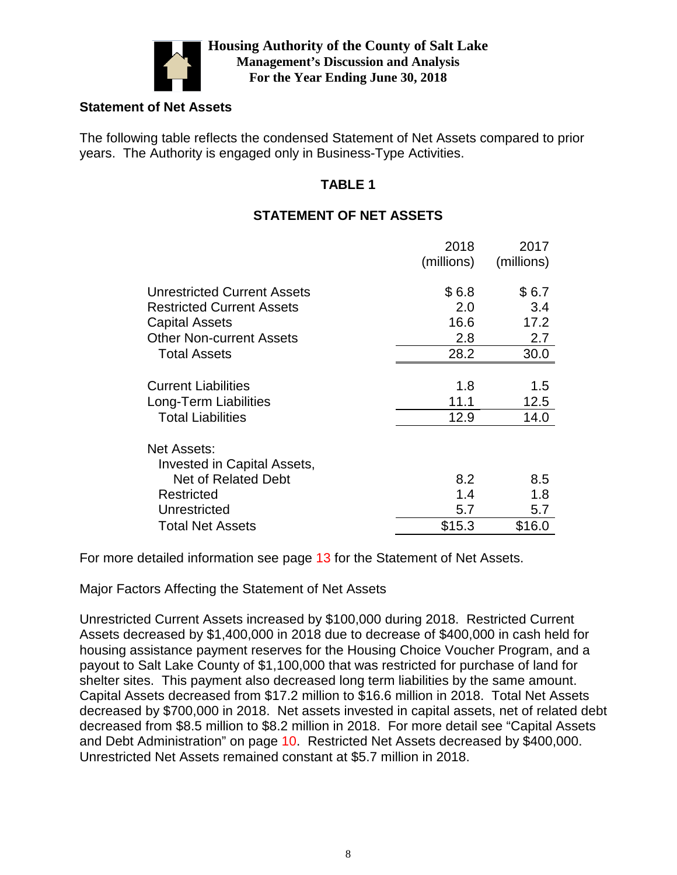

### **Statement of Net Assets**

The following table reflects the condensed Statement of Net Assets compared to prior years. The Authority is engaged only in Business-Type Activities.

# **TABLE 1**

# **STATEMENT OF NET ASSETS**

|                                    | 2018       | 2017       |
|------------------------------------|------------|------------|
|                                    | (millions) | (millions) |
| <b>Unrestricted Current Assets</b> | \$6.8      | \$6.7      |
| <b>Restricted Current Assets</b>   | 2.0        | 3.4        |
| <b>Capital Assets</b>              | 16.6       | 17.2       |
| <b>Other Non-current Assets</b>    | 2.8        | 2.7        |
| <b>Total Assets</b>                | 28.2       | 30.0       |
|                                    |            |            |
| <b>Current Liabilities</b>         | 1.8        | 1.5        |
| Long-Term Liabilities              | 11.1       | 12.5       |
| <b>Total Liabilities</b>           | 12.9       | 14.0       |
| <b>Net Assets:</b>                 |            |            |
| Invested in Capital Assets,        |            |            |
| <b>Net of Related Debt</b>         | 8.2        | 8.5        |
| Restricted                         | 1.4        | 1.8        |
| Unrestricted                       | 5.7        | 5.7        |
| <b>Total Net Assets</b>            | \$15.3     | \$16.0     |

For more detailed information see page 13 for the Statement of Net Assets.

Major Factors Affecting the Statement of Net Assets

Unrestricted Current Assets increased by \$100,000 during 2018. Restricted Current Assets decreased by \$1,400,000 in 2018 due to decrease of \$400,000 in cash held for housing assistance payment reserves for the Housing Choice Voucher Program, and a payout to Salt Lake County of \$1,100,000 that was restricted for purchase of land for shelter sites. This payment also decreased long term liabilities by the same amount. Capital Assets decreased from \$17.2 million to \$16.6 million in 2018. Total Net Assets decreased by \$700,000 in 2018. Net assets invested in capital assets, net of related debt decreased from \$8.5 million to \$8.2 million in 2018. For more detail see "Capital Assets and Debt Administration" on page 10. Restricted Net Assets decreased by \$400,000. Unrestricted Net Assets remained constant at \$5.7 million in 2018.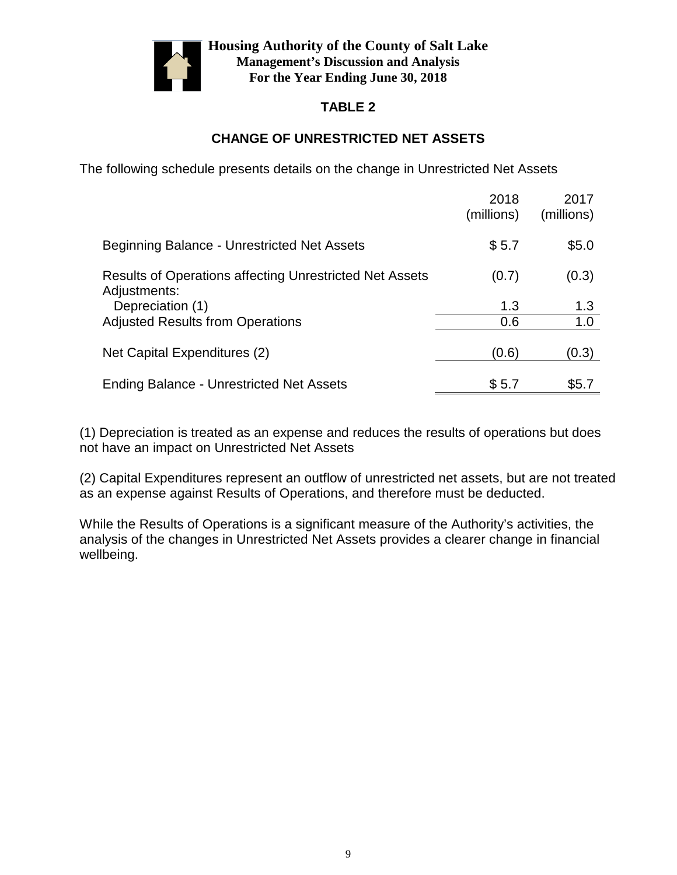

# **TABLE 2**

# **CHANGE OF UNRESTRICTED NET ASSETS**

The following schedule presents details on the change in Unrestricted Net Assets

|                                                                                | 2018<br>(millions) | 2017<br>(millions) |
|--------------------------------------------------------------------------------|--------------------|--------------------|
| Beginning Balance - Unrestricted Net Assets                                    | \$5.7              | \$5.0              |
| <b>Results of Operations affecting Unrestricted Net Assets</b><br>Adjustments: | (0.7)              | (0.3)              |
| Depreciation (1)                                                               | 1.3                | 1.3                |
| <b>Adjusted Results from Operations</b>                                        | 0.6                | 1.0                |
| Net Capital Expenditures (2)                                                   | (0.6)              | (0.3)              |
| <b>Ending Balance - Unrestricted Net Assets</b>                                | \$5.7              | \$5.7              |

(1) Depreciation is treated as an expense and reduces the results of operations but does not have an impact on Unrestricted Net Assets

(2) Capital Expenditures represent an outflow of unrestricted net assets, but are not treated as an expense against Results of Operations, and therefore must be deducted.

While the Results of Operations is a significant measure of the Authority's activities, the analysis of the changes in Unrestricted Net Assets provides a clearer change in financial wellbeing.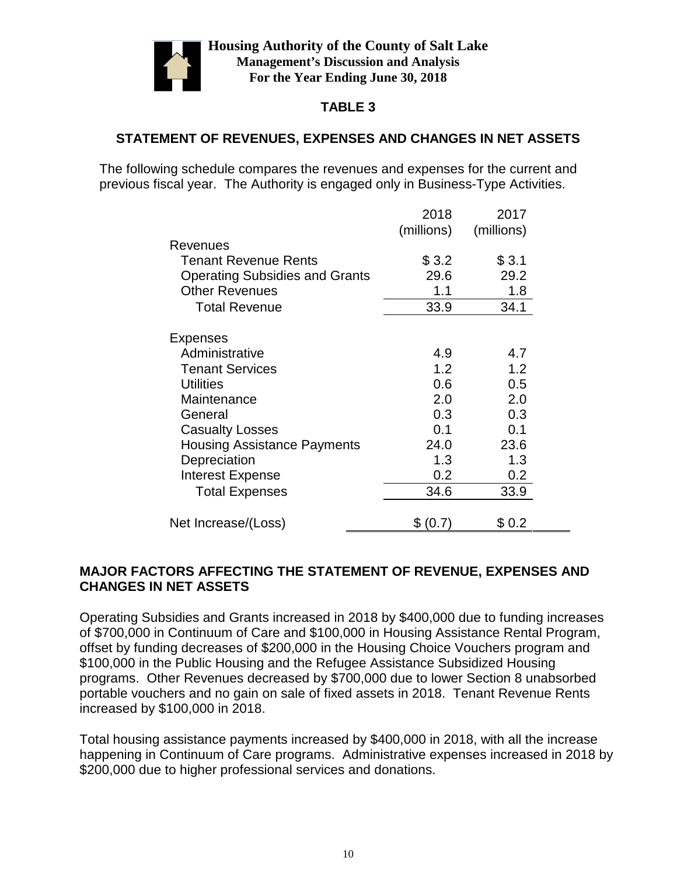

# **TABLE 3**

# **STATEMENT OF REVENUES, EXPENSES AND CHANGES IN NET ASSETS**

The following schedule compares the revenues and expenses for the current and previous fiscal year. The Authority is engaged only in Business-Type Activities.

|                                       | 2018        | 2017       |
|---------------------------------------|-------------|------------|
|                                       | (millions)  | (millions) |
| Revenues                              |             |            |
| <b>Tenant Revenue Rents</b>           | \$3.2       | \$3.1      |
| <b>Operating Subsidies and Grants</b> | 29.6        | 29.2       |
| <b>Other Revenues</b>                 | 1.1         | 1.8        |
| <b>Total Revenue</b>                  | 33.9        | 34.1       |
|                                       |             |            |
| <b>Expenses</b>                       |             |            |
| Administrative                        | 4.9         | 4.7        |
| <b>Tenant Services</b>                | 1.2         | 1.2        |
| <b>Utilities</b>                      | 0.6         | 0.5        |
| Maintenance                           | 2.0         | 2.0        |
| General                               | 0.3         | 0.3        |
| <b>Casualty Losses</b>                | 0.1         | 0.1        |
| <b>Housing Assistance Payments</b>    | 24.0        | 23.6       |
| Depreciation                          | 1.3         | 1.3        |
| <b>Interest Expense</b>               | 0.2         | 0.2        |
| <b>Total Expenses</b>                 | 34.6        | 33.9       |
|                                       |             |            |
| Net Increase/(Loss)                   | Ж,<br>(0.7) | \$ 0.2     |

# **MAJOR FACTORS AFFECTING THE STATEMENT OF REVENUE, EXPENSES AND CHANGES IN NET ASSETS**

Operating Subsidies and Grants increased in 2018 by \$400,000 due to funding increases of \$700,000 in Continuum of Care and \$100,000 in Housing Assistance Rental Program, offset by funding decreases of \$200,000 in the Housing Choice Vouchers program and \$100,000 in the Public Housing and the Refugee Assistance Subsidized Housing programs. Other Revenues decreased by \$700,000 due to lower Section 8 unabsorbed portable vouchers and no gain on sale of fixed assets in 2018. Tenant Revenue Rents increased by \$100,000 in 2018.

Total housing assistance payments increased by \$400,000 in 2018, with all the increase happening in Continuum of Care programs. Administrative expenses increased in 2018 by \$200,000 due to higher professional services and donations.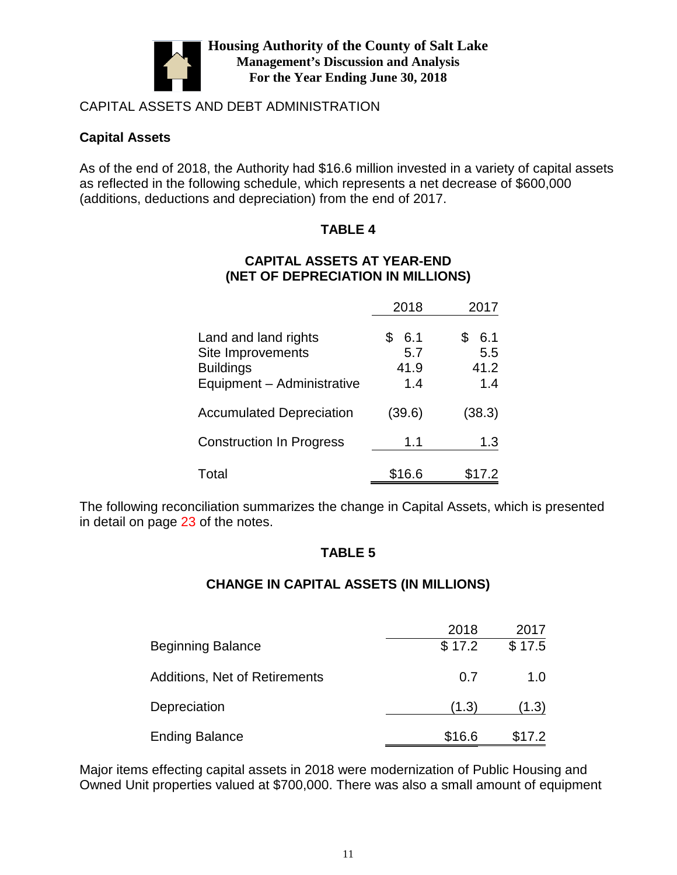

CAPITAL ASSETS AND DEBT ADMINISTRATION

# **Capital Assets**

As of the end of 2018, the Authority had \$16.6 million invested in a variety of capital assets as reflected in the following schedule, which represents a net decrease of \$600,000 (additions, deductions and depreciation) from the end of 2017.

# **TABLE 4**

# **CAPITAL ASSETS AT YEAR-END (NET OF DEPRECIATION IN MILLIONS)**

|                                                                                             | 2018                            | 2017                            |
|---------------------------------------------------------------------------------------------|---------------------------------|---------------------------------|
| Land and land rights<br>Site Improvements<br><b>Buildings</b><br>Equipment - Administrative | \$<br>6.1<br>5.7<br>41.9<br>1.4 | \$<br>6.1<br>5.5<br>41.2<br>1.4 |
| <b>Accumulated Depreciation</b>                                                             | (39.6)                          | (38.3)                          |
| <b>Construction In Progress</b>                                                             | 1.1                             | 1.3                             |
| Total                                                                                       | \$16.6                          | \$17.2                          |

The following reconciliation summarizes the change in Capital Assets, which is presented in detail on page 23 of the notes.

# **TABLE 5**

### **CHANGE IN CAPITAL ASSETS (IN MILLIONS)**

|                               | 2018   | 2017   |
|-------------------------------|--------|--------|
| <b>Beginning Balance</b>      | \$17.2 | \$17.5 |
| Additions, Net of Retirements | 0.7    | 1.0    |
| Depreciation                  | (1.3)  | (1.3)  |
| <b>Ending Balance</b>         | \$16.6 | \$17.2 |

Major items effecting capital assets in 2018 were modernization of Public Housing and Owned Unit properties valued at \$700,000. There was also a small amount of equipment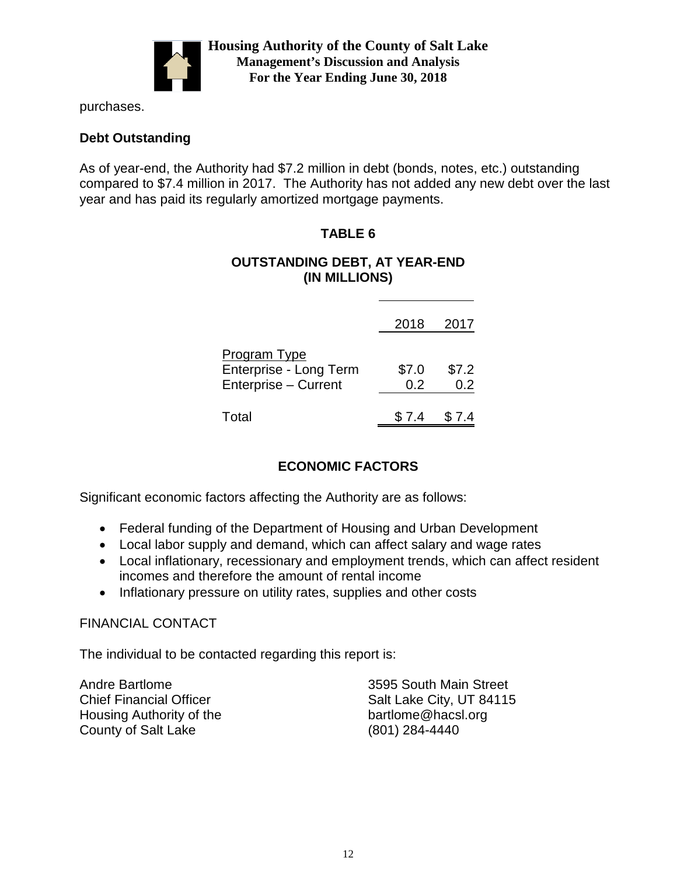

purchases.

# **Debt Outstanding**

As of year-end, the Authority had \$7.2 million in debt (bonds, notes, etc.) outstanding compared to \$7.4 million in 2017. The Authority has not added any new debt over the last year and has paid its regularly amortized mortgage payments.

# **TABLE 6**

# **OUTSTANDING DEBT, AT YEAR-END (IN MILLIONS)**

|                                                                       | 2018         | 2017         |
|-----------------------------------------------------------------------|--------------|--------------|
| <b>Program Type</b><br>Enterprise - Long Term<br>Enterprise - Current | \$7.0<br>0.2 | \$7.2<br>0.2 |
| Total                                                                 | \$7.4        | \$7.4        |

# **ECONOMIC FACTORS**

Significant economic factors affecting the Authority are as follows:

- Federal funding of the Department of Housing and Urban Development
- Local labor supply and demand, which can affect salary and wage rates
- Local inflationary, recessionary and employment trends, which can affect resident incomes and therefore the amount of rental income
- Inflationary pressure on utility rates, supplies and other costs

### FINANCIAL CONTACT

The individual to be contacted regarding this report is:

Andre Bartlome Chief Financial Officer Housing Authority of the County of Salt Lake

3595 South Main Street Salt Lake City, UT 84115 bartlome@hacsl.org (801) 284-4440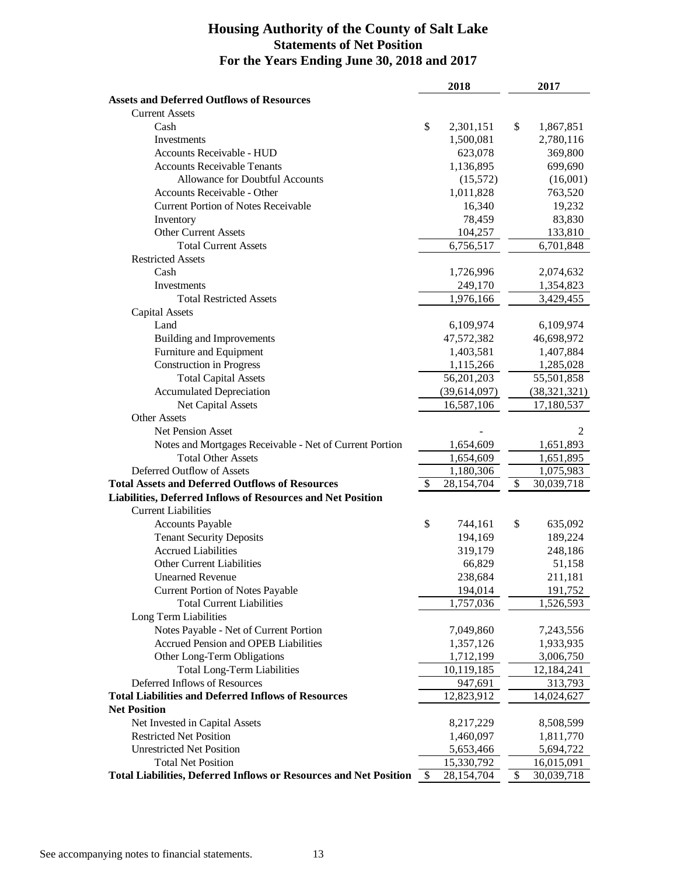# **Housing Authority of the County of Salt Lake Statements of Net Position For the Years Ending June 30, 2018 and 2017**

|                                                                          | 2018                   | 2017                   |
|--------------------------------------------------------------------------|------------------------|------------------------|
| <b>Assets and Deferred Outflows of Resources</b>                         |                        |                        |
| <b>Current Assets</b>                                                    |                        |                        |
| Cash                                                                     | \$<br>2,301,151        | \$<br>1,867,851        |
| Investments                                                              | 1,500,081              | 2,780,116              |
| Accounts Receivable - HUD                                                | 623,078                | 369,800                |
| <b>Accounts Receivable Tenants</b>                                       | 1,136,895              | 699,690                |
| Allowance for Doubtful Accounts                                          | (15,572)               | (16,001)               |
| Accounts Receivable - Other                                              | 1,011,828              | 763,520                |
| <b>Current Portion of Notes Receivable</b>                               | 16,340                 | 19,232                 |
| Inventory                                                                | 78,459                 | 83,830                 |
| <b>Other Current Assets</b>                                              | 104,257                | 133,810                |
| <b>Total Current Assets</b>                                              | 6,756,517              | 6,701,848              |
| <b>Restricted Assets</b>                                                 |                        |                        |
| Cash                                                                     | 1,726,996              | 2,074,632              |
| Investments                                                              | 249,170                | 1,354,823              |
| <b>Total Restricted Assets</b>                                           | 1,976,166              | 3,429,455              |
| <b>Capital Assets</b>                                                    |                        |                        |
| Land                                                                     | 6,109,974              | 6,109,974              |
| <b>Building and Improvements</b>                                         | 47,572,382             | 46,698,972             |
| Furniture and Equipment                                                  | 1,403,581              | 1,407,884              |
| <b>Construction in Progress</b>                                          | 1,115,266              | 1,285,028              |
| <b>Total Capital Assets</b>                                              | 56,201,203             | 55,501,858             |
| <b>Accumulated Depreciation</b>                                          | (39, 614, 097)         | (38, 321, 321)         |
| Net Capital Assets                                                       | 16,587,106             | 17,180,537             |
| Other Assets                                                             |                        |                        |
| Net Pension Asset                                                        |                        | 2                      |
| Notes and Mortgages Receivable - Net of Current Portion                  | 1,654,609              | 1,651,893              |
| <b>Total Other Assets</b>                                                | 1,654,609              | 1,651,895              |
| Deferred Outflow of Assets                                               | 1,180,306              | 1,075,983              |
| <b>Total Assets and Deferred Outflows of Resources</b>                   | \$<br>28,154,704       | \$<br>30,039,718       |
| Liabilities, Deferred Inflows of Resources and Net Position              |                        |                        |
| <b>Current Liabilities</b>                                               |                        |                        |
| <b>Accounts Payable</b>                                                  | \$<br>744,161          | \$<br>635,092          |
| <b>Tenant Security Deposits</b>                                          | 194,169                | 189,224                |
| <b>Accrued Liabilities</b>                                               | 319,179                | 248,186                |
| <b>Other Current Liabilities</b>                                         | 66,829                 | 51,158                 |
| <b>Unearned Revenue</b>                                                  | 238,684                | 211,181                |
| <b>Current Portion of Notes Payable</b>                                  | 194,014                | 191,752                |
| <b>Total Current Liabilities</b>                                         | 1,757,036              | 1,526,593              |
| Long Term Liabilities                                                    |                        |                        |
| Notes Payable - Net of Current Portion                                   | 7,049,860              | 7,243,556              |
| <b>Accrued Pension and OPEB Liabilities</b>                              | 1,357,126              | 1,933,935              |
| Other Long-Term Obligations                                              | 1,712,199              | 3,006,750              |
| <b>Total Long-Term Liabilities</b>                                       | 10,119,185             | 12,184,241             |
| Deferred Inflows of Resources                                            | 947,691                | 313,793                |
| <b>Total Liabilities and Deferred Inflows of Resources</b>               | 12,823,912             | 14,024,627             |
| <b>Net Position</b>                                                      |                        |                        |
| Net Invested in Capital Assets                                           |                        |                        |
| <b>Restricted Net Position</b>                                           | 8,217,229<br>1,460,097 | 8,508,599              |
| <b>Unrestricted Net Position</b>                                         | 5,653,466              | 1,811,770<br>5,694,722 |
| <b>Total Net Position</b>                                                | 15,330,792             | 16,015,091             |
| <b>Total Liabilities, Deferred Inflows or Resources and Net Position</b> | \$<br>28,154,704       | \$<br>30,039,718       |
|                                                                          |                        |                        |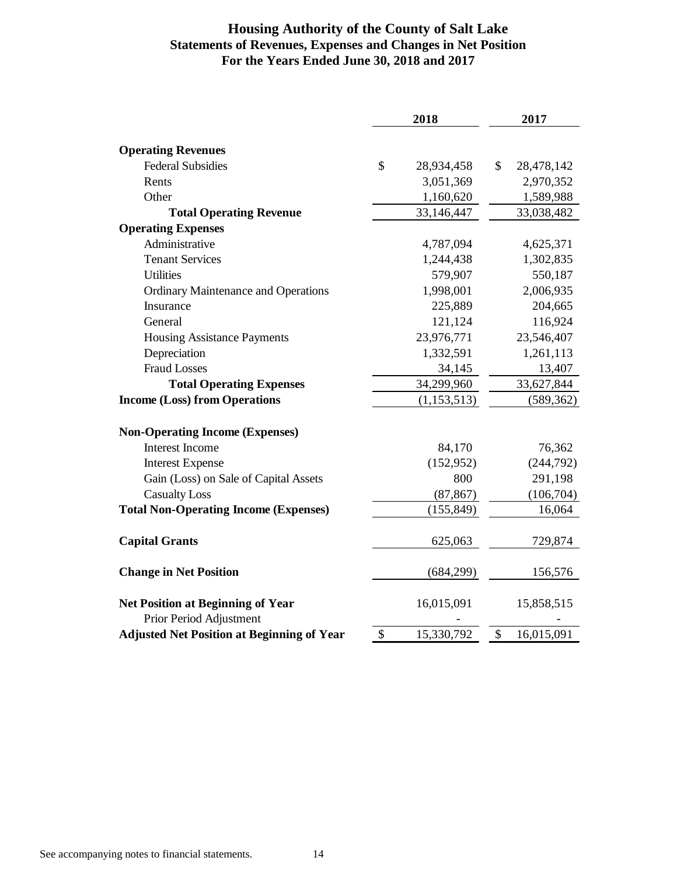# **Housing Authority of the County of Salt Lake Statements of Revenues, Expenses and Changes in Net Position For the Years Ended June 30, 2018 and 2017**

| 2018                                                                         |    | 2017          |                  |
|------------------------------------------------------------------------------|----|---------------|------------------|
|                                                                              |    |               |                  |
| <b>Operating Revenues</b>                                                    |    |               |                  |
| <b>Federal Subsidies</b>                                                     | \$ | 28,934,458    | \$<br>28,478,142 |
| Rents                                                                        |    | 3,051,369     | 2,970,352        |
| Other                                                                        |    | 1,160,620     | 1,589,988        |
| <b>Total Operating Revenue</b>                                               |    | 33,146,447    | 33,038,482       |
| <b>Operating Expenses</b>                                                    |    |               |                  |
| Administrative                                                               |    | 4,787,094     | 4,625,371        |
| <b>Tenant Services</b>                                                       |    | 1,244,438     | 1,302,835        |
| <b>Utilities</b>                                                             |    | 579,907       | 550,187          |
| <b>Ordinary Maintenance and Operations</b>                                   |    | 1,998,001     | 2,006,935        |
| Insurance                                                                    |    | 225,889       | 204,665          |
| General                                                                      |    | 121,124       | 116,924          |
| Housing Assistance Payments                                                  |    | 23,976,771    | 23,546,407       |
| Depreciation                                                                 |    | 1,332,591     | 1,261,113        |
| <b>Fraud Losses</b>                                                          |    | 34,145        | 13,407           |
| <b>Total Operating Expenses</b>                                              |    | 34,299,960    | 33,627,844       |
| <b>Income (Loss) from Operations</b>                                         |    | (1, 153, 513) | (589, 362)       |
| <b>Non-Operating Income (Expenses)</b>                                       |    |               |                  |
| <b>Interest Income</b>                                                       |    | 84,170        | 76,362           |
| <b>Interest Expense</b>                                                      |    | (152, 952)    | (244,792)        |
| Gain (Loss) on Sale of Capital Assets                                        |    | 800           | 291,198          |
| <b>Casualty Loss</b>                                                         |    | (87, 867)     | (106, 704)       |
| <b>Total Non-Operating Income (Expenses)</b>                                 |    | (155, 849)    | 16,064           |
| <b>Capital Grants</b>                                                        |    | 625,063       | 729,874          |
| <b>Change in Net Position</b>                                                |    | (684, 299)    | 156,576          |
| Net Position at Beginning of Year                                            |    | 16,015,091    | 15,858,515       |
| Prior Period Adjustment<br><b>Adjusted Net Position at Beginning of Year</b> | \$ | 15,330,792    | \$<br>16,015,091 |
|                                                                              |    |               |                  |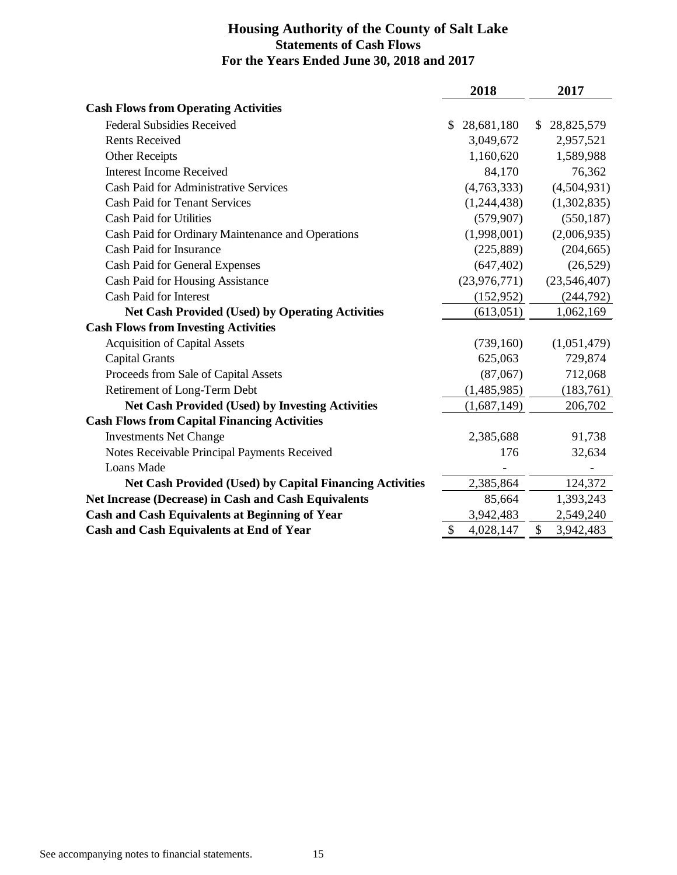# **Housing Authority of the County of Salt Lake Statements of Cash Flows For the Years Ended June 30, 2018 and 2017**

|                                                                 |     | 2018           |    | 2017         |
|-----------------------------------------------------------------|-----|----------------|----|--------------|
| <b>Cash Flows from Operating Activities</b>                     |     |                |    |              |
| <b>Federal Subsidies Received</b>                               | \$. | 28,681,180     | S. | 28,825,579   |
| <b>Rents Received</b>                                           |     | 3,049,672      |    | 2,957,521    |
| <b>Other Receipts</b>                                           |     | 1,160,620      |    | 1,589,988    |
| <b>Interest Income Received</b>                                 |     | 84,170         |    | 76,362       |
| <b>Cash Paid for Administrative Services</b>                    |     | (4,763,333)    |    | (4,504,931)  |
| <b>Cash Paid for Tenant Services</b>                            |     | (1,244,438)    |    | (1,302,835)  |
| <b>Cash Paid for Utilities</b>                                  |     | (579, 907)     |    | (550, 187)   |
| Cash Paid for Ordinary Maintenance and Operations               |     | (1,998,001)    |    | (2,006,935)  |
| <b>Cash Paid for Insurance</b>                                  |     | (225, 889)     |    | (204, 665)   |
| <b>Cash Paid for General Expenses</b>                           |     | (647, 402)     |    | (26, 529)    |
| <b>Cash Paid for Housing Assistance</b>                         |     | (23, 976, 771) |    | (23,546,407) |
| <b>Cash Paid for Interest</b>                                   |     | (152,952)      |    | (244, 792)   |
| <b>Net Cash Provided (Used) by Operating Activities</b>         |     | (613,051)      |    | 1,062,169    |
| <b>Cash Flows from Investing Activities</b>                     |     |                |    |              |
| <b>Acquisition of Capital Assets</b>                            |     | (739, 160)     |    | (1,051,479)  |
| <b>Capital Grants</b>                                           |     | 625,063        |    | 729,874      |
| Proceeds from Sale of Capital Assets                            |     | (87,067)       |    | 712,068      |
| Retirement of Long-Term Debt                                    |     | (1,485,985)    |    | (183,761)    |
| Net Cash Provided (Used) by Investing Activities                |     | (1,687,149)    |    | 206,702      |
| <b>Cash Flows from Capital Financing Activities</b>             |     |                |    |              |
| <b>Investments Net Change</b>                                   |     | 2,385,688      |    | 91,738       |
| Notes Receivable Principal Payments Received                    |     | 176            |    | 32,634       |
| <b>Loans Made</b>                                               |     |                |    |              |
| <b>Net Cash Provided (Used) by Capital Financing Activities</b> |     | 2,385,864      |    | 124,372      |
| Net Increase (Decrease) in Cash and Cash Equivalents            |     | 85,664         |    | 1,393,243    |
| <b>Cash and Cash Equivalents at Beginning of Year</b>           |     | 3,942,483      |    | 2,549,240    |
| <b>Cash and Cash Equivalents at End of Year</b>                 | \$  | 4,028,147      | \$ | 3,942,483    |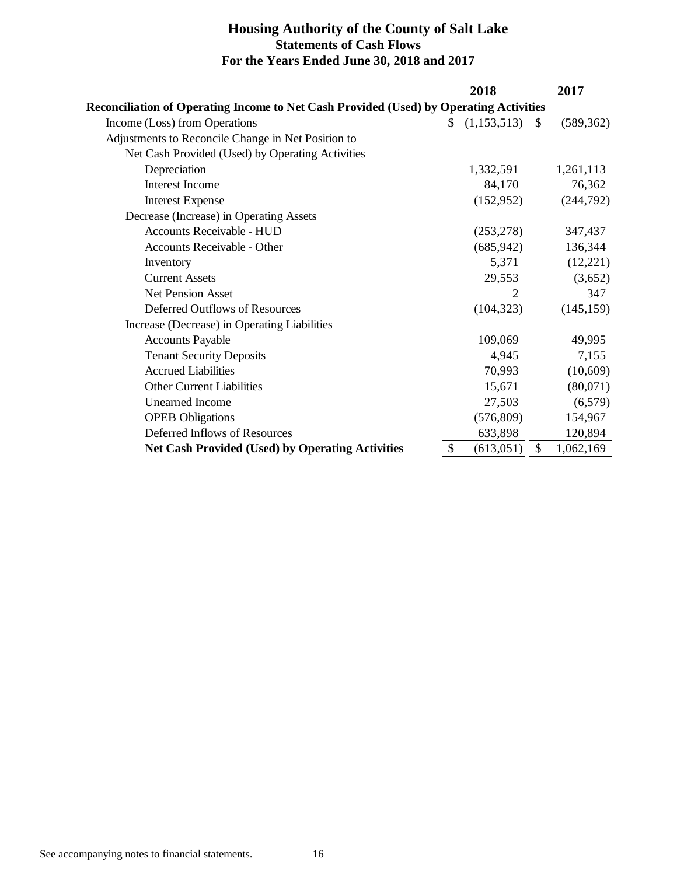# **Housing Authority of the County of Salt Lake Statements of Cash Flows For the Years Ended June 30, 2018 and 2017**

|                                                                                        | 2018              |      | 2017       |
|----------------------------------------------------------------------------------------|-------------------|------|------------|
| Reconciliation of Operating Income to Net Cash Provided (Used) by Operating Activities |                   |      |            |
| Income (Loss) from Operations                                                          | \$<br>(1,153,513) | - \$ | (589, 362) |
| Adjustments to Reconcile Change in Net Position to                                     |                   |      |            |
| Net Cash Provided (Used) by Operating Activities                                       |                   |      |            |
| Depreciation                                                                           | 1,332,591         |      | 1,261,113  |
| Interest Income                                                                        | 84,170            |      | 76,362     |
| <b>Interest Expense</b>                                                                | (152, 952)        |      | (244,792)  |
| Decrease (Increase) in Operating Assets                                                |                   |      |            |
| <b>Accounts Receivable - HUD</b>                                                       | (253, 278)        |      | 347,437    |
| Accounts Receivable - Other                                                            | (685, 942)        |      | 136,344    |
| Inventory                                                                              | 5,371             |      | (12,221)   |
| <b>Current Assets</b>                                                                  | 29,553            |      | (3,652)    |
| <b>Net Pension Asset</b>                                                               | 2                 |      | 347        |
| Deferred Outflows of Resources                                                         | (104, 323)        |      | (145, 159) |
| Increase (Decrease) in Operating Liabilities                                           |                   |      |            |
| <b>Accounts Payable</b>                                                                | 109,069           |      | 49,995     |
| <b>Tenant Security Deposits</b>                                                        | 4,945             |      | 7,155      |
| <b>Accrued Liabilities</b>                                                             | 70,993            |      | (10,609)   |
| <b>Other Current Liabilities</b>                                                       | 15,671            |      | (80,071)   |
| <b>Unearned Income</b>                                                                 | 27,503            |      | (6, 579)   |
| <b>OPEB</b> Obligations                                                                | (576, 809)        |      | 154,967    |
| Deferred Inflows of Resources                                                          | 633,898           |      | 120,894    |
| <b>Net Cash Provided (Used) by Operating Activities</b>                                | \$<br>(613,051)   | \$   | 1,062,169  |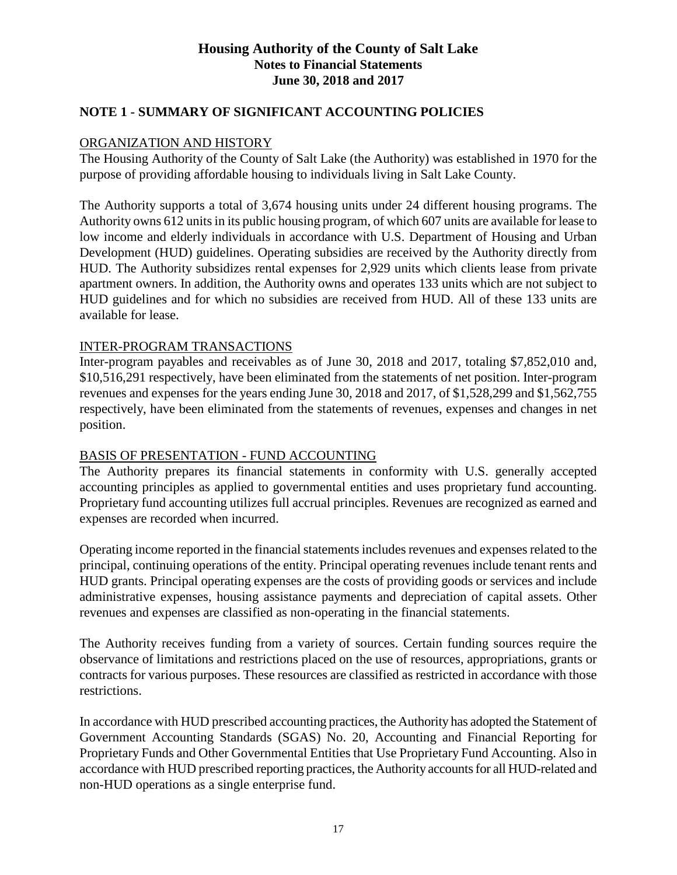#### **NOTE 1 - SUMMARY OF SIGNIFICANT ACCOUNTING POLICIES**

#### ORGANIZATION AND HISTORY

The Housing Authority of the County of Salt Lake (the Authority) was established in 1970 for the purpose of providing affordable housing to individuals living in Salt Lake County.

The Authority supports a total of 3,674 housing units under 24 different housing programs. The Authority owns 612 units in its public housing program, of which 607 units are available for lease to low income and elderly individuals in accordance with U.S. Department of Housing and Urban Development (HUD) guidelines. Operating subsidies are received by the Authority directly from HUD. The Authority subsidizes rental expenses for 2,929 units which clients lease from private apartment owners. In addition, the Authority owns and operates 133 units which are not subject to HUD guidelines and for which no subsidies are received from HUD. All of these 133 units are available for lease.

### INTER-PROGRAM TRANSACTIONS

Inter-program payables and receivables as of June 30, 2018 and 2017, totaling \$7,852,010 and, \$10,516,291 respectively, have been eliminated from the statements of net position. Inter-program revenues and expenses for the years ending June 30, 2018 and 2017, of \$1,528,299 and \$1,562,755 respectively, have been eliminated from the statements of revenues, expenses and changes in net position.

#### BASIS OF PRESENTATION - FUND ACCOUNTING

The Authority prepares its financial statements in conformity with U.S. generally accepted accounting principles as applied to governmental entities and uses proprietary fund accounting. Proprietary fund accounting utilizes full accrual principles. Revenues are recognized as earned and expenses are recorded when incurred.

Operating income reported in the financial statements includes revenues and expenses related to the principal, continuing operations of the entity. Principal operating revenues include tenant rents and HUD grants. Principal operating expenses are the costs of providing goods or services and include administrative expenses, housing assistance payments and depreciation of capital assets. Other revenues and expenses are classified as non-operating in the financial statements.

The Authority receives funding from a variety of sources. Certain funding sources require the observance of limitations and restrictions placed on the use of resources, appropriations, grants or contracts for various purposes. These resources are classified as restricted in accordance with those restrictions.

In accordance with HUD prescribed accounting practices, the Authority has adopted the Statement of Government Accounting Standards (SGAS) No. 20, Accounting and Financial Reporting for Proprietary Funds and Other Governmental Entities that Use Proprietary Fund Accounting. Also in accordance with HUD prescribed reporting practices, the Authority accounts for all HUD-related and non-HUD operations as a single enterprise fund.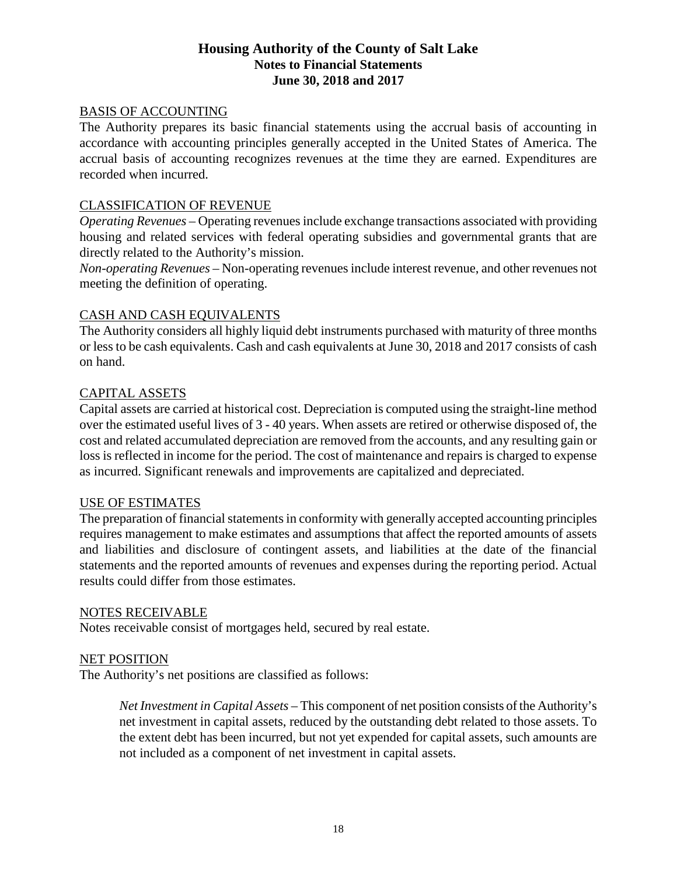#### BASIS OF ACCOUNTING

The Authority prepares its basic financial statements using the accrual basis of accounting in accordance with accounting principles generally accepted in the United States of America. The accrual basis of accounting recognizes revenues at the time they are earned. Expenditures are recorded when incurred.

#### CLASSIFICATION OF REVENUE

*Operating Revenues* – Operating revenues include exchange transactions associated with providing housing and related services with federal operating subsidies and governmental grants that are directly related to the Authority's mission.

*Non-operating Revenues* – Non-operating revenues include interest revenue, and other revenues not meeting the definition of operating.

#### CASH AND CASH EQUIVALENTS

The Authority considers all highly liquid debt instruments purchased with maturity of three months or less to be cash equivalents. Cash and cash equivalents at June 30, 2018 and 2017 consists of cash on hand.

#### CAPITAL ASSETS

Capital assets are carried at historical cost. Depreciation is computed using the straight-line method over the estimated useful lives of 3 - 40 years. When assets are retired or otherwise disposed of, the cost and related accumulated depreciation are removed from the accounts, and any resulting gain or loss is reflected in income for the period. The cost of maintenance and repairs is charged to expense as incurred. Significant renewals and improvements are capitalized and depreciated.

#### USE OF ESTIMATES

The preparation of financial statements in conformity with generally accepted accounting principles requires management to make estimates and assumptions that affect the reported amounts of assets and liabilities and disclosure of contingent assets, and liabilities at the date of the financial statements and the reported amounts of revenues and expenses during the reporting period. Actual results could differ from those estimates.

#### NOTES RECEIVABLE

Notes receivable consist of mortgages held, secured by real estate.

#### NET POSITION

The Authority's net positions are classified as follows:

*Net Investment in Capital Assets* – This component of net position consists of the Authority's net investment in capital assets, reduced by the outstanding debt related to those assets. To the extent debt has been incurred, but not yet expended for capital assets, such amounts are not included as a component of net investment in capital assets.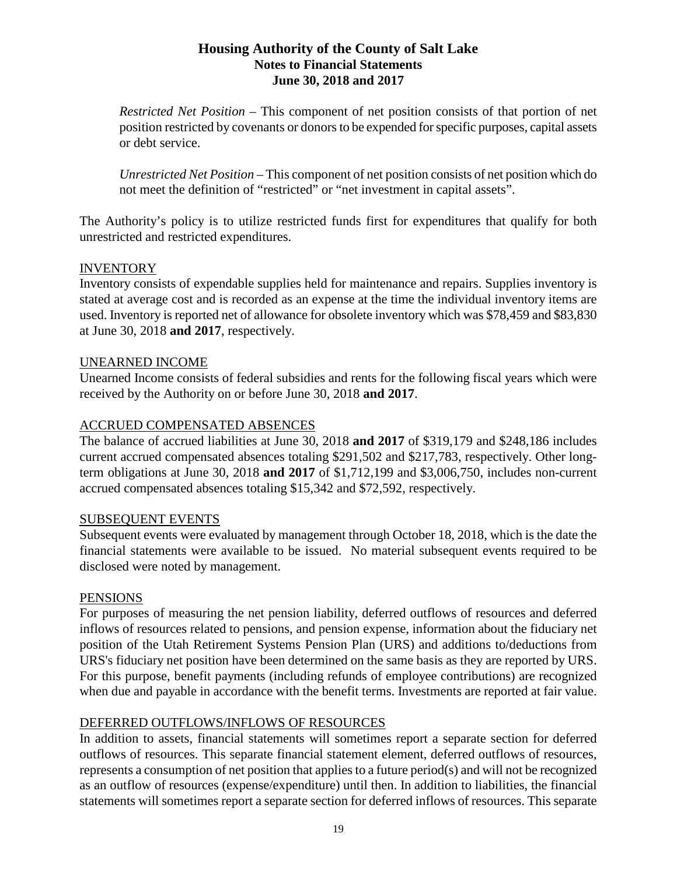*Restricted Net Position* – This component of net position consists of that portion of net position restricted by covenants or donors to be expended for specific purposes, capital assets or debt service.

*Unrestricted Net Position* – This component of net position consists of net position which do not meet the definition of "restricted" or "net investment in capital assets".

The Authority's policy is to utilize restricted funds first for expenditures that qualify for both unrestricted and restricted expenditures.

### INVENTORY

Inventory consists of expendable supplies held for maintenance and repairs. Supplies inventory is stated at average cost and is recorded as an expense at the time the individual inventory items are used. Inventory is reported net of allowance for obsolete inventory which was \$78,459 and \$83,830 at June 30, 2018 **and 2017**, respectively.

### UNEARNED INCOME

Unearned Income consists of federal subsidies and rents for the following fiscal years which were received by the Authority on or before June 30, 2018 **and 2017**.

### ACCRUED COMPENSATED ABSENCES

The balance of accrued liabilities at June 30, 2018 **and 2017** of \$319,179 and \$248,186 includes current accrued compensated absences totaling \$291,502 and \$217,783, respectively. Other longterm obligations at June 30, 2018 **and 2017** of \$1,712,199 and \$3,006,750, includes non-current accrued compensated absences totaling \$15,342 and \$72,592, respectively.

#### SUBSEQUENT EVENTS

Subsequent events were evaluated by management through October 18, 2018, which is the date the financial statements were available to be issued. No material subsequent events required to be disclosed were noted by management.

#### PENSIONS

For purposes of measuring the net pension liability, deferred outflows of resources and deferred inflows of resources related to pensions, and pension expense, information about the fiduciary net position of the Utah Retirement Systems Pension Plan (URS) and additions to/deductions from URS's fiduciary net position have been determined on the same basis as they are reported by URS. For this purpose, benefit payments (including refunds of employee contributions) are recognized when due and payable in accordance with the benefit terms. Investments are reported at fair value.

#### DEFERRED OUTFLOWS/INFLOWS OF RESOURCES

In addition to assets, financial statements will sometimes report a separate section for deferred outflows of resources. This separate financial statement element, deferred outflows of resources, represents a consumption of net position that applies to a future period(s) and will not be recognized as an outflow of resources (expense/expenditure) until then. In addition to liabilities, the financial statements will sometimes report a separate section for deferred inflows of resources. This separate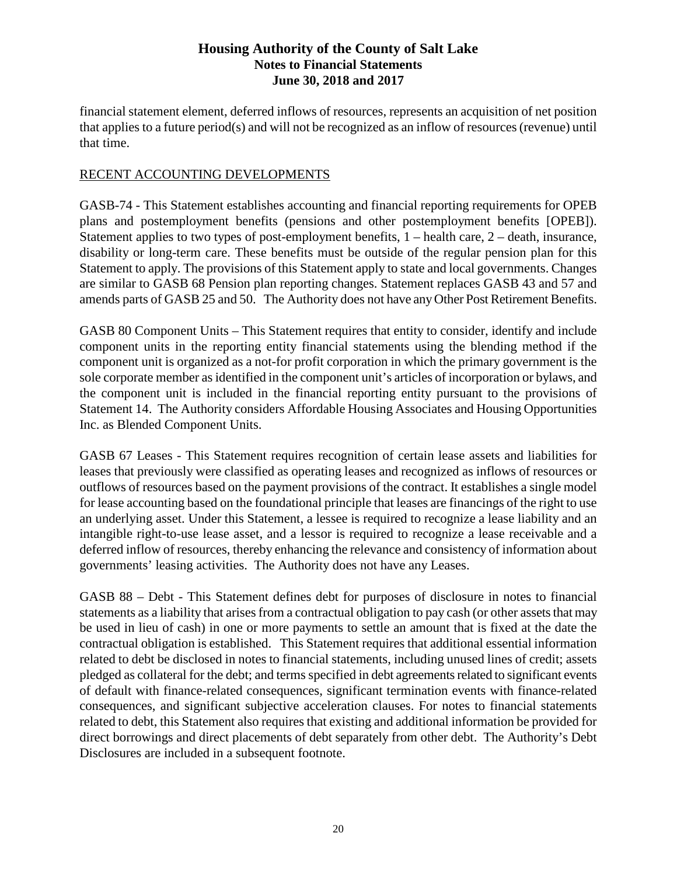financial statement element, deferred inflows of resources, represents an acquisition of net position that applies to a future period(s) and will not be recognized as an inflow of resources (revenue) until that time.

### RECENT ACCOUNTING DEVELOPMENTS

GASB-74 - This Statement establishes accounting and financial reporting requirements for OPEB plans and postemployment benefits (pensions and other postemployment benefits [OPEB]). Statement applies to two types of post-employment benefits, 1 – health care, 2 – death, insurance, disability or long-term care. These benefits must be outside of the regular pension plan for this Statement to apply. The provisions of this Statement apply to state and local governments. Changes are similar to GASB 68 Pension plan reporting changes. Statement replaces GASB 43 and 57 and amends parts of GASB 25 and 50. The Authority does not have anyOther Post Retirement Benefits.

GASB 80 Component Units – This Statement requires that entity to consider, identify and include component units in the reporting entity financial statements using the blending method if the component unit is organized as a not-for profit corporation in which the primary government is the sole corporate member as identified in the component unit's articles of incorporation or bylaws, and the component unit is included in the financial reporting entity pursuant to the provisions of Statement 14. The Authority considers Affordable Housing Associates and Housing Opportunities Inc. as Blended Component Units.

GASB 67 Leases - This Statement requires recognition of certain lease assets and liabilities for leases that previously were classified as operating leases and recognized as inflows of resources or outflows of resources based on the payment provisions of the contract. It establishes a single model for lease accounting based on the foundational principle that leases are financings of the right to use an underlying asset. Under this Statement, a lessee is required to recognize a lease liability and an intangible right-to-use lease asset, and a lessor is required to recognize a lease receivable and a deferred inflow of resources, thereby enhancing the relevance and consistency of information about governments' leasing activities. The Authority does not have any Leases.

GASB 88 – Debt - This Statement defines debt for purposes of disclosure in notes to financial statements as a liability that arises from a contractual obligation to pay cash (or other assets that may be used in lieu of cash) in one or more payments to settle an amount that is fixed at the date the contractual obligation is established. This Statement requires that additional essential information related to debt be disclosed in notes to financial statements, including unused lines of credit; assets pledged as collateral for the debt; and terms specified in debt agreements related to significant events of default with finance-related consequences, significant termination events with finance-related consequences, and significant subjective acceleration clauses. For notes to financial statements related to debt, this Statement also requires that existing and additional information be provided for direct borrowings and direct placements of debt separately from other debt. The Authority's Debt Disclosures are included in a subsequent footnote.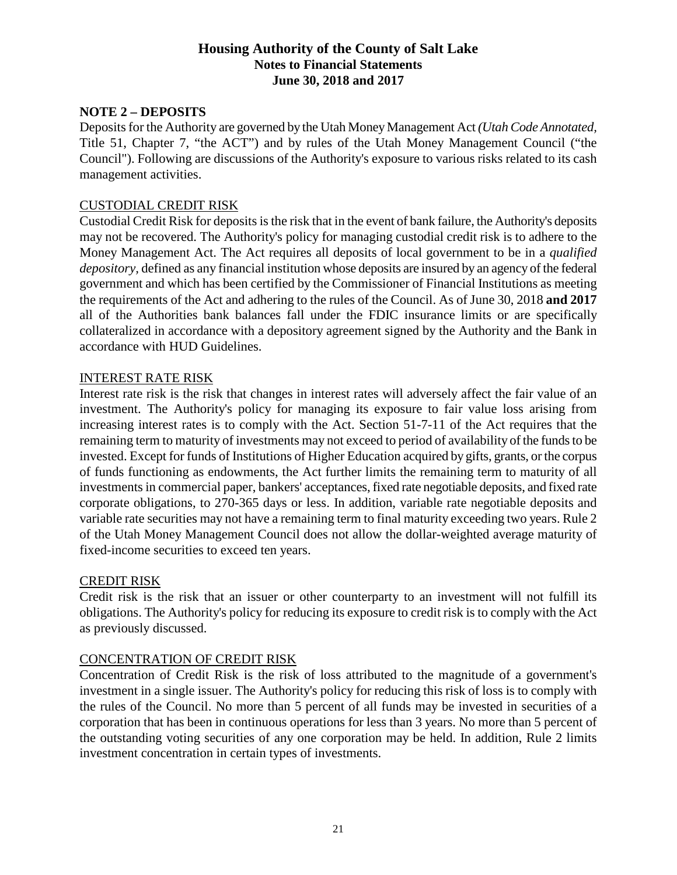### **NOTE 2 – DEPOSITS**

Deposits for the Authority are governed by the Utah Money Management Act *(Utah Code Annotated,*  Title 51, Chapter 7, "the ACT") and by rules of the Utah Money Management Council ("the Council"). Following are discussions of the Authority's exposure to various risks related to its cash management activities.

#### CUSTODIAL CREDIT RISK

Custodial Credit Risk for deposits is the risk that in the event of bank failure, the Authority's deposits may not be recovered. The Authority's policy for managing custodial credit risk is to adhere to the Money Management Act. The Act requires all deposits of local government to be in a *qualified depository,* defined as any financial institution whose deposits are insured by an agency of the federal government and which has been certified by the Commissioner of Financial Institutions as meeting the requirements of the Act and adhering to the rules of the Council. As of June 30, 2018 **and 2017** all of the Authorities bank balances fall under the FDIC insurance limits or are specifically collateralized in accordance with a depository agreement signed by the Authority and the Bank in accordance with HUD Guidelines.

#### INTEREST RATE RISK

Interest rate risk is the risk that changes in interest rates will adversely affect the fair value of an investment. The Authority's policy for managing its exposure to fair value loss arising from increasing interest rates is to comply with the Act. Section 51-7-11 of the Act requires that the remaining term to maturity of investments may not exceed to period of availability of the funds to be invested. Except for funds of Institutions of Higher Education acquired by gifts, grants, or the corpus of funds functioning as endowments, the Act further limits the remaining term to maturity of all investments in commercial paper, bankers' acceptances, fixed rate negotiable deposits, and fixed rate corporate obligations, to 270-365 days or less. In addition, variable rate negotiable deposits and variable rate securities may not have a remaining term to final maturity exceeding two years. Rule 2 of the Utah Money Management Council does not allow the dollar-weighted average maturity of fixed-income securities to exceed ten years.

#### CREDIT RISK

Credit risk is the risk that an issuer or other counterparty to an investment will not fulfill its obligations. The Authority's policy for reducing its exposure to credit risk is to comply with the Act as previously discussed.

#### CONCENTRATION OF CREDIT RISK

Concentration of Credit Risk is the risk of loss attributed to the magnitude of a government's investment in a single issuer. The Authority's policy for reducing this risk of loss is to comply with the rules of the Council. No more than 5 percent of all funds may be invested in securities of a corporation that has been in continuous operations for less than 3 years. No more than 5 percent of the outstanding voting securities of any one corporation may be held. In addition, Rule 2 limits investment concentration in certain types of investments.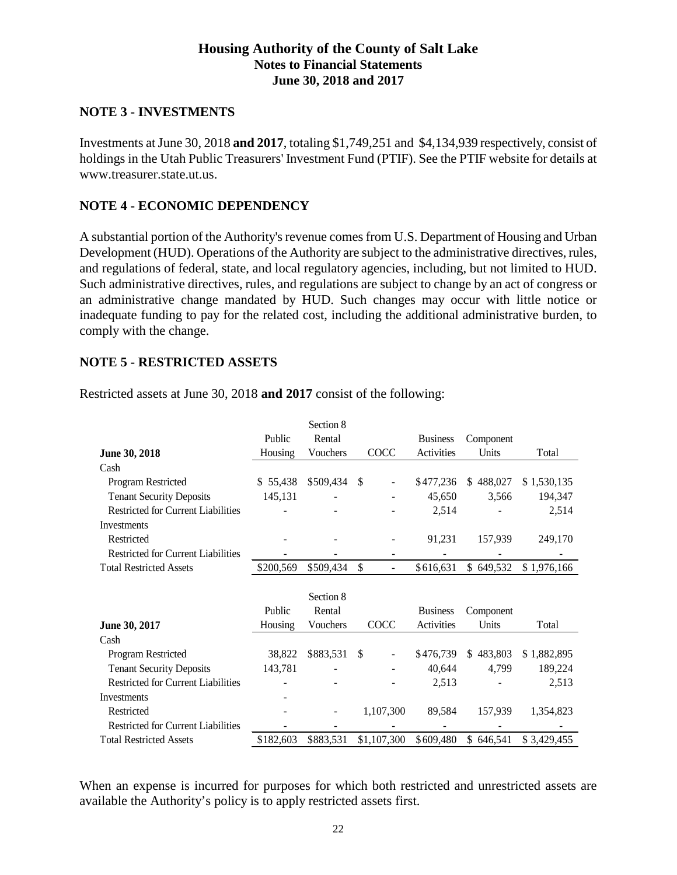#### **NOTE 3 - INVESTMENTS**

Investments at June 30, 2018 **and 2017**, totaling \$1,749,251 and \$4,134,939 respectively, consist of holdings in the Utah Public Treasurers' Investment Fund (PTIF). See the PTIF website for details at www.treasurer.state.ut.us.

### **NOTE 4 - ECONOMIC DEPENDENCY**

A substantial portion of the Authority's revenue comes from U.S. Department of Housing and Urban Development (HUD). Operations of the Authority are subject to the administrative directives, rules, and regulations of federal, state, and local regulatory agencies, including, but not limited to HUD. Such administrative directives, rules, and regulations are subject to change by an act of congress or an administrative change mandated by HUD. Such changes may occur with little notice or inadequate funding to pay for the related cost, including the additional administrative burden, to comply with the change.

### **NOTE 5 - RESTRICTED ASSETS**

Restricted assets at June 30, 2018 **and 2017** consist of the following:

|                                           |           | Section 8 |           |                 |           |             |
|-------------------------------------------|-----------|-----------|-----------|-----------------|-----------|-------------|
|                                           | Public    | Rental    |           | <b>Business</b> | Component |             |
| June 30, 2018                             | Housing   | Vouchers  | COCC      | Activities      | Units     | Total       |
| Cash                                      |           |           |           |                 |           |             |
| Program Restricted                        | \$55,438  | \$509,434 | \$.       | \$477,236       | \$488,027 | \$1,530,135 |
| <b>Tenant Security Deposits</b>           | 145,131   |           |           | 45,650          | 3,566     | 194,347     |
| <b>Restricted for Current Liabilities</b> |           |           |           | 2,514           |           | 2,514       |
| Investments                               |           |           |           |                 |           |             |
| Restricted                                |           |           |           | 91,231          | 157,939   | 249,170     |
| <b>Restricted for Current Liabilities</b> |           |           |           |                 |           |             |
| <b>Total Restricted Assets</b>            | \$200,569 | \$509,434 | \$        | \$616,631       | \$649,532 | \$1,976,166 |
|                                           |           | Section 8 |           |                 |           |             |
|                                           | Public    | Rental    |           | <b>Business</b> | Component |             |
| June 30, 2017                             | Housing   | Vouchers  | COCC      | Activities      | Units     | Total       |
| Cash                                      |           |           |           |                 |           |             |
| Program Restricted                        | 38,822    | \$883,531 | -S        | \$476,739       | \$483,803 | \$1,882,895 |
| <b>Tenant Security Deposits</b>           | 143,781   |           |           | 40,644          | 4,799     | 189,224     |
| <b>Restricted for Current Liabilities</b> |           |           |           | 2,513           |           | 2,513       |
| <b>Investments</b>                        |           |           |           |                 |           |             |
| Restricted                                |           |           | 1,107,300 | 89,584          | 157,939   | 1,354,823   |
| <b>Restricted for Current Liabilities</b> |           |           |           |                 |           |             |
|                                           |           |           |           |                 |           |             |

When an expense is incurred for purposes for which both restricted and unrestricted assets are available the Authority's policy is to apply restricted assets first.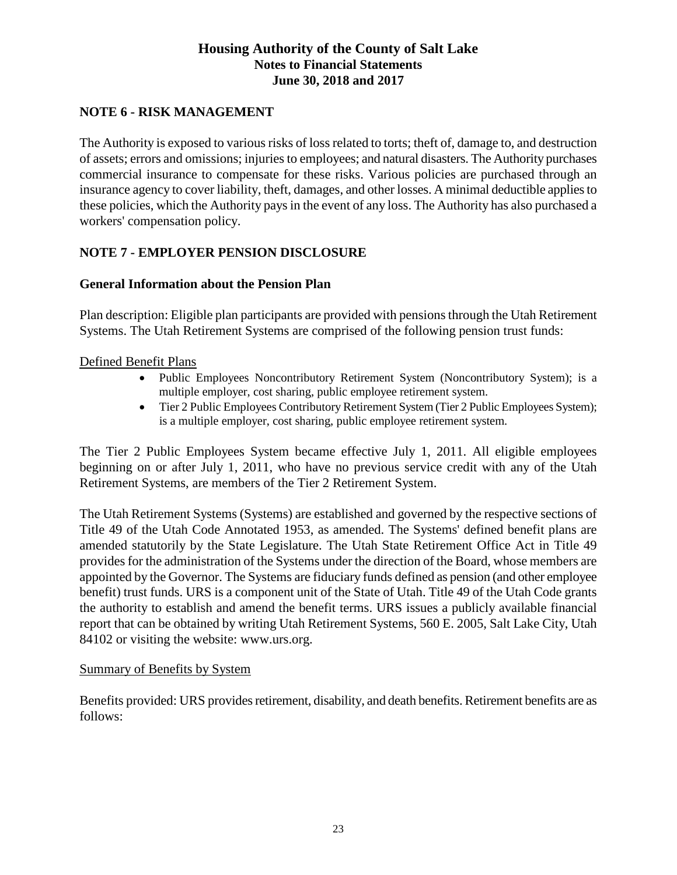### **NOTE 6 - RISK MANAGEMENT**

The Authority is exposed to various risks of loss related to torts; theft of, damage to, and destruction of assets; errors and omissions; injuries to employees; and natural disasters. The Authority purchases commercial insurance to compensate for these risks. Various policies are purchased through an insurance agency to cover liability, theft, damages, and other losses. A minimal deductible applies to these policies, which the Authority pays in the event of any loss. The Authority has also purchased a workers' compensation policy.

# **NOTE 7 - EMPLOYER PENSION DISCLOSURE**

### **General Information about the Pension Plan**

Plan description: Eligible plan participants are provided with pensions through the Utah Retirement Systems. The Utah Retirement Systems are comprised of the following pension trust funds:

### Defined Benefit Plans

- Public Employees Noncontributory Retirement System (Noncontributory System); is a multiple employer, cost sharing, public employee retirement system.
- Tier 2 Public Employees Contributory Retirement System (Tier 2 Public Employees System); is a multiple employer, cost sharing, public employee retirement system.

The Tier 2 Public Employees System became effective July 1, 2011. All eligible employees beginning on or after July 1, 2011, who have no previous service credit with any of the Utah Retirement Systems, are members of the Tier 2 Retirement System.

The Utah Retirement Systems (Systems) are established and governed by the respective sections of Title 49 of the Utah Code Annotated 1953, as amended. The Systems' defined benefit plans are amended statutorily by the State Legislature. The Utah State Retirement Office Act in Title 49 provides for the administration of the Systems under the direction of the Board, whose members are appointed by the Governor. The Systems are fiduciary funds defined as pension (and other employee benefit) trust funds. URS is a component unit of the State of Utah. Title 49 of the Utah Code grants the authority to establish and amend the benefit terms. URS issues a publicly available financial report that can be obtained by writing Utah Retirement Systems, 560 E. 2005, Salt Lake City, Utah 84102 or visiting the website: www.urs.org.

#### Summary of Benefits by System

Benefits provided: URS provides retirement, disability, and death benefits. Retirement benefits are as follows: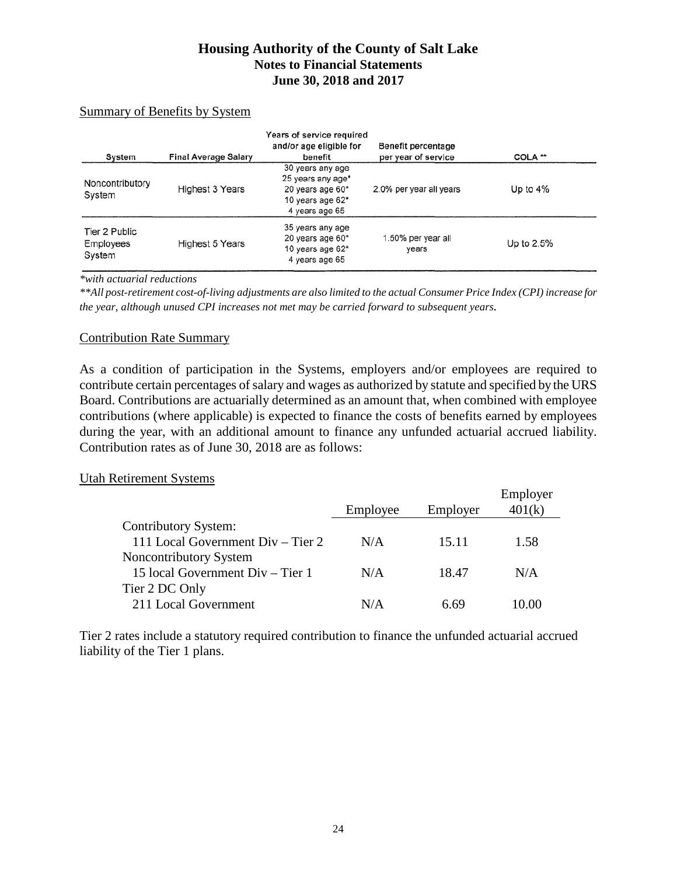|  | Summary of Benefits by System |  |  |
|--|-------------------------------|--|--|
|  |                               |  |  |

| System                               | <b>Final Average Salary</b> | Years of service required<br>and/or age eligible for<br>benefit                                   | Benefit percentage<br>per year of service | COLA **     |
|--------------------------------------|-----------------------------|---------------------------------------------------------------------------------------------------|-------------------------------------------|-------------|
| Noncontributory<br>System            | Highest 3 Years             | 30 years any age<br>25 years any age*<br>20 years age $60*$<br>10 years age 62*<br>4 years age 65 | 2.0% per year all years                   | Up to $4\%$ |
| Tier 2 Public<br>Employees<br>System | Highest 5 Years             | 35 years any age<br>20 years age $60*$<br>10 years age $62*$<br>4 years age 65                    | 1.50% per year all<br>years               | Up to 2.5%  |

*\*with actuarial reductions*

*\*\*All post-retirement cost-of-living adjustments are also limited to the actual Consumer Price Index (CPI) increase for the year, although unused CPI increases not met may be carried forward to subsequent years.*

#### Contribution Rate Summary

As a condition of participation in the Systems, employers and/or employees are required to contribute certain percentages of salary and wages as authorized by statute and specified by the URS Board. Contributions are actuarially determined as an amount that, when combined with employee contributions (where applicable) is expected to finance the costs of benefits earned by employees during the year, with an additional amount to finance any unfunded actuarial accrued liability. Contribution rates as of June 30, 2018 are as follows:

#### Utah Retirement Systems

|                                   |          |          | Employer |
|-----------------------------------|----------|----------|----------|
|                                   | Employee | Employer | 401(k)   |
| Contributory System:              |          |          |          |
| 111 Local Government Div – Tier 2 | N/A      | 15.11    | 1.58     |
| Noncontributory System            |          |          |          |
| 15 local Government Div – Tier 1  | N/A      | 18.47    | N/A      |
| Tier 2 DC Only                    |          |          |          |
| 211 Local Government              | N/A      | 6 69     | 10.00    |

Tier 2 rates include a statutory required contribution to finance the unfunded actuarial accrued liability of the Tier 1 plans.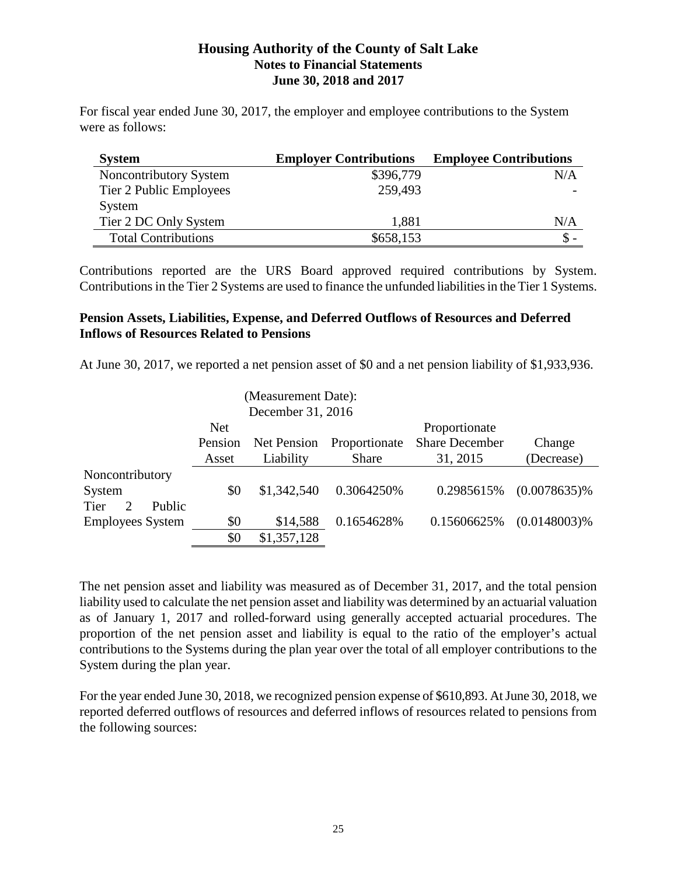For fiscal year ended June 30, 2017, the employer and employee contributions to the System were as follows:

| <b>System</b>              | <b>Employer Contributions</b> | <b>Employee Contributions</b> |
|----------------------------|-------------------------------|-------------------------------|
| Noncontributory System     | \$396,779                     | N/A                           |
| Tier 2 Public Employees    | 259,493                       |                               |
| System                     |                               |                               |
| Tier 2 DC Only System      | 1,881                         | N/A                           |
| <b>Total Contributions</b> | \$658,153                     | $\mathbb{S}$ -                |

Contributions reported are the URS Board approved required contributions by System. Contributions in the Tier 2 Systems are used to finance the unfunded liabilities in the Tier 1 Systems.

### **Pension Assets, Liabilities, Expense, and Deferred Outflows of Resources and Deferred Inflows of Resources Related to Pensions**

At June 30, 2017, we reported a net pension asset of \$0 and a net pension liability of \$1,933,936.

| (Measurement Date):     |         |                   |               |                       |                 |
|-------------------------|---------|-------------------|---------------|-----------------------|-----------------|
|                         |         | December 31, 2016 |               |                       |                 |
|                         | Net     |                   |               | Proportionate         |                 |
|                         | Pension | Net Pension       | Proportionate | <b>Share December</b> | Change          |
|                         | Asset   | Liability         | <b>Share</b>  | 31, 2015              | (Decrease)      |
| Noncontributory         |         |                   |               |                       |                 |
| System                  | \$0     | \$1,342,540       | 0.3064250%    | 0.2985615%            | $(0.0078635)\%$ |
| Tier<br>Public          |         |                   |               |                       |                 |
| <b>Employees System</b> | \$0     | \$14,588          | 0.1654628%    | 0.15606625%           | $(0.0148003)\%$ |
|                         | \$0     | \$1,357,128       |               |                       |                 |

The net pension asset and liability was measured as of December 31, 2017, and the total pension liability used to calculate the net pension asset and liability was determined by an actuarial valuation as of January 1, 2017 and rolled-forward using generally accepted actuarial procedures. The proportion of the net pension asset and liability is equal to the ratio of the employer's actual contributions to the Systems during the plan year over the total of all employer contributions to the System during the plan year.

For the year ended June 30, 2018, we recognized pension expense of \$610,893. At June 30, 2018, we reported deferred outflows of resources and deferred inflows of resources related to pensions from the following sources: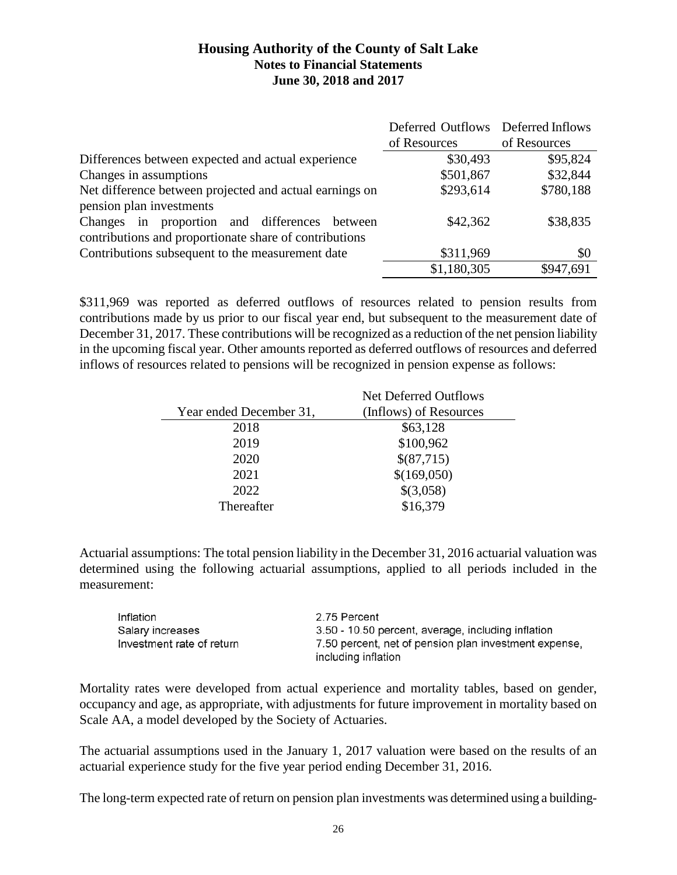|                                                         | Deferred Outflows Deferred Inflows |              |
|---------------------------------------------------------|------------------------------------|--------------|
|                                                         | of Resources                       | of Resources |
| Differences between expected and actual experience      | \$30,493                           | \$95,824     |
| Changes in assumptions                                  | \$501,867                          | \$32,844     |
| Net difference between projected and actual earnings on | \$293,614                          | \$780,188    |
| pension plan investments                                |                                    |              |
| Changes in proportion and differences<br>between        | \$42,362                           | \$38,835     |
| contributions and proportionate share of contributions  |                                    |              |
| Contributions subsequent to the measurement date        | \$311,969                          | \$0          |
|                                                         | \$1,180,305                        | \$947,691    |

\$311,969 was reported as deferred outflows of resources related to pension results from contributions made by us prior to our fiscal year end, but subsequent to the measurement date of December 31, 2017. These contributions will be recognized as a reduction of the net pension liability in the upcoming fiscal year. Other amounts reported as deferred outflows of resources and deferred inflows of resources related to pensions will be recognized in pension expense as follows:

| <b>Net Deferred Outflows</b> |
|------------------------------|
| (Inflows) of Resources       |
| \$63,128                     |
| \$100,962                    |
| \$(87,715)                   |
| \$(169,050)                  |
| \$(3,058)                    |
| \$16,379                     |
|                              |

Actuarial assumptions: The total pension liability in the December 31, 2016 actuarial valuation was determined using the following actuarial assumptions, applied to all periods included in the measurement:

| Inflation                 | 2.75 Percent                                          |
|---------------------------|-------------------------------------------------------|
| Salary increases          | 3.50 - 10.50 percent, average, including inflation    |
| Investment rate of return | 7.50 percent, net of pension plan investment expense, |
|                           | including inflation                                   |

Mortality rates were developed from actual experience and mortality tables, based on gender, occupancy and age, as appropriate, with adjustments for future improvement in mortality based on Scale AA, a model developed by the Society of Actuaries.

The actuarial assumptions used in the January 1, 2017 valuation were based on the results of an actuarial experience study for the five year period ending December 31, 2016.

The long-term expected rate of return on pension plan investments was determined using a building-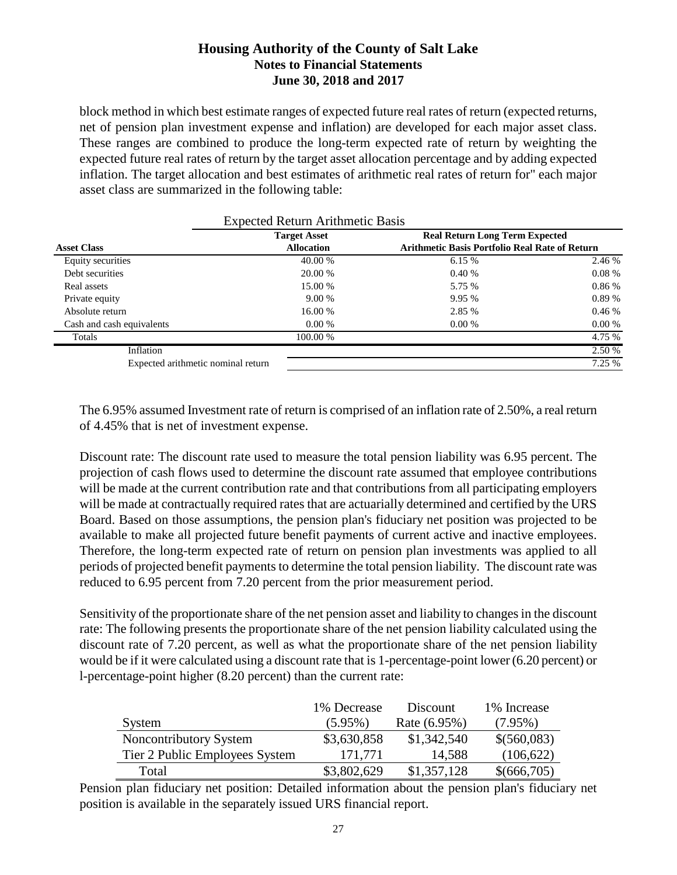block method in which best estimate ranges of expected future real rates of return (expected returns, net of pension plan investment expense and inflation) are developed for each major asset class. These ranges are combined to produce the long-term expected rate of return by weighting the expected future real rates of return by the target asset allocation percentage and by adding expected inflation. The target allocation and best estimates of arithmetic real rates of return for" each major asset class are summarized in the following table:

|                                    | <b>Expected Return Arithmetic Basis</b> |                                                       |                                       |  |  |
|------------------------------------|-----------------------------------------|-------------------------------------------------------|---------------------------------------|--|--|
|                                    | <b>Target Asset</b>                     |                                                       | <b>Real Return Long Term Expected</b> |  |  |
| <b>Asset Class</b>                 | <b>Allocation</b>                       | <b>Arithmetic Basis Portfolio Real Rate of Return</b> |                                       |  |  |
| Equity securities                  | 40.00 %                                 | 6.15 %                                                | 2.46 %                                |  |  |
| Debt securities                    | 20.00%                                  | 0.40%                                                 | $0.08\%$                              |  |  |
| Real assets                        | 15.00 %                                 | 5.75 %                                                | 0.86%                                 |  |  |
| Private equity                     | $9.00\%$                                | 9.95 %                                                | 0.89%                                 |  |  |
| Absolute return                    | 16.00 %                                 | 2.85 %                                                | 0.46%                                 |  |  |
| Cash and cash equivalents          | $0.00\%$                                | 0.00 %                                                | $0.00\%$                              |  |  |
| Totals                             | 100.00 %                                |                                                       | 4.75 %                                |  |  |
| Inflation                          |                                         |                                                       | 2.50 %                                |  |  |
| Expected arithmetic nominal return |                                         |                                                       | 7.25 %                                |  |  |

The 6.95% assumed Investment rate of return is comprised of an inflation rate of 2.50%, a real return of 4.45% that is net of investment expense.

Discount rate: The discount rate used to measure the total pension liability was 6.95 percent. The projection of cash flows used to determine the discount rate assumed that employee contributions will be made at the current contribution rate and that contributions from all participating employers will be made at contractually required rates that are actuarially determined and certified by the URS Board. Based on those assumptions, the pension plan's fiduciary net position was projected to be available to make all projected future benefit payments of current active and inactive employees. Therefore, the long-term expected rate of return on pension plan investments was applied to all periods of projected benefit payments to determine the total pension liability. The discount rate was reduced to 6.95 percent from 7.20 percent from the prior measurement period.

Sensitivity of the proportionate share of the net pension asset and liability to changes in the discount rate: The following presents the proportionate share of the net pension liability calculated using the discount rate of 7.20 percent, as well as what the proportionate share of the net pension liability would be if it were calculated using a discount rate that is 1-percentage-point lower (6.20 percent) or l-percentage-point higher (8.20 percent) than the current rate:

|                                | 1% Decrease | Discount     | 1\% Increase |
|--------------------------------|-------------|--------------|--------------|
| System                         | $(5.95\%)$  | Rate (6.95%) | $(7.95\%)$   |
| Noncontributory System         | \$3,630,858 | \$1,342,540  | \$(560,083)  |
| Tier 2 Public Employees System | 171,771     | 14,588       | (106, 622)   |
| Total                          | \$3,802,629 | \$1,357,128  | \$(666,705)  |

Pension plan fiduciary net position: Detailed information about the pension plan's fiduciary net position is available in the separately issued URS financial report.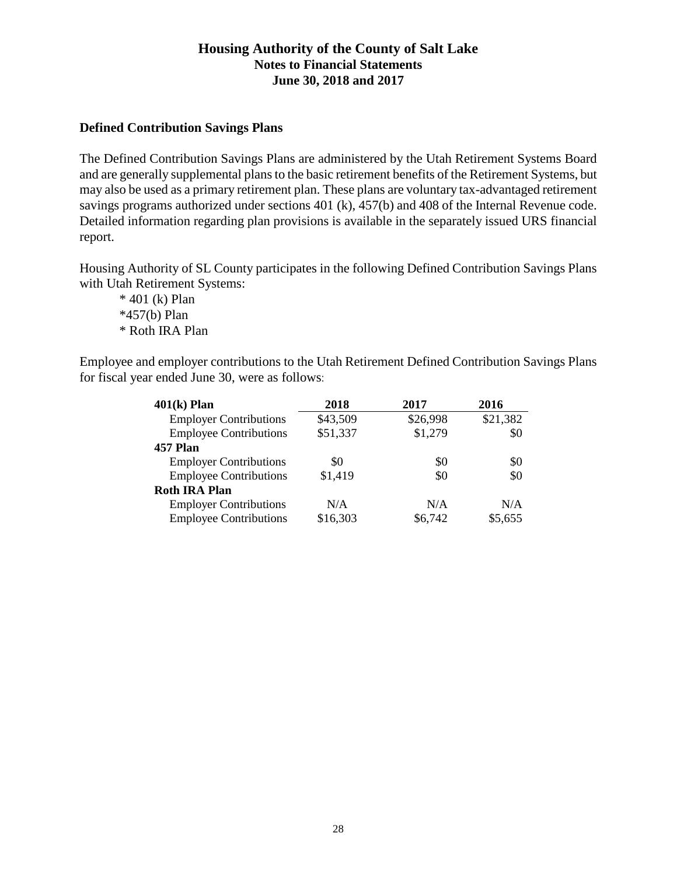### **Defined Contribution Savings Plans**

The Defined Contribution Savings Plans are administered by the Utah Retirement Systems Board and are generally supplemental plans to the basic retirement benefits of the Retirement Systems, but may also be used as a primary retirement plan. These plans are voluntary tax-advantaged retirement savings programs authorized under sections 401 (k), 457(b) and 408 of the Internal Revenue code. Detailed information regarding plan provisions is available in the separately issued URS financial report.

Housing Authority of SL County participates in the following Defined Contribution Savings Plans with Utah Retirement Systems:

\* 401 (k) Plan \*457(b) Plan \* Roth IRA Plan

Employee and employer contributions to the Utah Retirement Defined Contribution Savings Plans for fiscal year ended June 30, were as follows:

| $401(k)$ Plan                 | 2018     | 2017     | 2016     |
|-------------------------------|----------|----------|----------|
| <b>Employer Contributions</b> | \$43,509 | \$26,998 | \$21,382 |
| <b>Employee Contributions</b> | \$51,337 | \$1,279  | \$0      |
| 457 Plan                      |          |          |          |
| <b>Employer Contributions</b> | \$0      | \$0      | \$0      |
| <b>Employee Contributions</b> | \$1,419  | \$0      | \$0      |
| <b>Roth IRA Plan</b>          |          |          |          |
| <b>Employer Contributions</b> | N/A      | N/A      | N/A      |
| <b>Employee Contributions</b> | \$16,303 | \$6,742  | \$5,655  |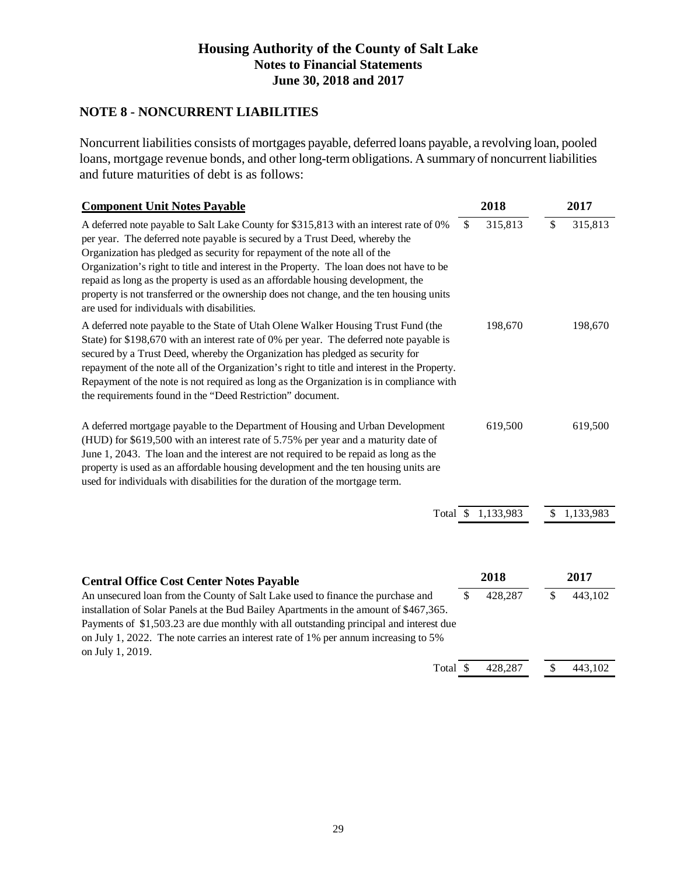# **NOTE 8 - NONCURRENT LIABILITIES**

Noncurrent liabilities consists of mortgages payable, deferred loans payable, a revolving loan, pooled loans, mortgage revenue bonds, and other long-term obligations. A summary of noncurrent liabilities and future maturities of debt is as follows:

| <b>Component Unit Notes Payable</b>                                                                                                                                                                                                                                                                                                                                                                                                                                                                                                                                         | 2018               | 2017            |
|-----------------------------------------------------------------------------------------------------------------------------------------------------------------------------------------------------------------------------------------------------------------------------------------------------------------------------------------------------------------------------------------------------------------------------------------------------------------------------------------------------------------------------------------------------------------------------|--------------------|-----------------|
| A deferred note payable to Salt Lake County for \$315,813 with an interest rate of 0%<br>per year. The deferred note payable is secured by a Trust Deed, whereby the<br>Organization has pledged as security for repayment of the note all of the<br>Organization's right to title and interest in the Property. The loan does not have to be<br>repaid as long as the property is used as an affordable housing development, the<br>property is not transferred or the ownership does not change, and the ten housing units<br>are used for individuals with disabilities. | \$<br>315,813      | \$<br>315,813   |
| A deferred note payable to the State of Utah Olene Walker Housing Trust Fund (the<br>State) for \$198,670 with an interest rate of 0% per year. The deferred note payable is<br>secured by a Trust Deed, whereby the Organization has pledged as security for<br>repayment of the note all of the Organization's right to title and interest in the Property.<br>Repayment of the note is not required as long as the Organization is in compliance with<br>the requirements found in the "Deed Restriction" document.                                                      | 198,670            | 198,670         |
| A deferred mortgage payable to the Department of Housing and Urban Development<br>(HUD) for \$619,500 with an interest rate of 5.75% per year and a maturity date of<br>June 1, 2043. The loan and the interest are not required to be repaid as long as the<br>property is used as an affordable housing development and the ten housing units are<br>used for individuals with disabilities for the duration of the mortgage term.                                                                                                                                        | 619,500            | 619,500         |
|                                                                                                                                                                                                                                                                                                                                                                                                                                                                                                                                                                             | Total \$ 1,133,983 | \$<br>1,133,983 |
| <b>Central Office Cost Center Notes Payable</b>                                                                                                                                                                                                                                                                                                                                                                                                                                                                                                                             | 2018               | 2017            |
| An unsecured loan from the County of Salt Lake used to finance the purchase and<br>installation of Solar Panels at the Bud Bailey Apartments in the amount of \$467,365.<br>Payments of \$1,503.23 are due monthly with all outstanding principal and interest due<br>on July 1, 2022. The note carries an interest rate of 1% per annum increasing to 5%<br>on July 1, 2019.                                                                                                                                                                                               | \$<br>428,287      | \$<br>443,102   |
| Total \$                                                                                                                                                                                                                                                                                                                                                                                                                                                                                                                                                                    | 428,287            | \$<br>443,102   |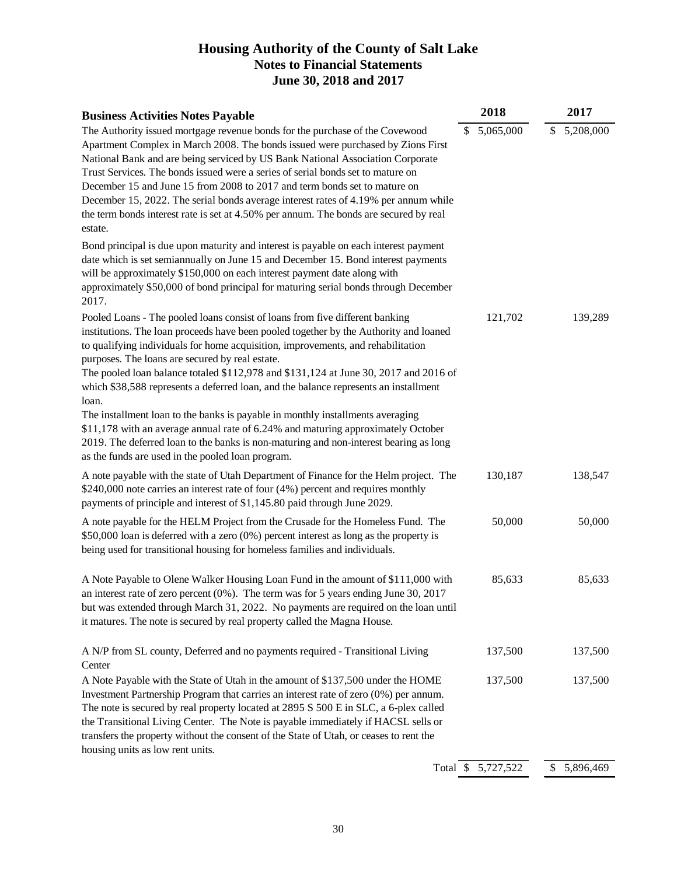| <b>Business Activities Notes Payable</b>                                                                                                                                                                                                                                                                                                                                                                                                                                                                                                                                                                                                                                                                                                                                                                                  | 2018               | 2017            |
|---------------------------------------------------------------------------------------------------------------------------------------------------------------------------------------------------------------------------------------------------------------------------------------------------------------------------------------------------------------------------------------------------------------------------------------------------------------------------------------------------------------------------------------------------------------------------------------------------------------------------------------------------------------------------------------------------------------------------------------------------------------------------------------------------------------------------|--------------------|-----------------|
| The Authority issued mortgage revenue bonds for the purchase of the Covewood<br>Apartment Complex in March 2008. The bonds issued were purchased by Zions First<br>National Bank and are being serviced by US Bank National Association Corporate<br>Trust Services. The bonds issued were a series of serial bonds set to mature on<br>December 15 and June 15 from 2008 to 2017 and term bonds set to mature on<br>December 15, 2022. The serial bonds average interest rates of 4.19% per annum while<br>the term bonds interest rate is set at 4.50% per annum. The bonds are secured by real<br>estate.                                                                                                                                                                                                              | 5,065,000<br>\$    | 5,208,000<br>\$ |
| Bond principal is due upon maturity and interest is payable on each interest payment<br>date which is set semiannually on June 15 and December 15. Bond interest payments<br>will be approximately \$150,000 on each interest payment date along with<br>approximately \$50,000 of bond principal for maturing serial bonds through December<br>2017.                                                                                                                                                                                                                                                                                                                                                                                                                                                                     |                    |                 |
| Pooled Loans - The pooled loans consist of loans from five different banking<br>institutions. The loan proceeds have been pooled together by the Authority and loaned<br>to qualifying individuals for home acquisition, improvements, and rehabilitation<br>purposes. The loans are secured by real estate.<br>The pooled loan balance totaled \$112,978 and \$131,124 at June 30, 2017 and 2016 of<br>which \$38,588 represents a deferred loan, and the balance represents an installment<br>loan.<br>The installment loan to the banks is payable in monthly installments averaging<br>\$11,178 with an average annual rate of 6.24% and maturing approximately October<br>2019. The deferred loan to the banks is non-maturing and non-interest bearing as long<br>as the funds are used in the pooled loan program. | 121,702            | 139,289         |
| A note payable with the state of Utah Department of Finance for the Helm project. The<br>\$240,000 note carries an interest rate of four (4%) percent and requires monthly<br>payments of principle and interest of \$1,145.80 paid through June 2029.                                                                                                                                                                                                                                                                                                                                                                                                                                                                                                                                                                    | 130,187            | 138,547         |
| A note payable for the HELM Project from the Crusade for the Homeless Fund. The<br>\$50,000 loan is deferred with a zero (0%) percent interest as long as the property is<br>being used for transitional housing for homeless families and individuals.                                                                                                                                                                                                                                                                                                                                                                                                                                                                                                                                                                   | 50,000             | 50,000          |
| A Note Payable to Olene Walker Housing Loan Fund in the amount of \$111,000 with<br>an interest rate of zero percent (0%). The term was for 5 years ending June 30, 2017<br>but was extended through March 31, 2022. No payments are required on the loan until<br>it matures. The note is secured by real property called the Magna House.                                                                                                                                                                                                                                                                                                                                                                                                                                                                               | 85,633             | 85,633          |
| A N/P from SL county, Deferred and no payments required - Transitional Living<br>Center                                                                                                                                                                                                                                                                                                                                                                                                                                                                                                                                                                                                                                                                                                                                   | 137,500            | 137,500         |
| A Note Payable with the State of Utah in the amount of \$137,500 under the HOME<br>Investment Partnership Program that carries an interest rate of zero (0%) per annum.<br>The note is secured by real property located at 2895 S 500 E in SLC, a 6-plex called<br>the Transitional Living Center. The Note is payable immediately if HACSL sells or<br>transfers the property without the consent of the State of Utah, or ceases to rent the<br>housing units as low rent units.                                                                                                                                                                                                                                                                                                                                        | 137,500            | 137,500         |
|                                                                                                                                                                                                                                                                                                                                                                                                                                                                                                                                                                                                                                                                                                                                                                                                                           | Total \$ 5,727,522 | \$<br>5,896,469 |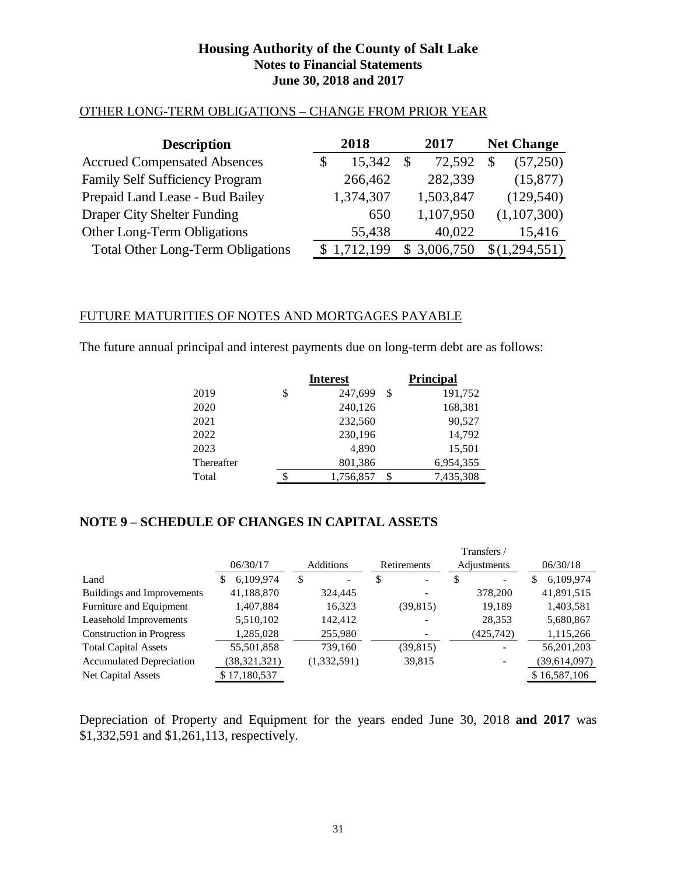#### OTHER LONG-TERM OBLIGATIONS – CHANGE FROM PRIOR YEAR

| <b>Description</b>                       | 2018        | 2017         | <b>Net Change</b> |
|------------------------------------------|-------------|--------------|-------------------|
| <b>Accrued Compensated Absences</b>      | 15,342      | 72,592<br>-S | (57,250)          |
| Family Self Sufficiency Program          | 266,462     | 282,339      | (15, 877)         |
| Prepaid Land Lease - Bud Bailey          | 1,374,307   | 1,503,847    | (129, 540)        |
| <b>Draper City Shelter Funding</b>       | 650         | 1,107,950    | (1,107,300)       |
| Other Long-Term Obligations              | 55,438      | 40,022       | 15,416            |
| <b>Total Other Long-Term Obligations</b> | \$1,712,199 | \$3,006,750  | \$(1,294,551)     |

#### FUTURE MATURITIES OF NOTES AND MORTGAGES PAYABLE

The future annual principal and interest payments due on long-term debt are as follows:

|            | <b>Interest</b> | <b>Principal</b> |
|------------|-----------------|------------------|
| 2019       | \$<br>247,699   | \$<br>191,752    |
| 2020       | 240,126         | 168,381          |
| 2021       | 232,560         | 90,527           |
| 2022       | 230,196         | 14,792           |
| 2023       | 4,890           | 15,501           |
| Thereafter | 801,386         | 6,954,355        |
| Total      | 1,756,857       | \$<br>7,435,308  |

### **NOTE 9 – SCHEDULE OF CHANGES IN CAPITAL ASSETS**

|                                 |                |                  |                                | Transfers / |                |
|---------------------------------|----------------|------------------|--------------------------------|-------------|----------------|
|                                 | 06/30/17       | <b>Additions</b> | Retirements                    | Adjustments | 06/30/18       |
| Land                            | 6,109,974<br>S | \$               | \$<br>$\overline{\phantom{a}}$ | S           | 6,109,974<br>S |
| Buildings and Improvements      | 41,188,870     | 324,445          | ٠                              | 378,200     | 41,891,515     |
| Furniture and Equipment         | 1,407,884      | 16,323           | (39, 815)                      | 19.189      | 1,403,581      |
| Leasehold Improvements          | 5,510,102      | 142,412          |                                | 28,353      | 5,680,867      |
| <b>Construction in Progress</b> | 1,285,028      | 255,980          |                                | (425, 742)  | 1,115,266      |
| <b>Total Capital Assets</b>     | 55,501,858     | 739,160          | (39, 815)                      |             | 56,201,203     |
| <b>Accumulated Depreciation</b> | (38, 321, 321) | (1,332,591)      | 39,815                         |             | (39,614,097)   |
| <b>Net Capital Assets</b>       | \$17,180,537   |                  |                                |             | \$16,587,106   |
|                                 |                |                  |                                |             |                |

Depreciation of Property and Equipment for the years ended June 30, 2018 **and 2017** was \$1,332,591 and \$1,261,113, respectively.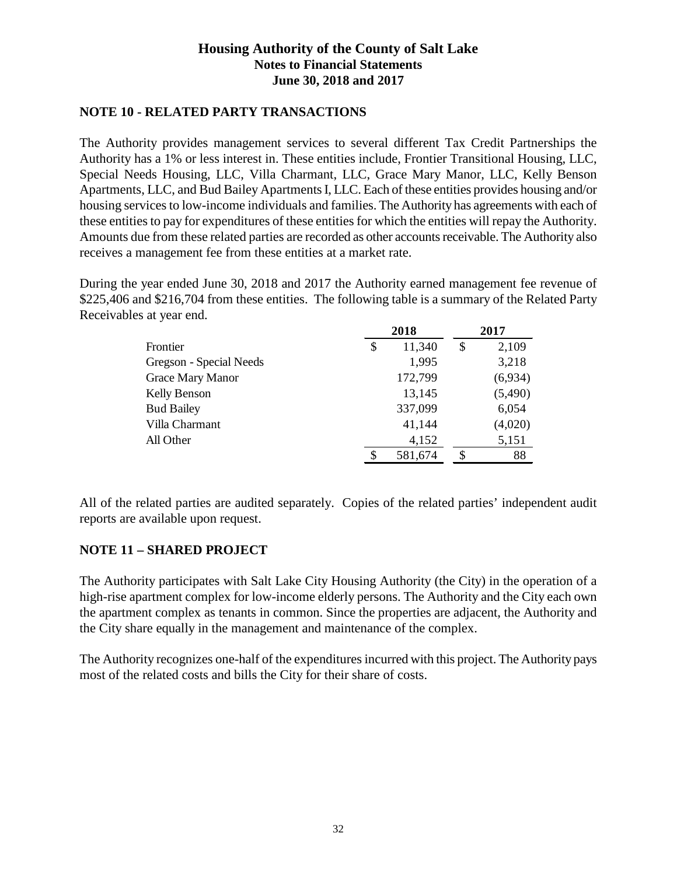#### **NOTE 10 - RELATED PARTY TRANSACTIONS**

The Authority provides management services to several different Tax Credit Partnerships the Authority has a 1% or less interest in. These entities include, Frontier Transitional Housing, LLC, Special Needs Housing, LLC, Villa Charmant, LLC, Grace Mary Manor, LLC, Kelly Benson Apartments, LLC, and Bud Bailey Apartments I, LLC. Each of these entities provides housing and/or housing services to low-income individuals and families. The Authority has agreements with each of these entities to pay for expenditures of these entities for which the entities will repay the Authority. Amounts due from these related parties are recorded as other accounts receivable. The Authority also receives a management fee from these entities at a market rate.

During the year ended June 30, 2018 and 2017 the Authority earned management fee revenue of \$225,406 and \$216,704 from these entities. The following table is a summary of the Related Party Receivables at year end.

|                         |    | 2017    |    |         |  |  |
|-------------------------|----|---------|----|---------|--|--|
| Frontier                | \$ | 11,340  | \$ | 2,109   |  |  |
| Gregson - Special Needs |    | 1,995   |    | 3,218   |  |  |
| Grace Mary Manor        |    | 172,799 |    | (6,934) |  |  |
| Kelly Benson            |    | 13,145  |    | (5,490) |  |  |
| <b>Bud Bailey</b>       |    | 337,099 |    | 6,054   |  |  |
| Villa Charmant          |    | 41,144  |    | (4,020) |  |  |
| All Other               |    | 4,152   |    | 5,151   |  |  |
|                         | \$ | 581,674 | S  | 88      |  |  |

All of the related parties are audited separately. Copies of the related parties' independent audit reports are available upon request.

### **NOTE 11 – SHARED PROJECT**

The Authority participates with Salt Lake City Housing Authority (the City) in the operation of a high-rise apartment complex for low-income elderly persons. The Authority and the City each own the apartment complex as tenants in common. Since the properties are adjacent, the Authority and the City share equally in the management and maintenance of the complex.

The Authority recognizes one-half of the expenditures incurred with this project. The Authority pays most of the related costs and bills the City for their share of costs.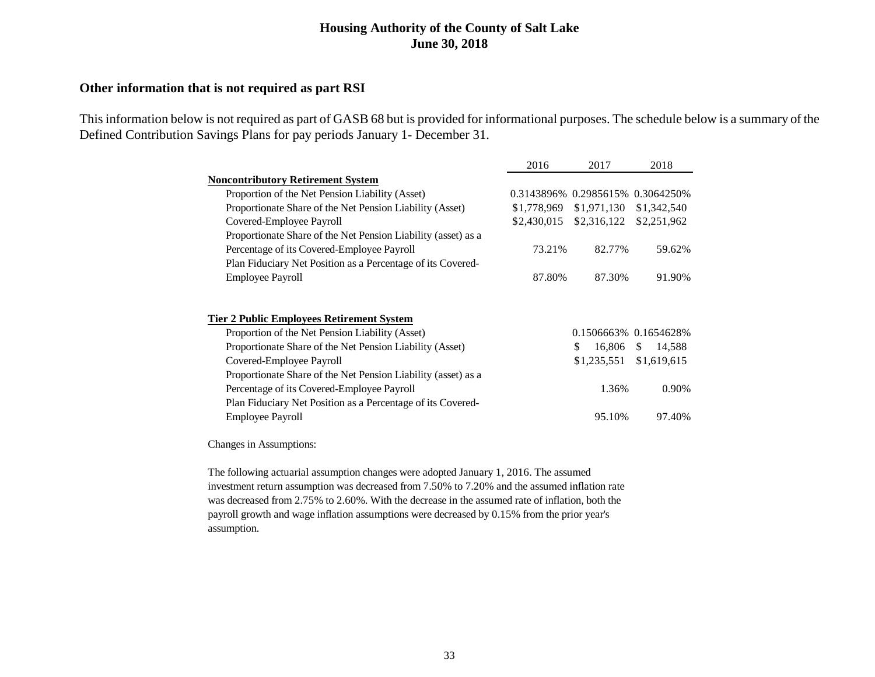#### **Housing Authority of the County of Salt Lake June 30, 2018**

#### **Other information that is not required as part RSI**

This information below is not required as part of GASB 68 but is provided for informational purposes. The schedule below is a summary of the Defined Contribution Savings Plans for pay periods January 1- December 31.

|                                                               | 2016        | 2017                  | 2018                  |
|---------------------------------------------------------------|-------------|-----------------------|-----------------------|
| <b>Noncontributory Retirement System</b>                      |             |                       |                       |
| Proportion of the Net Pension Liability (Asset)               |             | 0.3143896% 0.2985615% | 0.3064250%            |
| Proportionate Share of the Net Pension Liability (Asset)      | \$1,778,969 | \$1,971,130           | \$1,342,540           |
| Covered-Employee Payroll                                      | \$2,430,015 | \$2,316,122           | \$2,251,962           |
| Proportionate Share of the Net Pension Liability (asset) as a |             |                       |                       |
| Percentage of its Covered-Employee Payroll                    | 73.21%      | 82.77%                | 59.62%                |
| Plan Fiduciary Net Position as a Percentage of its Covered-   |             |                       |                       |
| Employee Payroll                                              | 87.80%      | 87.30%                | 91.90%                |
|                                                               |             |                       |                       |
|                                                               |             |                       |                       |
| <b>Tier 2 Public Employees Retirement System</b>              |             |                       |                       |
| Proportion of the Net Pension Liability (Asset)               |             |                       | 0.1506663% 0.1654628% |
| Proportionate Share of the Net Pension Liability (Asset)      |             | 16,806<br>\$.         | 14,588<br>S.          |
| Covered-Employee Payroll                                      |             | \$1,235,551           | \$1,619,615           |
| Proportionate Share of the Net Pension Liability (asset) as a |             |                       |                       |
| Percentage of its Covered-Employee Payroll                    |             | 1.36%                 | 0.90%                 |
| Plan Fiduciary Net Position as a Percentage of its Covered-   |             |                       |                       |
| Employee Payroll                                              |             | 95.10%                | 97.40%                |
|                                                               |             |                       |                       |

Changes in Assumptions:

The following actuarial assumption changes were adopted January 1, 2016. The assumed investment return assumption was decreased from 7.50% to 7.20% and the assumed inflation rate was decreased from 2.75% to 2.60%. With the decrease in the assumed rate of inflation, both the payroll growth and wage inflation assumptions were decreased by 0.15% from the prior year's assumption.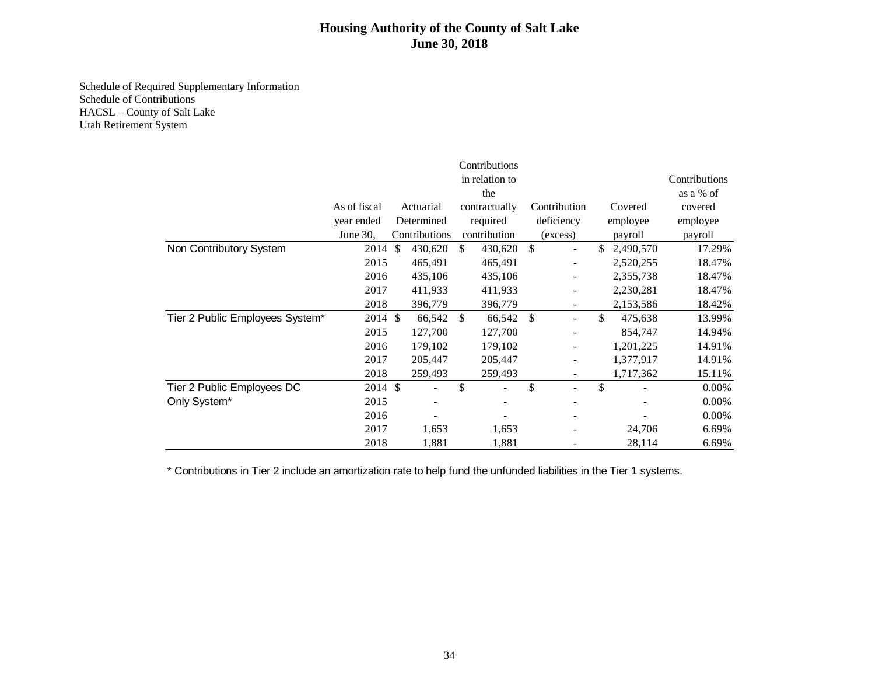### **Housing Authority of the County of Salt Lake June 30, 2018**

Schedule of Required Supplementary Information Schedule of Contributions HACSL – County of Salt Lake Utah Retirement System

|                                 |              |     |               |               | Contributions  |              |                          |    |           |               |  |  |
|---------------------------------|--------------|-----|---------------|---------------|----------------|--------------|--------------------------|----|-----------|---------------|--|--|
|                                 |              |     |               |               | in relation to |              |                          |    |           | Contributions |  |  |
|                                 |              | the |               |               |                |              |                          |    |           |               |  |  |
|                                 | As of fiscal |     | Actuarial     |               | contractually  |              | Contribution             |    | Covered   | covered       |  |  |
|                                 | year ended   |     | Determined    | required      |                |              | deficiency               |    | employee  | employee      |  |  |
|                                 | June 30,     |     | Contributions |               | contribution   |              | (excess)                 |    | payroll   | payroll       |  |  |
| Non Contributory System         | 2014         | -S  | 430,620       | \$.           | 430,620        | $\mathbb{S}$ | $\overline{\phantom{m}}$ | \$ | 2,490,570 | 17.29%        |  |  |
|                                 | 2015         |     | 465,491       |               | 465,491        |              | $\overline{a}$           |    | 2,520,255 | 18.47%        |  |  |
|                                 | 2016         |     | 435,106       |               | 435,106        |              | $\overline{\phantom{0}}$ |    | 2,355,738 | 18.47%        |  |  |
|                                 | 2017         |     | 411,933       |               | 411,933        |              |                          |    | 2,230,281 | 18.47%        |  |  |
|                                 | 2018         |     | 396,779       |               | 396,779        |              |                          |    | 2,153,586 | 18.42%        |  |  |
| Tier 2 Public Employees System* | 2014 \$      |     | 66,542        | <sup>\$</sup> | 66,542         | $\mathbb{S}$ | ۰                        | \$ | 475,638   | 13.99%        |  |  |
|                                 | 2015         |     | 127,700       |               | 127,700        |              |                          |    | 854,747   | 14.94%        |  |  |
|                                 | 2016         |     | 179,102       |               | 179,102        |              | $\overline{\phantom{0}}$ |    | 1,201,225 | 14.91%        |  |  |
|                                 | 2017         |     | 205,447       |               | 205,447        |              |                          |    | 1,377,917 | 14.91%        |  |  |
|                                 | 2018         |     | 259,493       |               | 259,493        |              | $\overline{a}$           |    | 1,717,362 | 15.11%        |  |  |
| Tier 2 Public Employees DC      | 2014 \$      |     |               | \$            |                | \$           |                          | \$ |           | 0.00%         |  |  |
| Only System*                    | 2015         |     |               |               |                |              |                          |    |           | 0.00%         |  |  |
|                                 | 2016         |     |               |               |                |              | $\overline{\phantom{0}}$ |    |           | 0.00%         |  |  |
|                                 | 2017         |     | 1,653         |               | 1,653          |              |                          |    | 24,706    | 6.69%         |  |  |
|                                 | 2018         |     | 1,881         |               | 1,881          |              |                          |    | 28,114    | 6.69%         |  |  |

\* Contributions in Tier 2 include an amortization rate to help fund the unfunded liabilities in the Tier 1 systems.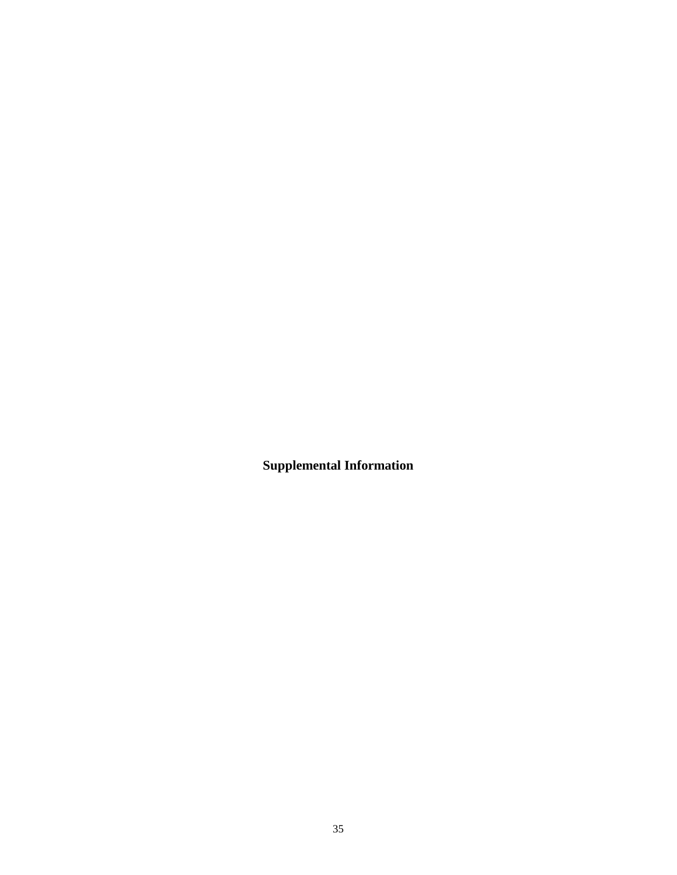**Supplemental Information**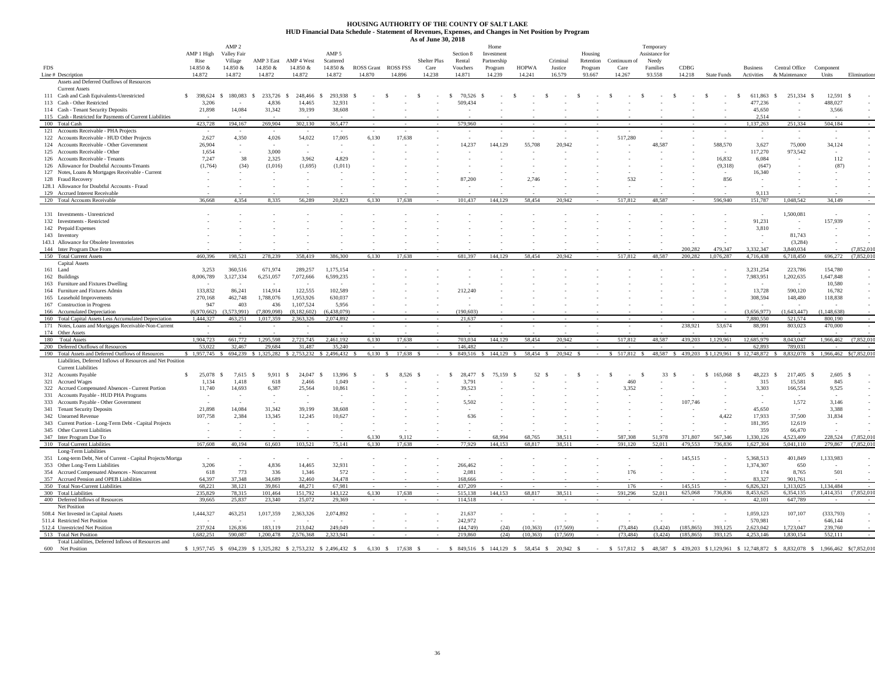# **HOUSING AUTHORITY OF THE COUNTY OF SALT LAKE HUD Financial Data Schedule - Statement of Revenues, Expenses, and Changes in Net Position by Program As of June 30, 2018**

|                                                                                               |                | AMP <sub>2</sub>   |             |                                     |                  |                   |                 |                     |                   | Home        |           |            |                |               | Temporary      |                    |                      |                                    |                                                                                                                                                                                                                                         |                   |                                        |
|-----------------------------------------------------------------------------------------------|----------------|--------------------|-------------|-------------------------------------|------------------|-------------------|-----------------|---------------------|-------------------|-------------|-----------|------------|----------------|---------------|----------------|--------------------|----------------------|------------------------------------|-----------------------------------------------------------------------------------------------------------------------------------------------------------------------------------------------------------------------------------------|-------------------|----------------------------------------|
|                                                                                               | AMP 1 High     | <b>Valley Fair</b> |             |                                     | AMP <sub>5</sub> |                   |                 |                     | Section 8         | Investment  |           |            | Housing        |               | Assistance for |                    |                      |                                    |                                                                                                                                                                                                                                         |                   |                                        |
|                                                                                               | Rise           | Village            | AMP 3 East  | AMP 4 West                          | Scattered        |                   |                 | <b>Shelter Plus</b> | Rental            | Partnership |           | Criminal   | Retention      | Continuum of  | Needy          |                    |                      |                                    |                                                                                                                                                                                                                                         |                   |                                        |
| <b>FDS</b>                                                                                    | 14.850 &       | 14.850 &           | 14.850 &    | 14.850 &                            | 14.850 &         | <b>ROSS</b> Grant | <b>ROSS FSS</b> | Care                | Vouchers          | Program     | HOPW/     | Justice    | Program        | Care          | Families       | <b>CDBG</b>        |                      | <b>Business</b>                    | Central Office                                                                                                                                                                                                                          | Component         |                                        |
| Line # Description<br>Assets and Deferred Outflows of Resources                               | 14.872         | 14.872             | 14.872      | 14.872                              | 14.872           | 14.870            | 14.896          | 14.238              | 14.871            | 14.239      | 14.241    | 16.579     | 93.667         | 14.267        | 93.558         | 14.218             | <b>State Funds</b>   | Activities                         | & Maintenance                                                                                                                                                                                                                           | Units             | Eliminations                           |
| <b>Current Assets</b>                                                                         |                |                    |             |                                     |                  |                   |                 |                     |                   |             |           |            |                |               |                |                    |                      |                                    |                                                                                                                                                                                                                                         |                   |                                        |
| 111 Cash and Cash Equivalents-Unrestricted                                                    | 398.624        | 180.083            | 233,726     | 248,466                             | 293,938 \$       |                   |                 |                     | 70.526 \$         |             |           |            |                |               |                |                    |                      | 611,863                            | 251,334                                                                                                                                                                                                                                 | 12,591 \$         | $\sim$ $ \sim$                         |
| 113 Cash - Other Restricted                                                                   | 3,206          |                    | 4,836       | 14,465                              | 32,931           |                   |                 |                     | 509,434           |             |           |            |                |               |                |                    |                      | 477,236                            |                                                                                                                                                                                                                                         | 488,027           | $\sim$ $-$                             |
| 114 Cash - Tenant Security Deposits                                                           | 21,898         | 14,084             | 31,342      | 39,199                              | 38,608           |                   |                 |                     |                   |             |           |            |                |               |                |                    |                      | 45,650                             |                                                                                                                                                                                                                                         | 3,566             |                                        |
| 115 Cash - Restricted for Payments of Current Liabilities                                     | $\sim$ $ \sim$ | $\sim$             | $\sim$      | $\sim$                              |                  |                   |                 |                     |                   |             |           |            |                |               |                |                    |                      | 2,514                              | $\sim$                                                                                                                                                                                                                                  | $\sim$ $-$        | $\sim$ $ \sim$                         |
| 100 Total Cash                                                                                | 423,728        | 194,167            | 269,904     | 302,130                             | 365,477          | $\sim$ $ \sim$    | $\sim$ $ \sim$  | $\sim$              | 579,960           | $\sim$      |           | $\sim$     | $\sim$         | $\sim$        |                |                    |                      | 1,137,263                          | 251,334                                                                                                                                                                                                                                 | 504,184           | $\sim 10^{-1}$                         |
| 121 Accounts Receivable - PHA Projects                                                        | $\sim$         |                    | $-$         |                                     |                  |                   | $\sim$          |                     |                   |             |           |            |                |               |                |                    |                      |                                    |                                                                                                                                                                                                                                         | $\sim$            | $\sim$ $-$                             |
| 122 Accounts Receivable - HUD Other Projects                                                  | 2,627          | 4,350              | 4,026       | 54,022                              | 17,005           | 6,130             | 17,638          |                     |                   |             |           |            |                | 517,280       |                |                    |                      | $\sim$                             |                                                                                                                                                                                                                                         | $\sim$            | $\sim$ 100 $\mu$                       |
| 124 Accounts Receivable - Other Government                                                    | 26,904         |                    |             |                                     |                  |                   |                 |                     | 14,237            | 144,129     | 55,708    | 20,942     |                |               | 48,587         |                    | 588,570              | 3,627                              | 75,000                                                                                                                                                                                                                                  | 34,124            | $\sim 100$                             |
| 125 Accounts Receivable - Other                                                               | 1,654          |                    | 3,000       | $\sim$                              |                  |                   |                 |                     |                   |             |           |            |                |               |                |                    |                      | 117,270                            | 973,542                                                                                                                                                                                                                                 | $\sim$ $-$        | $\sim 10^{-11}$                        |
| 126 Accounts Receivable - Tenants                                                             | 7,247          | 38                 | 2,325       | 3,962                               | 4,829            |                   |                 |                     |                   |             |           |            |                |               |                |                    | 16,832               | 6,084                              |                                                                                                                                                                                                                                         | 112               | $\alpha = 0.01$                        |
| 126 Allowance for Doubtful Accounts-Tenants                                                   | (1,764)        | (34)               | (1,016)     | (1,695)                             | (1,011)          |                   |                 |                     |                   |             |           |            |                |               |                |                    | (9,318)              | (647)                              |                                                                                                                                                                                                                                         | (87)              | $\mathcal{L}=\mathcal{L}(\mathcal{L})$ |
| 127 Notes, Loans & Mortgages Receivable - Current                                             |                |                    |             |                                     |                  |                   |                 |                     |                   |             |           |            |                |               |                |                    |                      | 16,340                             |                                                                                                                                                                                                                                         | $\sim$            | $\sim$ 100 $\mu$                       |
| 128 Fraud Recovery                                                                            |                |                    |             |                                     |                  |                   |                 |                     | 87,200            |             | 2.746     |            |                | 532           |                |                    | 856                  |                                    |                                                                                                                                                                                                                                         |                   |                                        |
| 128.1 Allowance for Doubtful Accounts - Fraud<br>129 Accrued Interest Receivable              |                |                    |             |                                     |                  |                   |                 |                     |                   |             |           |            |                |               |                |                    |                      |                                    |                                                                                                                                                                                                                                         |                   |                                        |
| 120 Total Accounts Receivable                                                                 | 36,668         | 4,354              | 8,335       | 56,289                              | 20,823           | 6,130             | 17,638          | $\sim$              | 101,437           | 144,129     | 58,454    | 20,942     | $\sim$         | 517,812       | 48,587         |                    | 596,940              | 9,113<br>151,787                   | 1,048,542                                                                                                                                                                                                                               | 34,149            |                                        |
|                                                                                               |                |                    |             |                                     |                  |                   |                 |                     |                   |             |           |            |                |               |                |                    |                      |                                    |                                                                                                                                                                                                                                         |                   |                                        |
| 131 Investments - Unrestricted                                                                |                |                    |             |                                     |                  |                   |                 |                     |                   |             |           |            |                |               |                |                    |                      |                                    | 1,500,081                                                                                                                                                                                                                               | $\sim$            | $\sim$ 10 $\pm$                        |
| 132 Investments - Restricted                                                                  |                |                    |             |                                     |                  |                   |                 |                     |                   |             |           |            |                |               |                |                    |                      | 91,231                             | $\sim$                                                                                                                                                                                                                                  | 157,939           | $\sim$ $-$                             |
| 142 Prepaid Expenses                                                                          |                |                    |             |                                     |                  |                   |                 |                     |                   |             |           |            |                |               |                |                    |                      | 3,810                              |                                                                                                                                                                                                                                         | $\sim$            | $\sim$ 100 $\mu$                       |
| 143 Inventory                                                                                 |                |                    |             |                                     |                  |                   |                 |                     |                   |             |           |            |                |               |                |                    |                      |                                    | 81,743                                                                                                                                                                                                                                  | $\sim$            | $\sim$ $-$                             |
| 143.1 Allowance for Obsolete Inventories                                                      |                |                    |             |                                     |                  |                   |                 |                     |                   |             |           |            |                |               |                |                    |                      |                                    | (3,284)                                                                                                                                                                                                                                 | $\sim$            | $\sim$ $-$                             |
| 144 Inter Program Due From<br>150 Total Current Assets                                        | 460,396        | 198,521            | 278,239     | 358,419                             | 386,300          | 6,130             | 17,638          |                     | 681,397           | 144,129     | 58,454    | 20,942     |                | 517,812       | 48,587         | 200,282<br>200,282 | 479,347<br>1,076,287 | 3,332,347<br>4,716,438             | 3,840,034<br>6,718,450                                                                                                                                                                                                                  | $\sim$<br>696,272 | (7,852,010)<br>(7,852,010)             |
| <b>Capital Assets</b>                                                                         |                |                    |             |                                     |                  |                   |                 | $\sim$              |                   |             |           |            | $\sim$ $ \sim$ |               |                |                    |                      |                                    |                                                                                                                                                                                                                                         |                   |                                        |
| 161 Land                                                                                      | 3,253          | 360,516            | 671,974     | 289,257                             | 1,175,154        |                   |                 |                     |                   |             |           |            |                |               |                |                    |                      | 3,231,254                          | 223,786                                                                                                                                                                                                                                 | 154,780           | $\sim$ $-$                             |
| 162 Buildings                                                                                 | 8,006,789      | 3,127,334          | 6,251,057   | 7,072,666                           | 6,599,235        |                   |                 |                     |                   |             |           |            |                |               |                |                    |                      | 7,983,951                          | 1,202,635                                                                                                                                                                                                                               | 1,647,848         | $\sim$ 100 $\mu$                       |
| 163 Furniture and Fixtures Dwelling                                                           |                |                    |             |                                     |                  |                   |                 |                     |                   |             |           |            |                |               |                |                    |                      |                                    |                                                                                                                                                                                                                                         | 10,580            | $\sim$ 100 $\mu$                       |
| 164 Furniture and Fixtures Admin                                                              | 133,832        | 86,241             | 114,914     | 122,555                             | 102,589          |                   |                 |                     | 212,240           |             |           |            |                |               |                |                    |                      | 13,728                             | 590,120                                                                                                                                                                                                                                 | 16,782            |                                        |
| 165 Leasehold Improvements                                                                    | 270,168        | 462,748            | 1,788,076   | 1,953,926                           | 630,037          |                   |                 |                     |                   |             |           |            |                |               |                |                    |                      | 308,594                            | 148,480                                                                                                                                                                                                                                 | 118,838           | $\sim$                                 |
| 167 Construction in Progress                                                                  | 947            | 403                | 436         | 1,107,524                           | 5,956            |                   |                 |                     |                   |             |           |            |                |               |                |                    |                      |                                    |                                                                                                                                                                                                                                         | $\sim$            | $\sim$ $ \sim$                         |
| 166 Accumulated Depreciation                                                                  | (6,970,662)    | (3,573,991)        | (7,809,098) | (8,182,602)                         | (6,438,079)      |                   |                 |                     | (190, 603)        |             |           |            |                |               |                |                    |                      | (3,656,977)                        | (1,643,447)                                                                                                                                                                                                                             | 1,148,638)        | $\sim 10^{-11}$                        |
| 160 Total Capital Assets Less Accumulated Depreciation                                        | 1,444,327      | 463,251            | 1,017,359   | 2,363,326                           | 2,074,892        |                   |                 |                     | 21,637            |             |           |            |                |               |                |                    |                      | 7,880,550                          | 521,574                                                                                                                                                                                                                                 | 800,190           |                                        |
| 171 Notes, Loans and Mortgages Receivable-Non-Current                                         |                |                    |             |                                     |                  |                   |                 |                     |                   |             |           |            |                |               |                | 238,921            | 53,674               | 88,991                             | 803,023                                                                                                                                                                                                                                 | 470,000           |                                        |
| 174 Other Assets<br>180 Total Assets                                                          | 1,904,723      | 661,772            | 1,295,598   | 2,721,745                           | 2,461,192        | 6,130             | 17,638          | $\sim$              | 703,034           | 144,129     | 58,454    | 20,942     | $\sim$         | 517,812       | 48,587         | 439,203            | 1,129,961            | 12,685,979                         | $\sim$<br>8,043,047                                                                                                                                                                                                                     | 1,966,462         | (7,852,010)                            |
| 200 Deferred Outflows of Resources                                                            | 53,022         | 32,467             | 29,684      | 31,487                              | 35,240           | $\sim$ $-$        | $\sim$          | $\sim$              | 146,482           |             | $\sim$    | $\sim$ $-$ |                |               |                |                    |                      | 62,893                             | 789,031                                                                                                                                                                                                                                 |                   |                                        |
| 190 Total Assets and Deferred Outflows of Resources                                           | \$1,957,745    | 694,239            | - S         | 1,325,282 \$ 2,753,232 \$ 2,496,432 |                  | $6,130$ \$        | 17,638          |                     | 849,516 \$<br>-SS | 144,129     | 58,454 \$ | 20,942 \$  |                | $$517,812$ \$ | 48,587 \$      |                    |                      | 439,203 \$1,129,961 \$12,748,872   | 8,832,078                                                                                                                                                                                                                               |                   | 1,966,462 \$(7,852,010)                |
| Liabilities, Deferred Inflows of Resources and Net Position                                   |                |                    |             |                                     |                  |                   |                 |                     |                   |             |           |            |                |               |                |                    |                      |                                    |                                                                                                                                                                                                                                         |                   |                                        |
| <b>Current Liabilities</b>                                                                    |                |                    |             |                                     |                  |                   |                 |                     |                   |             |           |            |                |               |                |                    |                      |                                    |                                                                                                                                                                                                                                         |                   |                                        |
| 312 Accounts Payable                                                                          | 25,078         | 7,615              | 9,911       | 24.047                              | 13,996           |                   |                 |                     |                   | 75.159      | 52.       |            |                |               |                |                    | 165,068              | 48,223                             | 217,405                                                                                                                                                                                                                                 | 2,605             | $\sim$ $ \sim$                         |
| 321 Accrued Wages                                                                             | 1,134          | 1,418              | 618         | 2,466                               | 1,049            |                   |                 |                     | 3,79              |             |           |            |                | 460           |                |                    |                      | 315                                | 15,581                                                                                                                                                                                                                                  | 845               |                                        |
| 322 Accrued Compensated Absences - Current Portion<br>331 Accounts Payable - HUD PHA Programs | 11,740         | 14,693             | 6,387       | 25,564                              | 10,861           |                   |                 |                     | 39,523            |             |           |            |                | 3,352         |                |                    |                      | 3,303                              | 166,554                                                                                                                                                                                                                                 | 9,525             |                                        |
| 333 Accounts Payable - Other Government                                                       |                |                    |             |                                     |                  |                   |                 |                     | 5,502             |             |           |            |                |               |                | 107,746            |                      | $\overline{\phantom{0}}$<br>$\sim$ | 1,572                                                                                                                                                                                                                                   | $\sim$<br>3,146   |                                        |
| 341 Tenant Security Deposits                                                                  | 21,898         | 14,084             | 31,342      | 39,199                              | 38,608           |                   |                 |                     |                   |             |           |            |                |               |                |                    |                      | 45,650                             |                                                                                                                                                                                                                                         | 3,388             | $\sim$ $-$                             |
| 342 Unearned Revenue                                                                          | 107,758        | 2,384              | 13,345      | 12,245                              | 10,627           |                   |                 |                     | 636               |             |           |            |                |               |                |                    | 4,422                | 17,933                             | 37,500                                                                                                                                                                                                                                  | 31,834            | $\sim$ 100 $\mu$                       |
| 343 Current Portion - Long-Term Debt - Capital Projects                                       |                |                    |             |                                     |                  |                   |                 |                     |                   |             |           |            |                |               |                |                    |                      | 181,395                            | 12,619                                                                                                                                                                                                                                  | $\sim$            | $\sim$ $-$                             |
| 345 Other Current Liabilities                                                                 |                |                    |             |                                     |                  |                   |                 |                     |                   |             |           |            |                |               |                |                    |                      | 359                                | 66,470                                                                                                                                                                                                                                  | $\sim$            |                                        |
| 347 Inter Program Due To                                                                      |                |                    |             |                                     |                  | 6,130             | 9,112           |                     |                   | 68,994      | 68,765    | 38,511     | $\sim$         | 587,308       | 51,978         | 371,807            | 567,346              | 1,330,126                          | 4,523,409                                                                                                                                                                                                                               | 228,524           | (7,852,010)                            |
| 310 Total Current Liabilities                                                                 | 167,608        | 40,194             | 61,603      | 103,521                             | 75,141           | 6,130             | 17,638          | $\sim$              | 77,929            | 144,153     | 68,817    | 38,511     | $\sim$         | 591,120       | 52,011         | 479,553            | 736,836              | 1,627,304                          | 5,041,110                                                                                                                                                                                                                               | 279,867           | (7,852,010)                            |
| Long-Term Liabilities<br>351 Long-term Debt, Net of Current - Capital Projects/Mortga         |                |                    |             |                                     |                  |                   |                 |                     |                   |             |           |            |                |               |                | 145,515            |                      | 5,368,513                          | 401,849                                                                                                                                                                                                                                 | 1,133,983         |                                        |
| 353 Other Long-Term Liabilities                                                               | 3,206          |                    | 4,836       | 14,465                              | 32,931           |                   |                 |                     | 266,462           |             |           |            |                |               |                |                    |                      | 1,374,307                          | 650                                                                                                                                                                                                                                     | $\sim$            | $\sim$ $-$                             |
| 354 Accrued Compensated Absences - Noncurrent                                                 | 618            | 773                | 336         | 1,346                               | 572              |                   |                 |                     | 2,081             |             |           |            |                | 176           |                |                    |                      | 174                                | 8,765                                                                                                                                                                                                                                   | 501               |                                        |
| 357 Accrued Pension and OPEB Liabilities                                                      | 64,397         | 37,348             | 34,689      | 32,460                              | 34,478           |                   | $\sim$          | $\sim$              | 168,666           |             |           |            |                | $\sim$        |                |                    |                      | 83,327                             | 901,761                                                                                                                                                                                                                                 | $\sim$            | $\sim$ $-$                             |
| 350 Total Non-Current Liabilities                                                             | 68,221         | 38,121             | 39,861      | 48,271                              | 67,981           | $\sim$ $ \sim$    | $\sim$          | $\sim$              | 437,209           | $\sim$ $-$  | $\sim$    | $\sim$     |                | 176           | $\sim$         | 145,515            | $\sim$               | 6,826,321                          | 1,313,025                                                                                                                                                                                                                               | 1,134,484         |                                        |
| 300 Total Liabilities                                                                         | 235,829        | 78,315             | 101,464     | 151,792                             | 143,122          | 6,130             | 17,638          | $\sim$ $-$          | 515,138           | 144,153     | 68,817    | 38,511     | $\sim$         | 591,296       | 52,011         | 625,068            | 736,836              | 8,453,625                          | 6,354,135                                                                                                                                                                                                                               | 1,414,351         | (7,852,010)                            |
| 400 Deferred Inflows of Resources                                                             | 39,665         | 25,837             | 23,340      | 25,072                              | 29,369           | $\sim$            | $\sim$ $-$      | $\sim$              | 114,518           | $\sim 100$  | $\sim$    | $\sim$     | $\sim$         |               |                |                    | $\sim$               | 42,101                             | 647,789                                                                                                                                                                                                                                 | $\sim$            | $\sim 100$ m $^{-1}$                   |
| Net Position                                                                                  |                |                    |             |                                     |                  |                   |                 |                     |                   |             |           |            |                |               |                |                    |                      |                                    |                                                                                                                                                                                                                                         |                   |                                        |
| 508.4 Net Invested in Capital Assets                                                          | 1,444,327      | 463,251            | 1,017,359   | 2,363,326                           | 2,074,892        |                   |                 |                     | 21,637            |             |           |            |                |               |                |                    |                      | 1,059,123                          | 107,107                                                                                                                                                                                                                                 | (333,793)         | $\sim$ $ \sim$                         |
| 511.4 Restricted Net Position                                                                 |                |                    | $-$         |                                     |                  |                   |                 |                     | 242,972           |             |           |            |                |               |                |                    |                      | 570,981                            | $\sim$                                                                                                                                                                                                                                  | 646,144           | $\sim 10^{-10}$                        |
| 512.4 Unrestricted Net Position                                                               | 237,924        | 126,836            | 183,119     | 213,042                             | 249,049          |                   |                 |                     | (44, 749)         | (24)        | (10, 363) | (17,569)   |                | (73, 484)     | (3,424)        | (185, 865)         | 393,125              | 2,623,042                          | 1,723,047                                                                                                                                                                                                                               | 239,760           |                                        |
| 513 Total Net Position<br>Total Liabilities, Deferred Inflows of Resources and                | 1,682,251      | 590,087            | 1,200,478   | 2,576,368                           | 2,323,941        |                   |                 |                     | 219,860           | (24)        | (10, 363) | (17,569)   | $\sim$         | (73, 484)     | (3,424)        | (185, 865)         | 393,125              | 4,253,146                          | 1,830,154                                                                                                                                                                                                                               | 552,111           |                                        |
| 600 Net Position                                                                              |                |                    |             |                                     |                  |                   |                 |                     |                   |             |           |            |                |               |                |                    |                      |                                    | \$ 1,957,745 \$ 694,239 \$ 1,325,282 \$ 2,753,232 \$ 2,496,432 \$ 6,130 \$ 17,638 \$ - \$ 849,516 \$ 144,129 \$ 58,454 \$ 20,942 \$ - \$ 517,812 \$ 48,587 \$ 439,203 \$ 1,129,961 \$ 12,748,872 \$ 8,832,078 \$ 1,966,462 \$(7,852,010 |                   |                                        |
|                                                                                               |                |                    |             |                                     |                  |                   |                 |                     |                   |             |           |            |                |               |                |                    |                      |                                    |                                                                                                                                                                                                                                         |                   |                                        |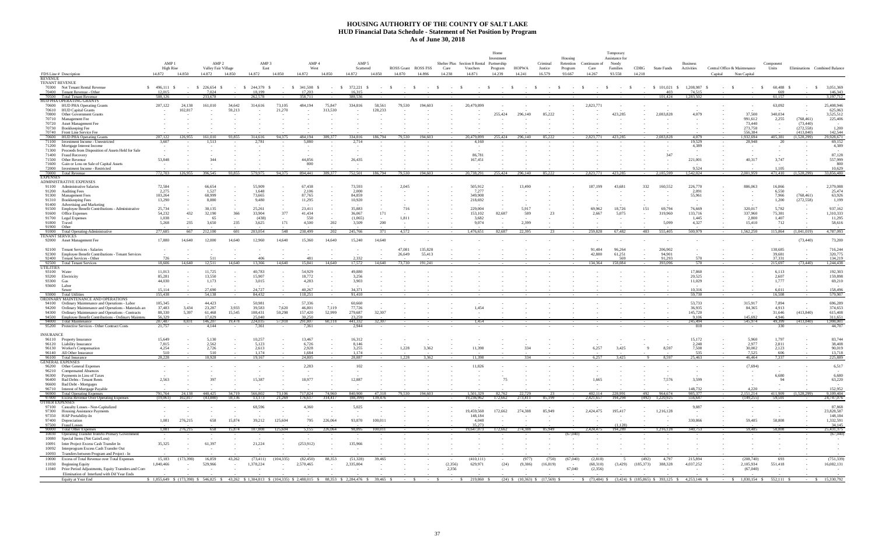# **HOUSING AUTHORITY OF THE COUNTY OF SALT LAKE HUD Financial Data Schedule - Statement of Net Position by Program**

**As of June 30, 2018**

|                                         |                                                                                                   |                           |                   |                           |                               |                   |                                   |                      |                                           |                                                                                                                           |                             |                                   |                     |                   |                                           | Home                  |                         |                                       |                                        |                               | Temporary               |                          |                                                                    |                          |                                                  |                            |                               |                            |
|-----------------------------------------|---------------------------------------------------------------------------------------------------|---------------------------|-------------------|---------------------------|-------------------------------|-------------------|-----------------------------------|----------------------|-------------------------------------------|---------------------------------------------------------------------------------------------------------------------------|-----------------------------|-----------------------------------|---------------------|-------------------|-------------------------------------------|-----------------------|-------------------------|---------------------------------------|----------------------------------------|-------------------------------|-------------------------|--------------------------|--------------------------------------------------------------------|--------------------------|--------------------------------------------------|----------------------------|-------------------------------|----------------------------|
|                                         |                                                                                                   | AMP 1                     |                   | AMP2                      |                               | AMP <sub>3</sub>  |                                   | AMP <sub>4</sub>     |                                           | AMP <sub>5</sub>                                                                                                          |                             |                                   |                     |                   | Shelter Plus Section 8 Rental Partnership | Investment            |                         | Criminal                              | Housing<br>Retention                   | Continuum of                  | Assistance for<br>Needy |                          |                                                                    | <b>Business</b>          |                                                  | Component                  |                               |                            |
|                                         |                                                                                                   | High Rise                 |                   | Valley Fair Village       |                               | East              |                                   | West                 |                                           | Scattered                                                                                                                 |                             |                                   | ROSS Grant ROSS FSS | Care              | Vouchers                                  | Program               | HOPWA                   | Justice                               | Program                                | Care                          | Families                | CDBG                     | State Funds                                                        | Activities               | Central Office & Maintenance                     | Units                      | Eliminations Combined Balance |                            |
|                                         | FDS Line # Description                                                                            | 14.872                    | 14.850            | 14.872                    | 14.850                        | 14.872            | 14.850                            | 14.872               | 14.850                                    | 14.872                                                                                                                    | 14.850                      | 14.870                            | 14.896              | 14.238            | 14.871                                    | 14.239                | 14.241                  | 16.579                                | 93.667                                 | 14.267                        | 93.558                  | 14.218                   |                                                                    |                          | Capital<br>Non Capital                           |                            |                               |                            |
| <b>REVENUE</b><br><b>TENANT REVENUE</b> |                                                                                                   |                           |                   |                           |                               |                   |                                   |                      |                                           |                                                                                                                           |                             |                                   |                     |                   |                                           |                       |                         |                                       |                                        |                               |                         |                          |                                                                    |                          |                                                  |                            |                               |                            |
|                                         | 70300 Net Tenant Rental Revenue<br>70400 Tenant Revenue - Other                                   | \$496,111<br>12.015       |                   | 226,654<br>7.024          |                               | 244,379 \$        | $-$ S<br><b>Contract Contract</b> | 341,508 \$<br>17.203 | $\sim 10^{-11}$<br>- 8<br>$\sim 10^{-11}$ | 372,221<br>16.315                                                                                                         | $-$ S                       |                                   |                     |                   |                                           |                       |                         |                                       |                                        |                               |                         |                          | 101,021 \$                                                         | 1,208,987                | $\sim 10^{-10}$                                  | 60.488 \$                  | $\sim 10^{-10}$               | 3,051,369<br>146,343       |
|                                         | 70500 Total Tenant Revenue                                                                        | 508,126                   | $\sim 100$        | 233,678                   | $\sim 100$<br><b>Contract</b> | 18.199<br>262,578 | $\sim 100$                        | 358.711              | $\sim$ 100 $\mu$                          | 388.536                                                                                                                   | $\sim$ $\sim$<br>$\sim 100$ |                                   | $\sim$ 100 $\mu$    | $\sim$ 100 $\sim$ | $\sim$<br>$\sim$ 100 $\sim$               |                       | $\sim$                  | <b>Contract Contract</b>              | <b>Contract Contract</b><br>$\sim$ $-$ | $\sim 10^{-11}$<br>$\sim$ $-$ |                         |                          | 403<br>101.424                                                     | 74,515<br>1.283.502      | $\sim 100$<br>$\sim 100$ m $^{-1}$<br>$\sim 100$ | 669<br>61.157              | $\sim 100$ km s $^{-1}$       | 3,197,712                  |
|                                         | HUD PHA OPERATING GRANTS                                                                          |                           |                   |                           |                               |                   |                                   |                      |                                           |                                                                                                                           |                             |                                   |                     |                   |                                           |                       |                         |                                       |                                        |                               |                         |                          |                                                                    |                          |                                                  |                            |                               |                            |
| 70600<br>70610                          | <b>HUD PHA Operating Grants</b><br><b>HUD Capital Grants</b>                                      | 207,122                   | 24,138<br>102.817 | 161.010                   | 34.642<br>59,213              | 314,616           | 73.105<br>21,270                  | 484.194              | 75,847<br>313,530                         | 334,816                                                                                                                   | 58.561<br>128,233           | 79.530                            | 194,603             |                   | 20,479,899                                |                       |                         |                                       |                                        | 2,823,771                     |                         |                          | $\sim$                                                             |                          | $\sim$ $ \sim$<br>$\sim$ 100 $\mu$               | 63,092<br>$\sim 100$       | $\sim$                        | 25,408,946<br>625,063      |
| 70800                                   | <b>Other Government Grants</b>                                                                    |                           |                   |                           |                               |                   |                                   |                      |                                           |                                                                                                                           |                             |                                   |                     |                   |                                           | 255,424               | 296,140                 | 85,222                                |                                        |                               | 423,285                 |                          | 2,083,828                                                          | 4.079                    | 37,500                                           | 340,034                    | $\sim$                        | 3,525,512                  |
| 70720                                   | 70710 Management Fee<br><b>Asset Management Fee</b>                                               |                           |                   |                           |                               |                   |                                   |                      |                                           |                                                                                                                           |                             |                                   |                     |                   |                                           |                       |                         |                                       |                                        |                               |                         |                          |                                                                    |                          | 991,612<br>73.440                                | 2,255<br>$\sim$ $-$        | (768, 461)<br>(73, 440)       | 225,406                    |
| 70730                                   | Bookkeeping Fee                                                                                   |                           |                   |                           |                               |                   |                                   |                      |                                           |                                                                                                                           |                             |                                   |                     |                   |                                           |                       |                         |                                       |                                        |                               |                         |                          |                                                                    |                          | 273,758                                          | $\sim 100$                 | (272, 558)                    | 1,200                      |
| 70740                                   | Front Line Service Fee<br>70600 HUD PHA Operating Grants                                          | $\sim$<br>207,122         | 126,955           | 161.010                   | 93,855                        | 314,616           | 94.375                            | 484,194              | 389,377                                   | 334,816                                                                                                                   | 186.794                     | 79.530                            | 194,603             |                   | 20.479.899                                | 255,424               | 296,140                 | 85,222                                |                                        | 2.823.771                     | 423.285                 |                          | 2,083,828                                                          | $\sim$<br>4.079          | 556,384<br>1,932,694<br>$\sim 100$               | <b>Contract</b><br>405,381 | (413.840)<br>(1,528,299)      | 142,544<br>29,928,671      |
| 71100                                   | Investment Income - Unrestricted                                                                  | 3.607                     |                   | 1,513                     |                               | 2.781             |                                   | 5.880                |                                           | 2,714                                                                                                                     |                             |                                   |                     |                   | 4.160                                     |                       |                         |                                       |                                        |                               |                         |                          | $\sim$                                                             | 19,529                   | 28,948<br>$\sim$                                 | 20                         |                               | 69,152                     |
| 71300                                   | 71200 Mortgage Interest Income<br>Proceeds from Disposition of Assets Held for Sale               |                           |                   |                           |                               |                   |                                   |                      |                                           |                                                                                                                           |                             |                                   |                     |                   |                                           |                       |                         |                                       |                                        |                               |                         |                          |                                                                    | 4,389<br>$\sim$          | $\sim$ $-$                                       |                            |                               | 4,389                      |
| 71400                                   | <b>Fraud Recovery</b>                                                                             | $\sim 100$                |                   |                           |                               |                   |                                   |                      |                                           |                                                                                                                           |                             |                                   |                     |                   | 86,781                                    |                       |                         |                                       |                                        |                               |                         |                          | 347                                                                | $\sim 100$               | $\sim$ $ \sim$                                   | $\sim$ $-$                 |                               | 87,128                     |
| 71600                                   | 71500 Other Revenue<br>Gain or Loss on Sale of Capital Assets                                     | 53,848<br>$\sim$ $ \sim$  |                   |                           |                               |                   |                                   | 44,856<br>800        |                                           | 26,435                                                                                                                    |                             |                                   |                     |                   | 167,451                                   |                       |                         |                                       |                                        |                               |                         |                          | $\sim$ $-$                                                         | 221,001<br>$\sim$ $-$    | 40,317<br>$\sim$ $ \sim$                         | 3,747<br>$\sim 100$        | $\sim$                        | 557,999<br>800             |
|                                         | 72000 Investment Income - Restricted                                                              |                           |                   |                           |                               |                   |                                   |                      |                                           |                                                                                                                           |                             |                                   |                     |                   |                                           |                       |                         |                                       |                                        |                               |                         |                          |                                                                    | 9.524                    | $\sim$ $-$                                       | 1.105                      |                               | 10.629                     |
| <b>EXPENSES</b>                         | 70000 Total Revenue                                                                               | 772,703                   | 126.955           | 396.545                   | 93.855                        | 579,975           | 94,375                            | 894.441              | 389,377                                   | 752,501                                                                                                                   | 186.794                     | 79,530                            | 194,603             | $\sim$ $\sim$     | 20,738,291                                | 255,424               | 296,140                 | 85,222                                |                                        | 2,823,771                     | 423.285                 | <b>Contract Contract</b> | 2.185.599                                                          | 1,542,024                | 2,001,959<br>$\sim 100$                          | 471,410                    | (1,528,299)                   | 33,856,480                 |
|                                         | ADMINISTRATIVE EXPENSES                                                                           |                           |                   |                           |                               |                   |                                   |                      |                                           |                                                                                                                           |                             |                                   |                     |                   |                                           |                       |                         |                                       |                                        |                               |                         |                          |                                                                    |                          |                                                  |                            |                               |                            |
| 91100                                   | <b>Administrative Salaries</b><br>91200 Auditing Fees                                             | 72,584<br>2,275           |                   | 66,654<br>1,527           |                               | 55,909<br>1.648   |                                   | 67,438<br>2.106      |                                           | 73,593<br>2.000                                                                                                           |                             | 2.045                             |                     |                   | 505,912<br>7,277                          |                       | 13.490                  |                                       |                                        | 187,199                       | 43.681                  | 332                      | 160,552<br>$\sim$ $-$                                              | 226,770<br>2,091         | 886,063                                          | 16,866<br>6,550            | $\sim$ $-$                    | 2,379,088<br>25,474        |
|                                         | 91300 Management Fees                                                                             | 103,264                   |                   | 68,999                    |                               | 73,665            |                                   | 87,765               |                                           | 84,859                                                                                                                    |                             |                                   |                     |                   | 349,908                                   |                       |                         |                                       |                                        |                               |                         |                          |                                                                    | 55,961                   |                                                  | 7,966                      | (768, 461)                    | 63,926                     |
| 91310                                   | <b>Bookkeeping Fees</b><br>91400 Advertising and Marketing                                        | 13,290<br>$\sim 100$      | $\sim$            | 8.880<br>$\sim$ 100 $\mu$ |                               | 9,480             |                                   | 11,295<br>$\sim$     |                                           | 10,920                                                                                                                    |                             |                                   |                     |                   | 218,692                                   |                       |                         |                                       |                                        |                               |                         |                          | $\sim$<br>$\sim$                                                   |                          | $\sim$ $-$<br>$\sim$                             | 1,200<br>$\sim$ $-$        | (272, 558)<br>$\sim$          | 1,199<br>$\sim$ $-$        |
|                                         | 91500 Employee Benefit Contributions - Administrative                                             | 25,734                    |                   | 30,135                    |                               | 25,261            |                                   | 23,411               |                                           | 35,883                                                                                                                    |                             | 716                               |                     |                   | 229,004                                   |                       | 5,917                   |                                       |                                        | 69,962                        | 18,726                  | 151                      | 69,794                                                             | 76,669                   | 320,017                                          | 5,782                      | $\sim$                        | 937,162                    |
| 91600                                   | <b>Office Expenses</b><br>91700 Legal Expenses                                                    | 54,232<br>1,038           | 432<br>$\sim$     | 32,190<br>65              | 366<br>$\sim$                 | 33,904<br>(438)   | 377<br>$\sim$                     | 41,434<br>550        |                                           | 36,067<br>(1,065)                                                                                                         | 171<br>$\sim$ $-$           | 1,811                             |                     |                   | 153,102<br>3,682                          | 82.687<br>$\sim$ $-$  | 589<br>$\sim$           |                                       |                                        | 2.667                         | 5.075                   |                          | 319,960<br>$\sim 100$                                              | 133,716<br>1,445         | 337,960<br>$\sim$ $-$<br>2,800                   | 75,381<br>1,407            | $\sim$ $-$                    | 1,310,333<br>11,295        |
| 91800                                   | Travel                                                                                            | 5,268                     | 235               | 3,650                     | 235                           | 3,625             | 171                               | 4,500                | 202                                       | 3,509                                                                                                                     | 200                         |                                   |                     |                   | 9,074                                     | $\sim 100$            | 2,399                   |                                       |                                        |                               |                         |                          | 5,099                                                              | 4,327                    | 15,410<br>$\sim$ $-$                             | 712                        | $\sim$                        | 58,616                     |
| 91900 Other                             | 91000 Total Operating-Administrative                                                              | $\sim$<br>277,685         | 667               | $\sim$<br>212,100         | 601                           | 203,054           | 548                               | $\sim$<br>238,499    | $\sim$<br>202                             | 245,766                                                                                                                   | $\sim$<br>371               | 4,572                             | $\sim$ $-$          |                   | $\sim$ 100 $\sim$<br>1,476,651            | $\sim$ $-$<br>82,687  | $\sim$ $\sim$<br>22,395 |                                       |                                        | 259,828                       | 67,482                  | 483                      | <b>Contract Contract</b><br>555,405                                | $\sim$ $\sim$<br>500,979 | $\sim$ $\sim$<br>1,562,250<br>$\sim$ 100 $\mu$   | $\sim$ $\sim$<br>115,864   | $\sim$<br>(1,041,019)         | $\sim$ $\sim$<br>4,787,093 |
| <b>TENANT SERVICES</b>                  |                                                                                                   |                           |                   |                           |                               |                   |                                   |                      |                                           |                                                                                                                           |                             |                                   |                     |                   |                                           |                       |                         |                                       |                                        |                               |                         |                          |                                                                    |                          |                                                  |                            |                               |                            |
|                                         | 92000 Asset Management Fee                                                                        | 17,880                    | 14,640            | 12,000                    | 14.640                        | 12.960            | 14.640                            | 15,360               | 14,640                                    | 15,240                                                                                                                    | 14.640                      |                                   |                     |                   |                                           |                       |                         |                                       |                                        |                               |                         |                          |                                                                    |                          |                                                  |                            | (73, 440)                     | 73,200                     |
| 92100<br>92300                          | Tenant Services - Salaries<br><b>Employee Benefit Contributions - Tenant Services</b>             | $\sim$                    |                   |                           |                               |                   |                                   |                      |                                           |                                                                                                                           |                             | 47,081<br>26,649                  | 135,828<br>55,413   |                   |                                           |                       |                         |                                       |                                        | 91,484<br>42,880              | 96,264<br>61,251        | $\sim 100$               | 206,902<br>94,901                                                  |                          |                                                  | 138,685<br>39,681          | $\sim 100$                    | 716,244<br>320,775         |
|                                         | 92400 Tenant Services - Other                                                                     | 726                       |                   | 511                       |                               | 406               |                                   | 481                  |                                           | 2.332                                                                                                                     |                             | <b>Contract Contract Contract</b> | $\sim 100$          |                   |                                           |                       |                         |                                       |                                        |                               | 569                     | $\sim$ 100 $\mu$         | 91.293                                                             | 570                      |                                                  | 37.331                     | $\sim$ $\sim$                 | 134,219                    |
| <b>UTILITIES</b>                        | 92500 Total Tenant Services                                                                       | 18.606                    | 14.640            | 12,511                    | 14,640                        | 13.366            | 14,640                            | 15.841               | 14.640                                    | 17,572                                                                                                                    | 14,640                      | 73,730                            | 191,241             |                   |                                           |                       |                         |                                       |                                        | 134.364                       | 158,084                 | <b>Contract Contract</b> | 393,096                                                            | 570                      | <b>Contract Contract</b><br>$\sim 100$           | 215.697                    | (73, 440)                     | 1,244,438                  |
| 93100 Water                             |                                                                                                   | 11,013                    |                   | 11,725                    |                               | 40,783            |                                   | 54,929               |                                           | 49,880                                                                                                                    |                             |                                   |                     |                   |                                           |                       |                         |                                       |                                        |                               |                         |                          |                                                                    | 17,860                   |                                                  | 6,113                      |                               | 192,303                    |
| 93200<br>93300                          | Electricity<br>Gas                                                                                | 85,281<br>44,030          |                   | 13,550<br>1,173           | $\sim$                        | 15,907<br>3,015   | $\sim 100$                        | 18,772<br>4,283      |                                           | 3,256<br>3,903                                                                                                            |                             |                                   |                     |                   |                                           |                       |                         |                                       |                                        |                               |                         |                          |                                                                    | 20,525<br>11,029         |                                                  | 2,607<br>1,777             | $\sim$                        | 159,898<br>69,210          |
| 93600                                   | Labor                                                                                             | $\sim$                    |                   | $\sim$ $-$                |                               |                   |                                   | $\sim$               |                                           |                                                                                                                           |                             |                                   |                     |                   |                                           |                       |                         |                                       |                                        |                               |                         |                          |                                                                    | $\sim 100$               |                                                  | $\sim$ $-$                 | $\sim$ $-$                    |                            |
|                                         | Sewer<br>93000 Total Utilities                                                                    | 15.114<br>155.438         | $\sim 100$        | 27,690<br>54,138          |                               | 24,727<br>84,432  |                                   | 40.267<br>118,251    |                                           | 34,371<br>91,410                                                                                                          |                             |                                   |                     |                   |                                           |                       |                         |                                       |                                        |                               |                         |                          |                                                                    | 10,316<br>59,730         | $\sim$ 100 $\mu$                                 | 6,011<br>16.508            | $\sim 100$<br>$\sim 100$      | 158,496<br>579,907         |
|                                         | ORDINARY MAINTENANCE AND OPERATIONS                                                               |                           |                   |                           |                               |                   |                                   |                      |                                           |                                                                                                                           |                             |                                   |                     |                   |                                           |                       |                         |                                       |                                        |                               |                         |                          |                                                                    |                          |                                                  |                            |                               |                            |
| 94100<br>94200                          | Ordinary Maintenance and Operations - Labor<br>Ordinary Maintenance and Operations - Materials an | 105,345<br>37,483         | 3,434             | 44,423<br>23,287          | 3,933                         | 50,981<br>39,583  | 7,620                             | 57,336<br>46,801     | 7,119                                     | 60,660<br>77,726                                                                                                          |                             |                                   |                     |                   | 1,454                                     |                       |                         |                                       |                                        |                               |                         |                          |                                                                    | 53,733<br>36,935         | 315,917<br>84,365<br>$\sim$                      | 7,894<br>4,913             | $\sim$ $-$                    | 696,289<br>374,653         |
| 94300                                   | <b>Ordinary Maintenance and Operations - Contracts</b>                                            | 88,330                    | 5,397             | 61,468                    | 15,545                        | 108,431           | 50,298                            | 157,420              | 52,999                                    | 279,687                                                                                                                   | 32,307                      |                                   |                     |                   |                                           |                       |                         |                                       |                                        |                               |                         |                          |                                                                    | 145,720                  | $\sim$<br>$\sim$ $ \sim$                         | 31,646                     | (413, 840)                    | 615,408                    |
|                                         | 94500 Employee Benefit Contributions - Ordinary Maintena<br>94000 Total Maintenance               | 56,329<br>287,487         | $\sim$<br>8,831   | 17,029<br>146,207         | 19,478                        | 25,040<br>224,035 | 57,918                            | 30.250<br>291,807    | 60,118                                    | 23.259<br>441,332                                                                                                         | 32,307                      | <b>Contract Contract</b>          |                     |                   | 1,454                                     |                       |                         |                                       |                                        |                               |                         |                          | $\sim 100$                                                         | 9.106<br>245,494         | 145.692<br>545,974                               | 4.946<br>49,399            | $\sim$<br>(413, 840)          | 311,651<br>1,998,001       |
|                                         | 95200 Protective Services - Other Contract Costs                                                  | 21,757                    | $\sim 100$        | 4,144                     | $\sim 100$                    | 7.361             |                                   | 7.361                |                                           | 2.944                                                                                                                     | $\sim$ 100 $\mu$            |                                   |                     |                   |                                           |                       |                         |                                       |                                        |                               |                         |                          |                                                                    | 810                      | $\sim 100$<br>$\sim$ $ \sim$<br>$\sim$           | 330                        | $\sim$                        | 44,707                     |
| <b>INSURANCE</b>                        |                                                                                                   |                           |                   |                           |                               |                   |                                   |                      |                                           |                                                                                                                           |                             |                                   |                     |                   |                                           |                       |                         |                                       |                                        |                               |                         |                          |                                                                    |                          |                                                  |                            |                               |                            |
| 96110                                   | <b>Property Insurance</b>                                                                         | 15,649                    |                   | 5,130                     |                               | 10,257            |                                   | 13,467               |                                           | 16,312                                                                                                                    |                             |                                   |                     |                   |                                           |                       |                         |                                       |                                        |                               |                         |                          |                                                                    | 15,172                   | 5,960                                            | 1,797                      |                               | 83,744                     |
| 96120                                   | <b>Liability Insurance</b><br>96130 Worker's Compensation                                         | 7,815<br>4,254            |                   | 2,562<br>2,726            | $\sim 10^{-1}$<br>$\sim$ $-$  | 5,123<br>2,613    | $\sim 100$                        | 6,726<br>2,928       | $\sim$ $-$<br>$\sim 100$                  | 8,146<br>3,255                                                                                                            |                             | 1,228                             | 3.362               |                   | 11.398                                    |                       |                         |                                       |                                        | 6,257                         | $\sim 100$<br>3,425     |                          | $\sim$ $-$<br>8.597                                                | 2,248<br>7,508           | 2,977<br>30,002<br>$\sim$ $-$                    | 2,811<br>2,123             |                               | 38,408<br>90,019           |
| 96140                                   | All Other Insurance                                                                               | 510                       |                   | 510                       |                               | 1,174             |                                   | 1.684                |                                           | 1.174                                                                                                                     |                             | $\sim$                            | $\sim$              |                   |                                           |                       |                         |                                       |                                        |                               | $\sim$                  |                          | $\sim$                                                             | 535                      | 7,525                                            | 606                        |                               | 13,718                     |
|                                         | 96100 Total Insurance<br><b>GENERAL EXPENSES</b>                                                  | 28,228                    |                   | 10.928                    | <b>Contract Contract</b>      | 19.167            |                                   | 24,805               | $\sim 100$                                | 28.887                                                                                                                    |                             | 1,228                             | 3.362               |                   | 11.398                                    |                       | 334                     |                                       |                                        | 6.257                         | 3.425                   | -9                       | 8.597                                                              | 25.463                   | 46.464<br><b>Contract</b>                        | 7.337                      | $\sim 100$ m $^{-1}$          | 225,889                    |
| 96200                                   | <b>Other General Expenses</b>                                                                     |                           |                   |                           |                               |                   |                                   | 2,283                |                                           | 102                                                                                                                       |                             |                                   |                     |                   | 11,826                                    |                       |                         |                                       |                                        |                               |                         |                          |                                                                    |                          | (7,694)                                          |                            |                               | 6,517                      |
| 96210<br>96300                          | <b>Compensated Absences</b><br>Payments in Lieu of Taxes                                          |                           |                   |                           |                               |                   |                                   |                      |                                           |                                                                                                                           |                             |                                   |                     |                   |                                           |                       |                         |                                       |                                        |                               |                         |                          |                                                                    |                          | $\sim$                                           | $\sim$<br>6,680            |                               | $\sim$ $-$<br>6,680        |
| 96400                                   | <b>Bad Debts - Tenant Rents</b>                                                                   | 2,563                     |                   |                           |                               | 15,387            |                                   | 18,977               |                                           | 12,887                                                                                                                    |                             |                                   |                     |                   |                                           |                       |                         |                                       |                                        | .665                          |                         |                          | 7,576                                                              | 3,599                    |                                                  | 94                         |                               | 63,220                     |
|                                         | 96600 Bad Debt - Mortgages<br>96710 Interest of Mortgage Payable                                  | $\sim$                    |                   |                           |                               |                   |                                   |                      |                                           |                                                                                                                           |                             |                                   |                     |                   |                                           |                       |                         |                                       |                                        |                               |                         |                          | $\sim$<br>$\sim$ $-$                                               | $\sim$ $-$<br>148,732    | 4,220                                            |                            |                               | 152,952                    |
|                                         | 96900 Total Operating Expenses                                                                    | 791,764                   | 24.138            | 440,425                   | 34,719                        | 566,802           | 73.106                            | 717,824              | 74,960                                    | 840,900                                                                                                                   | 47,318                      | 79,530                            | 194,603             |                   | 1,501,329                                 | 82,762                | 22,729                  |                                       |                                        | 402,114                       | 228,991                 | 492                      | 964,674                                                            | 985,377                  | 2,151,214<br>$\sim$ 100 $\mu$                    |                            | 411,909 (1,528,299)           | 9,109,404                  |
| OTHER EXPENSES                          | 97000 Excess Revenue Over Operating Expenses                                                      | (19.061)                  | 102,817           | (43,880)                  | 59.136                        | 13,173            | 21,269                            | 176.617              | 314,417                                   | (88.399)                                                                                                                  | 139,476                     |                                   |                     |                   | 19,236,962                                | 172,662               | 273,411                 | 85.199                                | <b>Contract Contract</b>               | 2,421,657                     | 194,294                 |                          | $(492)$ 1,220,925                                                  | 556,647                  | (149, 255)<br><b>Contract</b>                    | 59,501                     | $\sim 100$                    | 24,747,076                 |
|                                         | 97100 Casualty Losses - Non-Capitalized                                                           | $\sim$                    |                   |                           |                               | 68,596            |                                   | 4,360                |                                           | 5,025                                                                                                                     |                             |                                   |                     |                   |                                           |                       |                         |                                       |                                        |                               | $\sim$ $-$              |                          | $\sim$ $-$                                                         | 9,887                    |                                                  |                            |                               | 87,868                     |
| 97300<br>97350                          | <b>Housing Assistance Payments</b><br><b>HAP Portability-In</b>                                   |                           |                   |                           |                               |                   |                                   | $\sim$               |                                           |                                                                                                                           |                             |                                   |                     |                   | 19,459,568<br>148,184                     | 172,662<br>$\sim$ $-$ | 274,388                 | 85,949                                |                                        | 2,424,475                     | 195,417                 | $\sim$                   | 1,216,128<br>$\sim$ $-$                                            | $\sim$                   |                                                  |                            |                               | 23,828,587<br>148,184      |
| 97400                                   | Depreciation                                                                                      | 1,081                     | 276,215           | 658                       | 15,874                        | 39,212            | 125,604                           | 795                  | 226,064                                   | 93,870                                                                                                                    | 100.01                      |                                   |                     |                   | 4.048                                     |                       |                         |                                       |                                        |                               |                         |                          |                                                                    | 330,866                  | 59,485                                           | 58,808                     |                               | 1,332,591                  |
| 97500                                   | <b>Fraud Losses</b><br>90000 Total Other Expenses                                                 | 1.081                     | 276,215           | 658                       | 15.874                        | 107.808           | 125.604                           | $\sim$<br>5.155      | 226.064                                   | 98.895                                                                                                                    | 100.01                      |                                   |                     |                   | 35.273<br>19.647.073                      | 172.662               | 274.388                 | 85.949                                |                                        | 2,424,475                     | (1,128)<br>194.289      |                          | 1,216,128                                                          | 340.753                  | <b>Contract Contract</b><br>59.485               | $\sim 100$<br>58.808       | $\sim 100$                    | 34,145<br>25,431,375       |
| 10030                                   | <b>Operating Transfer from/to Primary Government</b>                                              | $\sim 100$ m $^{-1}$      | $\sim$            | $\sim$ $-$                |                               |                   |                                   | $\sim$               |                                           |                                                                                                                           |                             |                                   |                     |                   |                                           |                       |                         |                                       | (67,040)                               |                               |                         |                          | $\sim$                                                             |                          | $\sim 100$                                       | $\sim 100$                 | $\sim$ $-$                    | (67,040)                   |
| 10080                                   | Special Items (Net Gain/Loss)                                                                     | $\sim$ $-$                |                   |                           |                               |                   |                                   |                      |                                           |                                                                                                                           |                             |                                   |                     |                   |                                           |                       |                         |                                       |                                        |                               |                         |                          |                                                                    |                          |                                                  |                            |                               |                            |
| 10091<br>10092                          | Inter Project Excess Cash Transfer In<br>Interprogram Excess Cash Transfer Out                    | 35,325<br>$\sim 10^{-10}$ |                   | 61,397                    |                               | 21,224            |                                   | (253,912)            |                                           | 135,966                                                                                                                   |                             |                                   |                     |                   |                                           |                       |                         |                                       |                                        |                               |                         |                          |                                                                    |                          |                                                  |                            |                               | $\sim$                     |
| 10093                                   | Transfers between Program and Project - In                                                        | $\sim 100$                |                   |                           |                               |                   |                                   |                      |                                           |                                                                                                                           |                             |                                   |                     |                   |                                           |                       |                         |                                       |                                        |                               |                         |                          |                                                                    |                          |                                                  |                            |                               | $\sim$                     |
| 10000                                   | <b>Excess of Total Revenue over Total Expenses</b>                                                | 15,183                    | (173, 398)        | 16,859                    | 43,262                        | (73, 411)         | (104, 335)                        | (82, 450)            | 88,353                                    | (51,328)                                                                                                                  | 39,465                      |                                   |                     |                   | (410, 111)                                |                       | (977)                   | (750)                                 | (67,040)                               | (2,818)                       | - 5                     | (492)                    | 4,797                                                              | 215,894                  | (208,740)                                        | 693                        |                               | (751, 339)                 |
| 11030<br>11040                          | <b>Beginning Equity</b><br>Prior Period Adjustments, Equity Transfers and Corre                   | 1,840,466                 |                   | 529,966                   |                               | 1,378,224         |                                   | 2,570,465            |                                           | 2,335,804                                                                                                                 |                             |                                   |                     | (2,356)<br>2,356  | 629,971                                   | (24)                  | (9,386)                 | (16, 819)                             | $\sim 100$<br>67,040                   | (68,310)<br>(2,356)           | (3,429)                 | (185,373)                | 388,328                                                            | 4,037,252                | 2,105,934<br>(67,040)                            | 551,418                    |                               | 16,082,131                 |
|                                         | Elimination of Interfund with Dif Year Ends                                                       |                           |                   |                           |                               |                   |                                   |                      |                                           |                                                                                                                           |                             |                                   |                     |                   |                                           |                       |                         |                                       |                                        |                               |                         |                          |                                                                    |                          |                                                  |                            |                               |                            |
|                                         | Equity at Year End                                                                                |                           |                   |                           |                               |                   |                                   |                      |                                           | \$ 1,855,649 \$ (173,398) \$ 546,825 \$ 43,262 \$ 1,304,813 \$ (104,335) \$ 2,488,015 \$ 88,353 \$ 2,284,476 \$ 39,465 \$ |                             | $-$ \$                            | $-$ \$              |                   | $-$ \$ 219,860 \$                         |                       |                         | $(24)$ \$ $(10,363)$ \$ $(17,569)$ \$ |                                        |                               |                         |                          | $-$ \$ (73.484) \$ (3.424) \$ (185.865) \$ 393.125 \$ 4.253.146 \$ |                          | $-$ \$ 1,830,154 \$                              | 552,111 \$                 |                               | $-$ \$ 15,330,792          |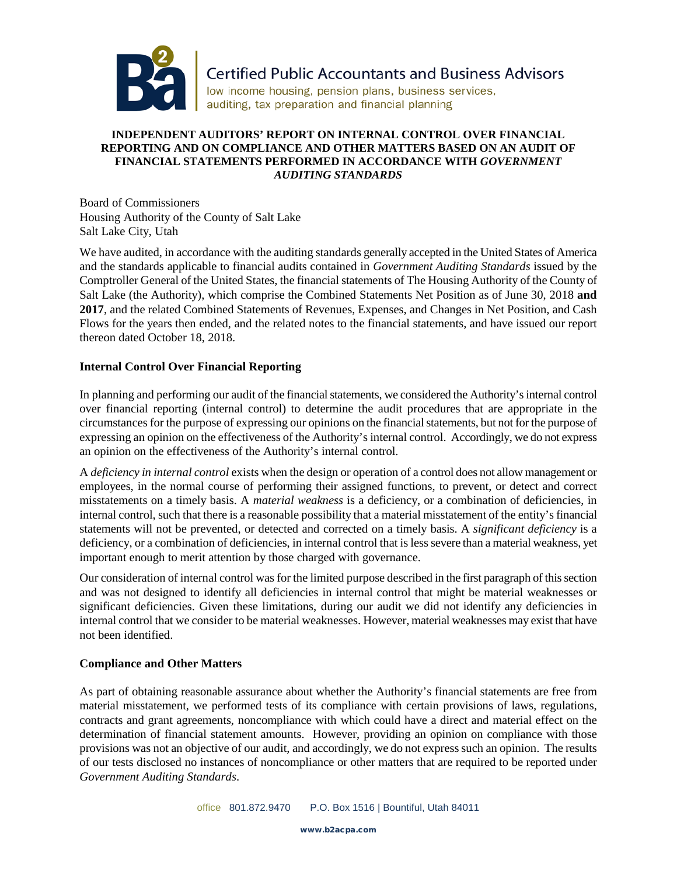

**Certified Public Accountants and Business Advisors** 

low income housing, pension plans, business services, auditing, tax preparation and financial planning

#### **INDEPENDENT AUDITORS' REPORT ON INTERNAL CONTROL OVER FINANCIAL REPORTING AND ON COMPLIANCE AND OTHER MATTERS BASED ON AN AUDIT OF FINANCIAL STATEMENTS PERFORMED IN ACCORDANCE WITH** *GOVERNMENT AUDITING STANDARDS*

Board of Commissioners Housing Authority of the County of Salt Lake Salt Lake City, Utah

We have audited, in accordance with the auditing standards generally accepted in the United States of America and the standards applicable to financial audits contained in *Government Auditing Standards* issued by the Comptroller General of the United States, the financial statements of The Housing Authority of the County of Salt Lake (the Authority), which comprise the Combined Statements Net Position as of June 30, 2018 **and 2017**, and the related Combined Statements of Revenues, Expenses, and Changes in Net Position, and Cash Flows for the years then ended, and the related notes to the financial statements, and have issued our report thereon dated October 18, 2018.

#### **Internal Control Over Financial Reporting**

In planning and performing our audit of the financial statements, we considered the Authority's internal control over financial reporting (internal control) to determine the audit procedures that are appropriate in the circumstances for the purpose of expressing our opinions on the financial statements, but not for the purpose of expressing an opinion on the effectiveness of the Authority's internal control. Accordingly, we do not express an opinion on the effectiveness of the Authority's internal control.

A *deficiency in internal control* exists when the design or operation of a control does not allow management or employees, in the normal course of performing their assigned functions, to prevent, or detect and correct misstatements on a timely basis. A *material weakness* is a deficiency, or a combination of deficiencies, in internal control, such that there is a reasonable possibility that a material misstatement of the entity's financial statements will not be prevented, or detected and corrected on a timely basis. A *significant deficiency* is a deficiency, or a combination of deficiencies, in internal control that is less severe than a material weakness, yet important enough to merit attention by those charged with governance.

Our consideration of internal control was for the limited purpose described in the first paragraph of this section and was not designed to identify all deficiencies in internal control that might be material weaknesses or significant deficiencies. Given these limitations, during our audit we did not identify any deficiencies in internal control that we consider to be material weaknesses. However, material weaknesses may exist that have not been identified.

#### **Compliance and Other Matters**

As part of obtaining reasonable assurance about whether the Authority's financial statements are free from material misstatement, we performed tests of its compliance with certain provisions of laws, regulations, contracts and grant agreements, noncompliance with which could have a direct and material effect on the determination of financial statement amounts. However, providing an opinion on compliance with those provisions was not an objective of our audit, and accordingly, we do not expresssuch an opinion. The results of our tests disclosed no instances of noncompliance or other matters that are required to be reported under *Government Auditing Standards*.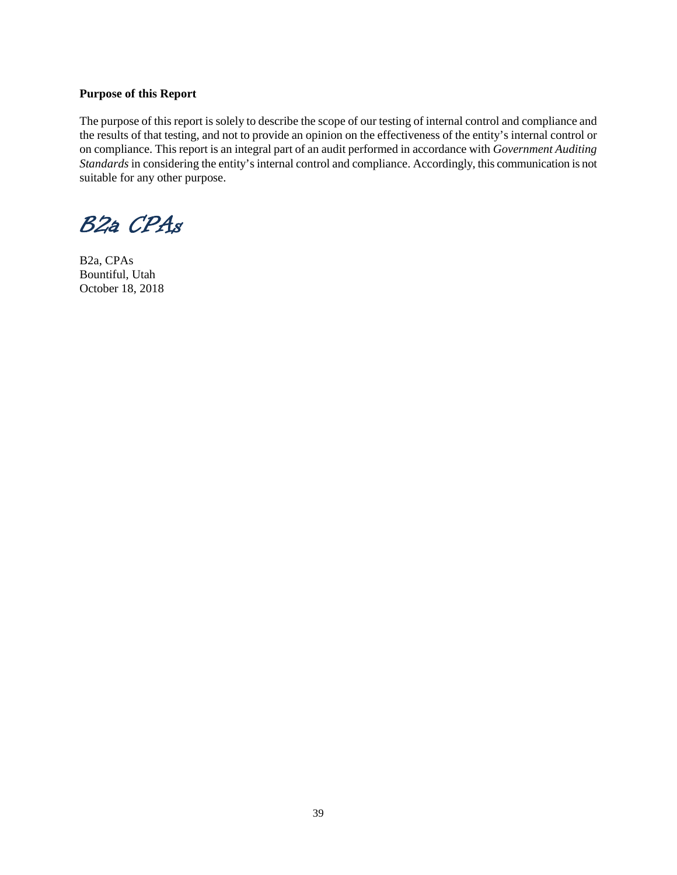#### **Purpose of this Report**

The purpose of this report is solely to describe the scope of our testing of internal control and compliance and the results of that testing, and not to provide an opinion on the effectiveness of the entity's internal control or on compliance. This report is an integral part of an audit performed in accordance with *Government Auditing Standards* in considering the entity's internal control and compliance. Accordingly, this communication is not suitable for any other purpose.

B2a CPAs

B2a, CPAs Bountiful, Utah October 18, 2018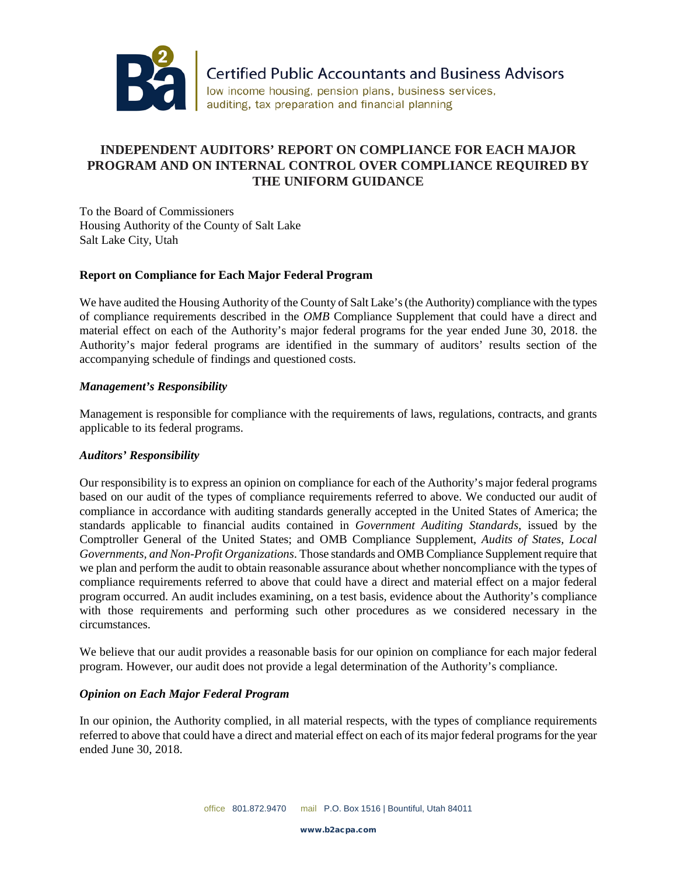

Certified Public Accountants and Business Advisors low income housing, pension plans, business services, auditing, tax preparation and financial planning

# **INDEPENDENT AUDITORS' REPORT ON COMPLIANCE FOR EACH MAJOR PROGRAM AND ON INTERNAL CONTROL OVER COMPLIANCE REQUIRED BY THE UNIFORM GUIDANCE**

To the Board of Commissioners Housing Authority of the County of Salt Lake Salt Lake City, Utah

#### **Report on Compliance for Each Major Federal Program**

We have audited the Housing Authority of the County of Salt Lake's (the Authority) compliance with the types of compliance requirements described in the *OMB* Compliance Supplement that could have a direct and material effect on each of the Authority's major federal programs for the year ended June 30, 2018. the Authority's major federal programs are identified in the summary of auditors' results section of the accompanying schedule of findings and questioned costs.

#### *Management's Responsibility*

Management is responsible for compliance with the requirements of laws, regulations, contracts, and grants applicable to its federal programs.

#### *Auditors' Responsibility*

Our responsibility is to express an opinion on compliance for each of the Authority's major federal programs based on our audit of the types of compliance requirements referred to above. We conducted our audit of compliance in accordance with auditing standards generally accepted in the United States of America; the standards applicable to financial audits contained in *Government Auditing Standards*, issued by the Comptroller General of the United States; and OMB Compliance Supplement, *Audits of States, Local Governments, and Non-Profit Organizations*. Those standards and OMB Compliance Supplement require that we plan and perform the audit to obtain reasonable assurance about whether noncompliance with the types of compliance requirements referred to above that could have a direct and material effect on a major federal program occurred. An audit includes examining, on a test basis, evidence about the Authority's compliance with those requirements and performing such other procedures as we considered necessary in the circumstances.

We believe that our audit provides a reasonable basis for our opinion on compliance for each major federal program. However, our audit does not provide a legal determination of the Authority's compliance.

#### *Opinion on Each Major Federal Program*

In our opinion, the Authority complied, in all material respects, with the types of compliance requirements referred to above that could have a direct and material effect on each of its major federal programs for the year ended June 30, 2018.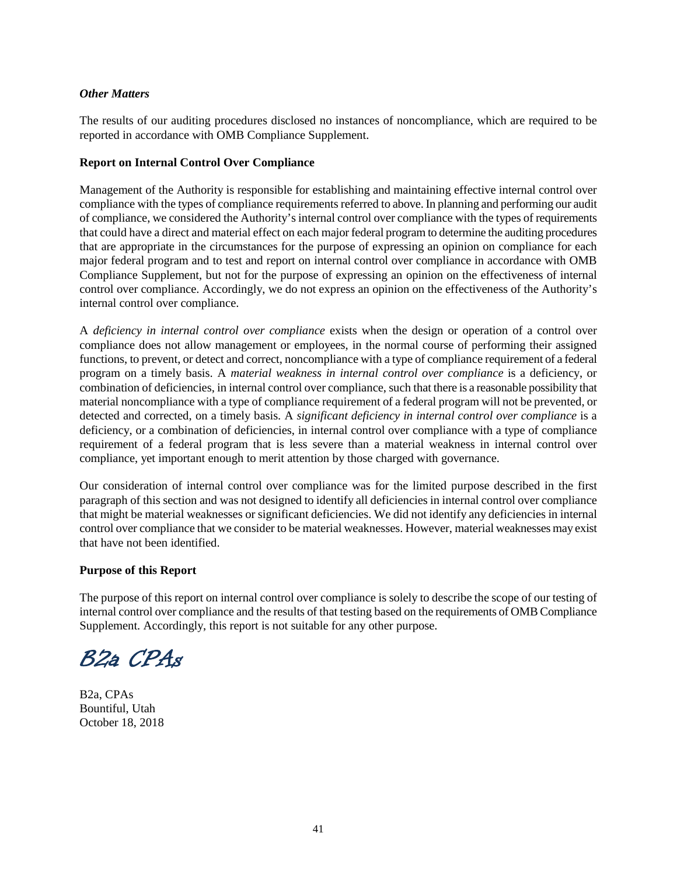#### *Other Matters*

The results of our auditing procedures disclosed no instances of noncompliance, which are required to be reported in accordance with OMB Compliance Supplement.

#### **Report on Internal Control Over Compliance**

Management of the Authority is responsible for establishing and maintaining effective internal control over compliance with the types of compliance requirements referred to above. In planning and performing our audit of compliance, we considered the Authority'sinternal control over compliance with the types of requirements that could have a direct and material effect on each major federal program to determine the auditing procedures that are appropriate in the circumstances for the purpose of expressing an opinion on compliance for each major federal program and to test and report on internal control over compliance in accordance with OMB Compliance Supplement, but not for the purpose of expressing an opinion on the effectiveness of internal control over compliance. Accordingly, we do not express an opinion on the effectiveness of the Authority's internal control over compliance.

A *deficiency in internal control over compliance* exists when the design or operation of a control over compliance does not allow management or employees, in the normal course of performing their assigned functions, to prevent, or detect and correct, noncompliance with a type of compliance requirement of a federal program on a timely basis. A *material weakness in internal control over compliance* is a deficiency, or combination of deficiencies, in internal control over compliance, such that there is a reasonable possibility that material noncompliance with a type of compliance requirement of a federal program will not be prevented, or detected and corrected, on a timely basis. A *significant deficiency in internal control over compliance* is a deficiency, or a combination of deficiencies, in internal control over compliance with a type of compliance requirement of a federal program that is less severe than a material weakness in internal control over compliance, yet important enough to merit attention by those charged with governance.

Our consideration of internal control over compliance was for the limited purpose described in the first paragraph of this section and was not designed to identify all deficiencies in internal control over compliance that might be material weaknesses or significant deficiencies. We did not identify any deficiencies in internal control over compliance that we consider to be material weaknesses. However, material weaknesses may exist that have not been identified.

#### **Purpose of this Report**

The purpose of this report on internal control over compliance is solely to describe the scope of our testing of internal control over compliance and the results of that testing based on the requirements of OMB Compliance Supplement. Accordingly, this report is not suitable for any other purpose.

B2a CPAs

B2a, CPAs Bountiful, Utah October 18, 2018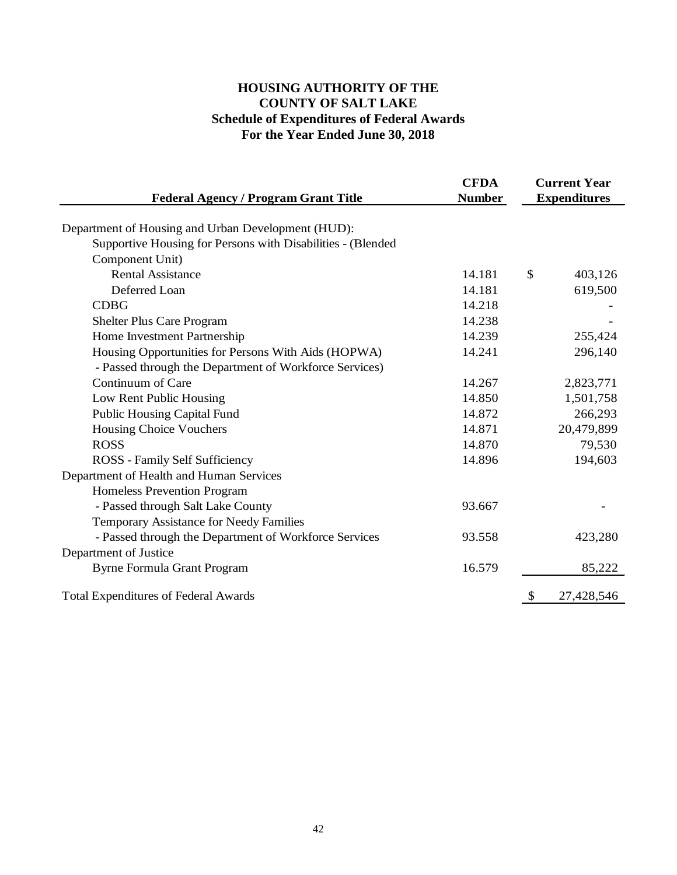# **HOUSING AUTHORITY OF THE COUNTY OF SALT LAKE Schedule of Expenditures of Federal Awards For the Year Ended June 30, 2018**

| <b>Federal Agency / Program Grant Title</b>                 | <b>CFDA</b><br><b>Number</b> | <b>Current Year</b><br><b>Expenditures</b> |  |  |  |  |
|-------------------------------------------------------------|------------------------------|--------------------------------------------|--|--|--|--|
|                                                             |                              |                                            |  |  |  |  |
| Department of Housing and Urban Development (HUD):          |                              |                                            |  |  |  |  |
| Supportive Housing for Persons with Disabilities - (Blended |                              |                                            |  |  |  |  |
| Component Unit)                                             |                              |                                            |  |  |  |  |
| <b>Rental Assistance</b>                                    | 14.181                       | \$<br>403,126                              |  |  |  |  |
| Deferred Loan                                               | 14.181                       | 619,500                                    |  |  |  |  |
| <b>CDBG</b>                                                 | 14.218                       |                                            |  |  |  |  |
| <b>Shelter Plus Care Program</b>                            | 14.238                       |                                            |  |  |  |  |
| Home Investment Partnership                                 | 14.239                       | 255,424                                    |  |  |  |  |
| Housing Opportunities for Persons With Aids (HOPWA)         | 14.241                       | 296,140                                    |  |  |  |  |
| - Passed through the Department of Workforce Services)      |                              |                                            |  |  |  |  |
| Continuum of Care                                           | 14.267                       | 2,823,771                                  |  |  |  |  |
| Low Rent Public Housing                                     | 14.850                       | 1,501,758                                  |  |  |  |  |
| <b>Public Housing Capital Fund</b>                          | 14.872                       | 266,293                                    |  |  |  |  |
| Housing Choice Vouchers                                     | 14.871                       | 20,479,899                                 |  |  |  |  |
| <b>ROSS</b>                                                 | 14.870                       | 79,530                                     |  |  |  |  |
| ROSS - Family Self Sufficiency                              | 14.896                       | 194,603                                    |  |  |  |  |
| Department of Health and Human Services                     |                              |                                            |  |  |  |  |
| Homeless Prevention Program                                 |                              |                                            |  |  |  |  |
| - Passed through Salt Lake County                           | 93.667                       |                                            |  |  |  |  |
| Temporary Assistance for Needy Families                     |                              |                                            |  |  |  |  |
| - Passed through the Department of Workforce Services       | 93.558                       | 423,280                                    |  |  |  |  |
| Department of Justice                                       |                              |                                            |  |  |  |  |
| <b>Byrne Formula Grant Program</b>                          | 16.579                       | 85,222                                     |  |  |  |  |
| <b>Total Expenditures of Federal Awards</b>                 |                              | \$<br>27,428,546                           |  |  |  |  |
|                                                             |                              |                                            |  |  |  |  |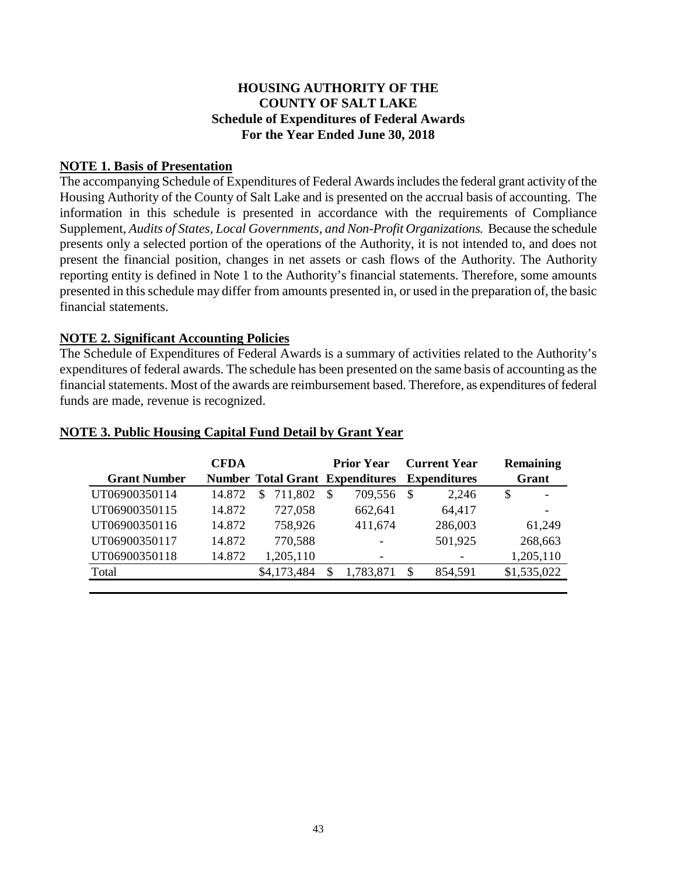### **HOUSING AUTHORITY OF THE COUNTY OF SALT LAKE Schedule of Expenditures of Federal Awards For the Year Ended June 30, 2018**

#### **NOTE 1. Basis of Presentation**

The accompanying Schedule of Expenditures of Federal Awards includes the federal grant activity of the Housing Authority of the County of Salt Lake and is presented on the accrual basis of accounting. The information in this schedule is presented in accordance with the requirements of Compliance Supplement, *Audits of States, Local Governments, and Non-Profit Organizations.* Because the schedule presents only a selected portion of the operations of the Authority, it is not intended to, and does not present the financial position, changes in net assets or cash flows of the Authority. The Authority reporting entity is defined in Note 1 to the Authority's financial statements. Therefore, some amounts presented in this schedule may differ from amounts presented in, or used in the preparation of, the basic financial statements.

### **NOTE 2. Significant Accounting Policies**

The Schedule of Expenditures of Federal Awards is a summary of activities related to the Authority's expenditures of federal awards. The schedule has been presented on the same basis of accounting as the financial statements. Most of the awards are reimbursement based. Therefore, as expenditures of federal funds are made, revenue is recognized.

| <b>Grant Number</b> | <b>CFDA</b> | <b>Number Total Grant Expenditures</b> |               | <b>Prior Year</b> | <b>Current Year</b><br><b>Expenditures</b> | <b>Remaining</b><br>Grant |
|---------------------|-------------|----------------------------------------|---------------|-------------------|--------------------------------------------|---------------------------|
| UT06900350114       | 14.872      | 711,802<br>\$                          | <sup>\$</sup> | 709,556           | \$<br>2,246                                | \$<br>-                   |
| UT06900350115       | 14.872      | 727,058                                |               | 662,641           | 64,417                                     | $\overline{\phantom{0}}$  |
| UT06900350116       | 14.872      | 758,926                                |               | 411,674           | 286,003                                    | 61,249                    |
| UT06900350117       | 14.872      | 770,588                                |               |                   | 501,925                                    | 268,663                   |
| UT06900350118       | 14.872      | 1,205,110                              |               |                   | $\overline{\phantom{0}}$                   | 1,205,110                 |
| Total               |             | \$4,173,484                            |               | 1,783,871         | \$<br>854,591                              | \$1,535,022               |
|                     |             |                                        |               |                   |                                            |                           |

#### **NOTE 3. Public Housing Capital Fund Detail by Grant Year**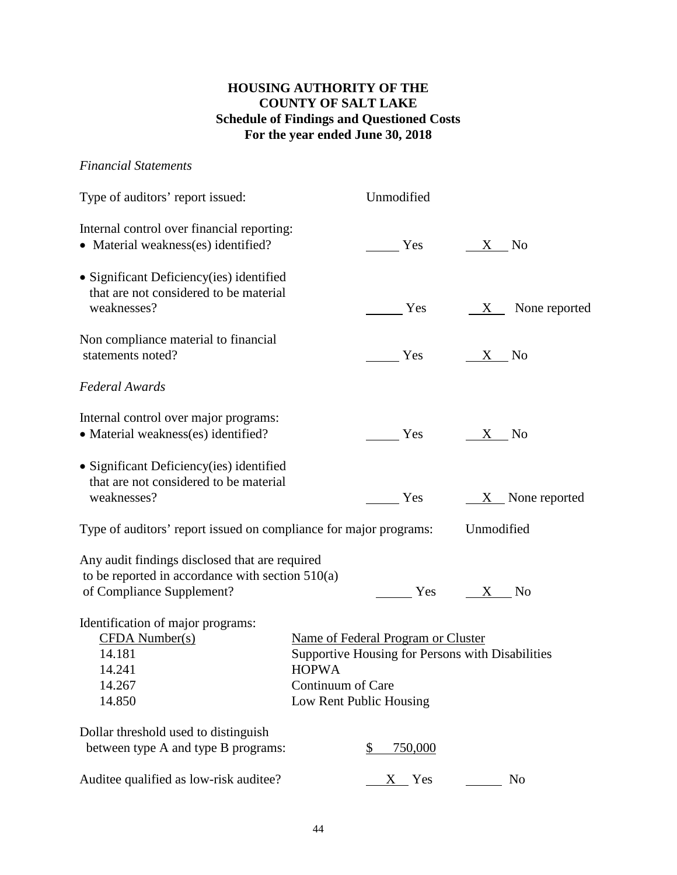# **HOUSING AUTHORITY OF THE COUNTY OF SALT LAKE Schedule of Findings and Questioned Costs For the year ended June 30, 2018**

# *Financial Statements*

| Type of auditors' report issued:                                                                                                  | Unmodified                                                                                                                                             |                               |
|-----------------------------------------------------------------------------------------------------------------------------------|--------------------------------------------------------------------------------------------------------------------------------------------------------|-------------------------------|
| Internal control over financial reporting:<br>• Material weakness(es) identified?                                                 | Yes                                                                                                                                                    | No<br>X                       |
| • Significant Deficiency(ies) identified<br>that are not considered to be material<br>weaknesses?                                 | Yes                                                                                                                                                    | None reported<br>$\mathbf{X}$ |
| Non compliance material to financial<br>statements noted?                                                                         | Yes                                                                                                                                                    | X No                          |
| <b>Federal Awards</b>                                                                                                             |                                                                                                                                                        |                               |
| Internal control over major programs:<br>• Material weakness(es) identified?                                                      | Yes                                                                                                                                                    | X No                          |
| • Significant Deficiency(ies) identified<br>that are not considered to be material<br>weaknesses?                                 | Yes                                                                                                                                                    | $X$ None reported             |
| Type of auditors' report issued on compliance for major programs:                                                                 |                                                                                                                                                        | Unmodified                    |
| Any audit findings disclosed that are required<br>to be reported in accordance with section $510(a)$<br>of Compliance Supplement? | Yes                                                                                                                                                    | $X$ No                        |
| Identification of major programs:<br>$CFDA$ Number(s)<br>14.181<br>14.241<br>14.267<br>14.850                                     | Name of Federal Program or Cluster<br>Supportive Housing for Persons with Disabilities<br><b>HOPWA</b><br>Continuum of Care<br>Low Rent Public Housing |                               |
| Dollar threshold used to distinguish<br>between type A and type B programs:                                                       | \$<br>750,000                                                                                                                                          |                               |
| Auditee qualified as low-risk auditee?                                                                                            | $X$ Yes                                                                                                                                                | N <sub>o</sub>                |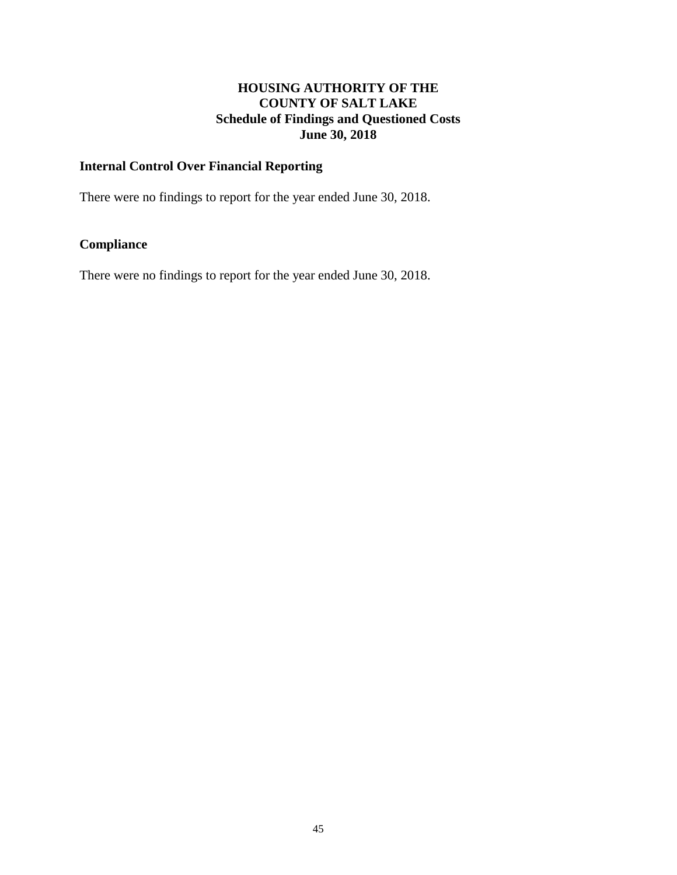# **HOUSING AUTHORITY OF THE COUNTY OF SALT LAKE Schedule of Findings and Questioned Costs June 30, 2018**

# **Internal Control Over Financial Reporting**

There were no findings to report for the year ended June 30, 2018.

### **Compliance**

There were no findings to report for the year ended June 30, 2018.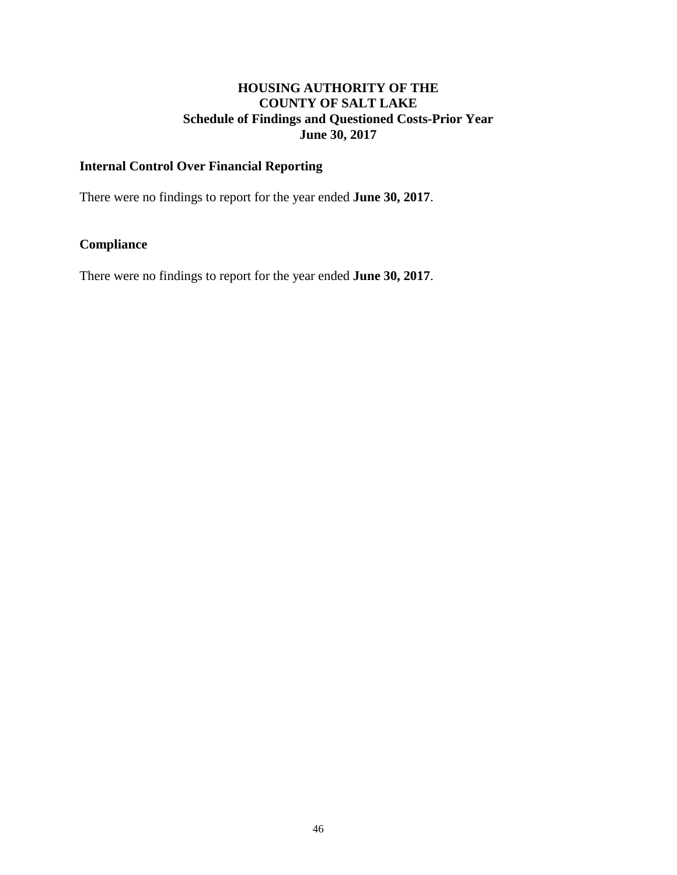# **HOUSING AUTHORITY OF THE COUNTY OF SALT LAKE Schedule of Findings and Questioned Costs-Prior Year June 30, 2017**

# **Internal Control Over Financial Reporting**

There were no findings to report for the year ended **June 30, 2017**.

### **Compliance**

There were no findings to report for the year ended **June 30, 2017**.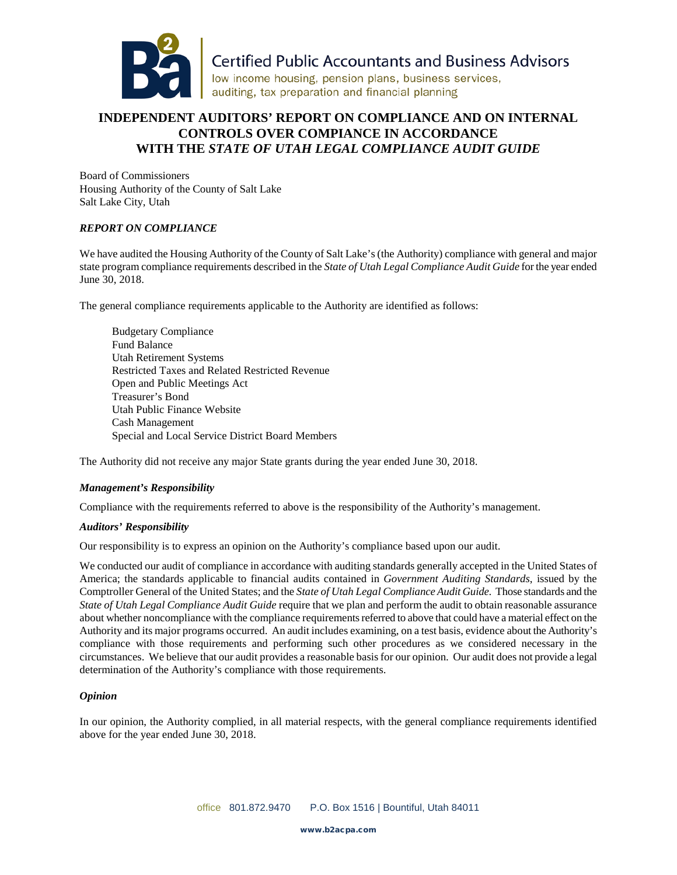

**Certified Public Accountants and Business Advisors** 

low income housing, pension plans, business services, auditing, tax preparation and financial planning

# **INDEPENDENT AUDITORS' REPORT ON COMPLIANCE AND ON INTERNAL CONTROLS OVER COMPIANCE IN ACCORDANCE WITH THE** *STATE OF UTAH LEGAL COMPLIANCE AUDIT GUIDE*

Board of Commissioners Housing Authority of the County of Salt Lake Salt Lake City, Utah

#### *REPORT ON COMPLIANCE*

We have audited the Housing Authority of the County of Salt Lake's (the Authority) compliance with general and major state program compliance requirements described in the *State of Utah Legal Compliance Audit Guide* for the year ended June 30, 2018.

The general compliance requirements applicable to the Authority are identified as follows:

Budgetary Compliance Fund Balance Utah Retirement Systems Restricted Taxes and Related Restricted Revenue Open and Public Meetings Act Treasurer's Bond Utah Public Finance Website Cash Management Special and Local Service District Board Members

The Authority did not receive any major State grants during the year ended June 30, 2018.

#### *Management's Responsibility*

Compliance with the requirements referred to above is the responsibility of the Authority's management.

#### *Auditors' Responsibility*

Our responsibility is to express an opinion on the Authority's compliance based upon our audit.

We conducted our audit of compliance in accordance with auditing standards generally accepted in the United States of America; the standards applicable to financial audits contained in *Government Auditing Standards*, issued by the Comptroller General of the United States; and the *State of Utah Legal Compliance Audit Guide*. Those standards and the *State of Utah Legal Compliance Audit Guide* require that we plan and perform the audit to obtain reasonable assurance about whether noncompliance with the compliance requirements referred to above that could have a material effect on the Authority and its major programs occurred. An audit includes examining, on a test basis, evidence about the Authority's compliance with those requirements and performing such other procedures as we considered necessary in the circumstances. We believe that our audit provides a reasonable basis for our opinion. Our audit does not provide a legal determination of the Authority's compliance with those requirements.

#### *Opinion*

In our opinion, the Authority complied, in all material respects, with the general compliance requirements identified above for the year ended June 30, 2018.